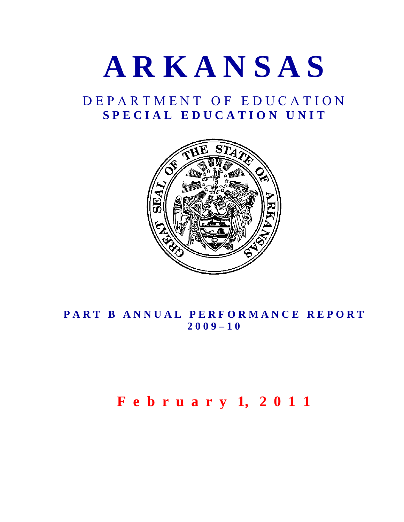

## D E P A R T M E N T O F E D U C A T I O N S P E C I A L E D U C A T I O N U N I T



## PART B ANNUAL PERFORMANCE REPORT **2 0 0 9 – 1 0**

# **F e b r u a r y 1, 2 0 1 1**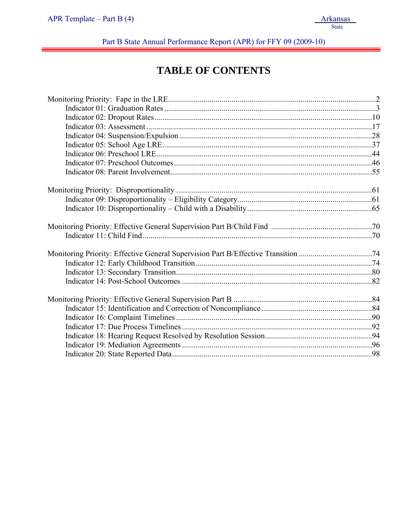Part B State Annual Performance Report (APR) for FFY 09 (2009-10)

## **TABLE OF CONTENTS**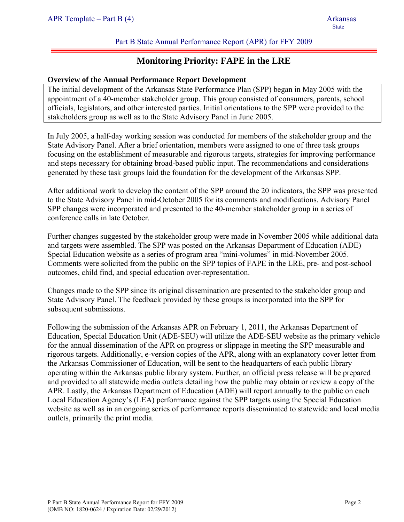## **Monitoring Priority: FAPE in the LRE**

#### **Overview of the Annual Performance Report Development**

The initial development of the Arkansas State Performance Plan (SPP) began in May 2005 with the appointment of a 40-member stakeholder group. This group consisted of consumers, parents, school officials, legislators, and other interested parties. Initial orientations to the SPP were provided to the stakeholders group as well as to the State Advisory Panel in June 2005.

In July 2005, a half-day working session was conducted for members of the stakeholder group and the State Advisory Panel. After a brief orientation, members were assigned to one of three task groups focusing on the establishment of measurable and rigorous targets, strategies for improving performance and steps necessary for obtaining broad-based public input. The recommendations and considerations generated by these task groups laid the foundation for the development of the Arkansas SPP.

After additional work to develop the content of the SPP around the 20 indicators, the SPP was presented to the State Advisory Panel in mid-October 2005 for its comments and modifications. Advisory Panel SPP changes were incorporated and presented to the 40-member stakeholder group in a series of conference calls in late October.

Further changes suggested by the stakeholder group were made in November 2005 while additional data and targets were assembled. The SPP was posted on the Arkansas Department of Education (ADE) Special Education website as a series of program area "mini-volumes" in mid-November 2005. Comments were solicited from the public on the SPP topics of FAPE in the LRE, pre- and post-school outcomes, child find, and special education over-representation.

Changes made to the SPP since its original dissemination are presented to the stakeholder group and State Advisory Panel. The feedback provided by these groups is incorporated into the SPP for subsequent submissions.

Following the submission of the Arkansas APR on February 1, 2011, the Arkansas Department of Education, Special Education Unit (ADE-SEU) will utilize the ADE-SEU website as the primary vehicle for the annual dissemination of the APR on progress or slippage in meeting the SPP measurable and rigorous targets. Additionally, e-version copies of the APR, along with an explanatory cover letter from the Arkansas Commissioner of Education, will be sent to the headquarters of each public library operating within the Arkansas public library system. Further, an official press release will be prepared and provided to all statewide media outlets detailing how the public may obtain or review a copy of the APR. Lastly, the Arkansas Department of Education (ADE) will report annually to the public on each Local Education Agency's (LEA) performance against the SPP targets using the Special Education website as well as in an ongoing series of performance reports disseminated to statewide and local media outlets, primarily the print media.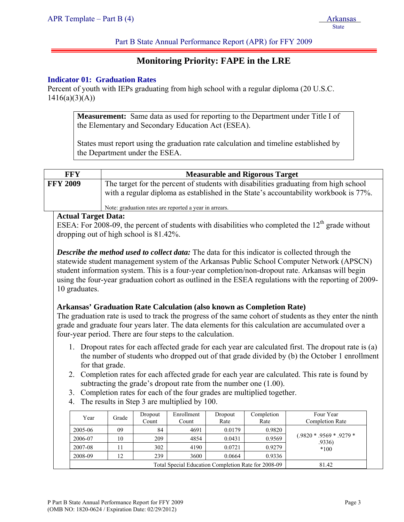## **Monitoring Priority: FAPE in the LRE**

#### **Indicator 01: Graduation Rates**

Percent of youth with IEPs graduating from high school with a regular diploma (20 U.S.C.  $1416(a)(3)(A))$ 

> **Measurement:** Same data as used for reporting to the Department under Title I of the Elementary and Secondary Education Act (ESEA).

> States must report using the graduation rate calculation and timeline established by the Department under the ESEA.

| FFY             | <b>Measurable and Rigorous Target</b>                                                                                                                                        |
|-----------------|------------------------------------------------------------------------------------------------------------------------------------------------------------------------------|
| <b>FFY 2009</b> | The target for the percent of students with disabilities graduating from high school<br>with a regular diploma as established in the State's accountability workbook is 77%. |
|                 | Note: graduation rates are reported a year in arrears.                                                                                                                       |

#### **Actual Target Data:**

ESEA: For  $2008-09$ , the percent of students with disabilities who completed the  $12<sup>th</sup>$  grade without dropping out of high school is 81.42%.

*Describe the method used to collect data:* The data for this indicator is collected through the statewide student management system of the Arkansas Public School Computer Network (APSCN) student information system. This is a four-year completion/non-dropout rate. Arkansas will begin using the four-year graduation cohort as outlined in the ESEA regulations with the reporting of 2009- 10 graduates.

#### **Arkansas' Graduation Rate Calculation (also known as Completion Rate)**

The graduation rate is used to track the progress of the same cohort of students as they enter the ninth grade and graduate four years later. The data elements for this calculation are accumulated over a four-year period. There are four steps to the calculation.

- 1. Dropout rates for each affected grade for each year are calculated first. The dropout rate is (a) the number of students who dropped out of that grade divided by (b) the October 1 enrollment for that grade.
- 2. Completion rates for each affected grade for each year are calculated. This rate is found by subtracting the grade's dropout rate from the number one (1.00).
- 3. Completion rates for each of the four grades are multiplied together.
- 4. The results in Step 3 are multiplied by 100.

| Year    | Grade | Dropout<br>Count | Enrollment<br>Count | Dropout<br>Rate | Completion<br>Rate | Four Year<br><b>Completion Rate</b>    |
|---------|-------|------------------|---------------------|-----------------|--------------------|----------------------------------------|
| 2005-06 | 09    | 84               | 4691                | 0.0179          | 0.9820             |                                        |
| 2006-07 | 10    | 209              | 4854                | 0.0431          | 0.9569             | $(.9820 * .9569 * .9279 * )$<br>.9336) |
| 2007-08 | 11    | 302              | 4190                | 0.0721          | 0.9279             | $*100$                                 |
| 2008-09 | 12    | 239              | 3600                | 0.0664          | 0.9336             |                                        |
|         |       | 81.42            |                     |                 |                    |                                        |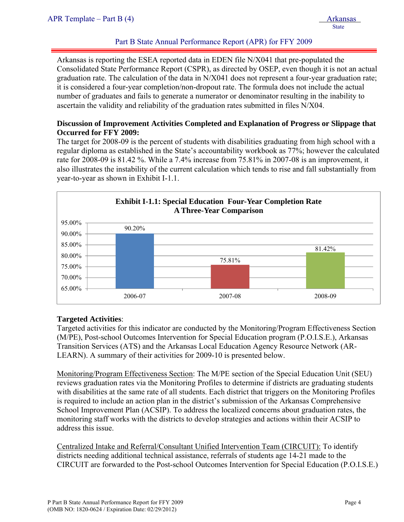Arkansas is reporting the ESEA reported data in EDEN file N/X041 that pre-populated the Consolidated State Performance Report (CSPR), as directed by OSEP, even though it is not an actual graduation rate. The calculation of the data in N/X041 does not represent a four-year graduation rate; it is considered a four-year completion/non-dropout rate. The formula does not include the actual number of graduates and fails to generate a numerator or denominator resulting in the inability to ascertain the validity and reliability of the graduation rates submitted in files N/X04.

#### **Discussion of Improvement Activities Completed and Explanation of Progress or Slippage that Occurred for FFY 2009:**

The target for 2008-09 is the percent of students with disabilities graduating from high school with a regular diploma as established in the State's accountability workbook as 77%; however the calculated rate for 2008-09 is 81.42 %. While a 7.4% increase from 75.81% in 2007-08 is an improvement, it also illustrates the instability of the current calculation which tends to rise and fall substantially from year-to-year as shown in Exhibit I-1.1.



#### **Targeted Activities**:

Targeted activities for this indicator are conducted by the Monitoring/Program Effectiveness Section (M/PE), Post-school Outcomes Intervention for Special Education program (P.O.I.S.E.), Arkansas Transition Services (ATS) and the Arkansas Local Education Agency Resource Network (AR-LEARN). A summary of their activities for 2009-10 is presented below.

Monitoring/Program Effectiveness Section: The M/PE section of the Special Education Unit (SEU) reviews graduation rates via the Monitoring Profiles to determine if districts are graduating students with disabilities at the same rate of all students. Each district that triggers on the Monitoring Profiles is required to include an action plan in the district's submission of the Arkansas Comprehensive School Improvement Plan (ACSIP). To address the localized concerns about graduation rates, the monitoring staff works with the districts to develop strategies and actions within their ACSIP to address this issue.

Centralized Intake and Referral/Consultant Unified Intervention Team (CIRCUIT): To identify districts needing additional technical assistance, referrals of students age 14-21 made to the CIRCUIT are forwarded to the Post-school Outcomes Intervention for Special Education (P.O.I.S.E.)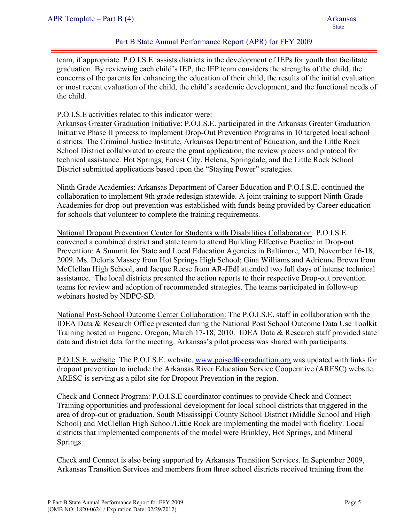team, if appropriate. P.O.I.S.E. assists districts in the development of IEPs for youth that facilitate graduation. By reviewing each child's IEP, the IEP team considers the strengths of the child, the concerns of the parents for enhancing the education of their child, the results of the initial evaluation or most recent evaluation of the child, the child's academic development, and the functional needs of the child.

#### P.O.I.S.E activities related to this indicator were:

Arkansas Greater Graduation Initiative: P.O.I.S.E. participated in the Arkansas Greater Graduation Initiative Phase II process to implement Drop-Out Prevention Programs in 10 targeted local school districts. The Criminal Justice Institute, Arkansas Department of Education, and the Little Rock School District collaborated to create the grant application, the review process and protocol for technical assistance. Hot Springs, Forest City, Helena, Springdale, and the Little Rock School District submitted applications based upon the "Staying Power" strategies.

Ninth Grade Academies: Arkansas Department of Career Education and P.O.I.S.E. continued the collaboration to implement 9th grade redesign statewide. A joint training to support Ninth Grade Academies for drop-out prevention was established with funds being provided by Career education for schools that volunteer to complete the training requirements.

National Dropout Prevention Center for Students with Disabilities Collaboration: P.O.I.S.E. convened a combined district and state team to attend Building Effective Practice in Drop-out Prevention: A Summit for State and Local Education Agencies in Baltimore, MD, November 16-18, 2009. Ms. Deloris Massey from Hot Springs High School; Gina Williams and Adrienne Brown from McClellan High School, and Jacque Reese from AR-JEdI attended two full days of intense technical assistance. The local districts presented the action reports to their respective Drop-out prevention teams for review and adoption of recommended strategies. The teams participated in follow-up webinars hosted by NDPC-SD.

National Post-School Outcome Center Collaboration: The P.O.I.S.E. staff in collaboration with the IDEA Data & Research Office presented during the National Post School Outcome Data Use Toolkit Training hosted in Eugene, Oregon, March 17-18, 2010. IDEA Data & Research staff provided state data and district data for the meeting. Arkansas's pilot process was shared with participants.

P.O.I.S.E. website: The P.O.I.S.E. website, www.poisedforgraduation.org was updated with links for dropout prevention to include the Arkansas River Education Service Cooperative (ARESC) website. ARESC is serving as a pilot site for Dropout Prevention in the region.

Check and Connect Program: P.O.I.S.E coordinator continues to provide Check and Connect Training opportunities and professional development for local school districts that triggered in the area of drop-out or graduation. South Mississippi County School District (Middle School and High School) and McClellan High School/Little Rock are implementing the model with fidelity. Local districts that implemented components of the model were Brinkley, Hot Springs, and Mineral Springs.

Check and Connect is also being supported by Arkansas Transition Services. In September 2009, Arkansas Transition Services and members from three school districts received training from the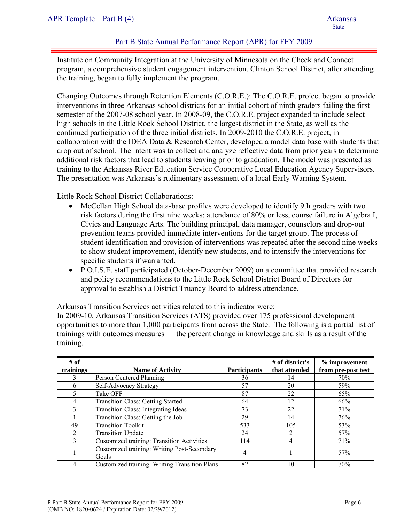Institute on Community Integration at the University of Minnesota on the Check and Connect program, a comprehensive student engagement intervention. Clinton School District, after attending the training, began to fully implement the program.

Changing Outcomes through Retention Elements (C.O.R.E.): The C.O.R.E. project began to provide interventions in three Arkansas school districts for an initial cohort of ninth graders failing the first semester of the 2007-08 school year. In 2008-09, the C.O.R.E. project expanded to include select high schools in the Little Rock School District, the largest district in the State, as well as the continued participation of the three initial districts. In 2009-2010 the C.O.R.E. project, in collaboration with the IDEA Data & Research Center, developed a model data base with students that drop out of school. The intent was to collect and analyze reflective data from prior years to determine additional risk factors that lead to students leaving prior to graduation. The model was presented as training to the Arkansas River Education Service Cooperative Local Education Agency Supervisors. The presentation was Arkansas's rudimentary assessment of a local Early Warning System.

Little Rock School District Collaborations:

- McCellan High School data-base profiles were developed to identify 9th graders with two risk factors during the first nine weeks: attendance of 80% or less, course failure in Algebra I, Civics and Language Arts. The building principal, data manager, counselors and drop-out prevention teams provided immediate interventions for the target group. The process of student identification and provision of interventions was repeated after the second nine weeks to show student improvement, identify new students, and to intensify the interventions for specific students if warranted.
- P.O.I.S.E. staff participated (October-December 2009) on a committee that provided research and policy recommendations to the Little Rock School District Board of Directors for approval to establish a District Truancy Board to address attendance.

Arkansas Transition Services activities related to this indicator were:

In 2009-10, Arkansas Transition Services (ATS) provided over 175 professional development opportunities to more than 1,000 participants from across the State. The following is a partial list of trainings with outcomes measures ― the percent change in knowledge and skills as a result of the training.

| # of<br>trainings | <b>Name of Activity</b>                              | <b>Participants</b> | # of district's<br>that attended | % improvement<br>from pre-post test |
|-------------------|------------------------------------------------------|---------------------|----------------------------------|-------------------------------------|
| 3                 | Person Centered Planning                             | 36                  | 14                               | 70%                                 |
| 6                 | Self-Advocacy Strategy                               | 57                  | 20                               | 59%                                 |
| 5                 | Take OFF                                             | 87                  | 22                               | 65%                                 |
| 4                 | <b>Transition Class: Getting Started</b>             | 64                  | 12                               | 66%                                 |
| 3                 | Transition Class: Integrating Ideas                  | 73                  | 22                               | 71%                                 |
|                   | Transition Class: Getting the Job                    | 29                  | 14                               | 76%                                 |
| 49                | <b>Transition Toolkit</b>                            | 533                 | 105                              | 53%                                 |
| $\overline{2}$    | <b>Transition Update</b>                             | 24                  |                                  | 57%                                 |
| 3                 | <b>Customized training: Transition Activities</b>    | 114                 |                                  | 71%                                 |
|                   | Customized training: Writing Post-Secondary<br>Goals | 4                   |                                  | 57%                                 |
|                   | Customized training: Writing Transition Plans        | 82                  | 10                               | 70%                                 |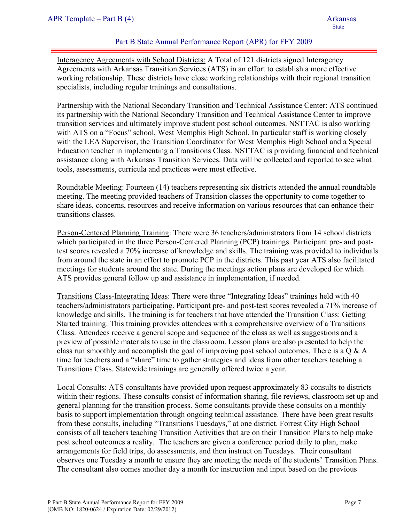Interagency Agreements with School Districts: A Total of 121 districts signed Interagency Agreements with Arkansas Transition Services (ATS) in an effort to establish a more effective working relationship. These districts have close working relationships with their regional transition specialists, including regular trainings and consultations.

Partnership with the National Secondary Transition and Technical Assistance Center: ATS continued its partnership with the National Secondary Transition and Technical Assistance Center to improve transition services and ultimately improve student post school outcomes. NSTTAC is also working with ATS on a "Focus" school, West Memphis High School. In particular staff is working closely with the LEA Supervisor, the Transition Coordinator for West Memphis High School and a Special Education teacher in implementing a Transitions Class. NSTTAC is providing financial and technical assistance along with Arkansas Transition Services. Data will be collected and reported to see what tools, assessments, curricula and practices were most effective.

Roundtable Meeting: Fourteen (14) teachers representing six districts attended the annual roundtable meeting. The meeting provided teachers of Transition classes the opportunity to come together to share ideas, concerns, resources and receive information on various resources that can enhance their transitions classes.

Person-Centered Planning Training: There were 36 teachers/administrators from 14 school districts which participated in the three Person-Centered Planning (PCP) trainings. Participant pre- and posttest scores revealed a 70% increase of knowledge and skills. The training was provided to individuals from around the state in an effort to promote PCP in the districts. This past year ATS also facilitated meetings for students around the state. During the meetings action plans are developed for which ATS provides general follow up and assistance in implementation, if needed.

Transitions Class-Integrating Ideas: There were three "Integrating Ideas" trainings held with 40 teachers/administrators participating. Participant pre- and post-test scores revealed a 71% increase of knowledge and skills. The training is for teachers that have attended the Transition Class: Getting Started training. This training provides attendees with a comprehensive overview of a Transitions Class. Attendees receive a general scope and sequence of the class as well as suggestions and a preview of possible materials to use in the classroom. Lesson plans are also presented to help the class run smoothly and accomplish the goal of improving post school outcomes. There is a  $\overline{Q} \& A$ time for teachers and a "share" time to gather strategies and ideas from other teachers teaching a Transitions Class. Statewide trainings are generally offered twice a year.

Local Consults: ATS consultants have provided upon request approximately 83 consults to districts within their regions. These consults consist of information sharing, file reviews, classroom set up and general planning for the transition process. Some consultants provide these consults on a monthly basis to support implementation through ongoing technical assistance. There have been great results from these consults, including "Transitions Tuesdays," at one district. Forrest City High School consists of all teachers teaching Transition Activities that are on their Transition Plans to help make post school outcomes a reality. The teachers are given a conference period daily to plan, make arrangements for field trips, do assessments, and then instruct on Tuesdays. Their consultant observes one Tuesday a month to ensure they are meeting the needs of the students' Transition Plans. The consultant also comes another day a month for instruction and input based on the previous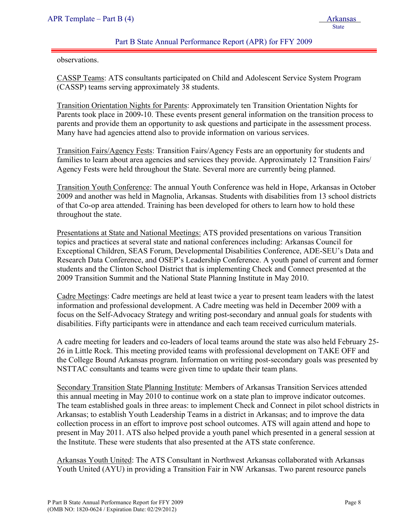observations.

CASSP Teams: ATS consultants participated on Child and Adolescent Service System Program (CASSP) teams serving approximately 38 students.

Transition Orientation Nights for Parents: Approximately ten Transition Orientation Nights for Parents took place in 2009-10. These events present general information on the transition process to parents and provide them an opportunity to ask questions and participate in the assessment process. Many have had agencies attend also to provide information on various services.

Transition Fairs/Agency Fests: Transition Fairs/Agency Fests are an opportunity for students and families to learn about area agencies and services they provide. Approximately 12 Transition Fairs/ Agency Fests were held throughout the State. Several more are currently being planned.

Transition Youth Conference: The annual Youth Conference was held in Hope, Arkansas in October 2009 and another was held in Magnolia, Arkansas. Students with disabilities from 13 school districts of that Co-op area attended. Training has been developed for others to learn how to hold these throughout the state.

Presentations at State and National Meetings: ATS provided presentations on various Transition topics and practices at several state and national conferences including: Arkansas Council for Exceptional Children, SEAS Forum, Developmental Disabilities Conference, ADE-SEU's Data and Research Data Conference, and OSEP's Leadership Conference. A youth panel of current and former students and the Clinton School District that is implementing Check and Connect presented at the 2009 Transition Summit and the National State Planning Institute in May 2010.

Cadre Meetings: Cadre meetings are held at least twice a year to present team leaders with the latest information and professional development. A Cadre meeting was held in December 2009 with a focus on the Self-Advocacy Strategy and writing post-secondary and annual goals for students with disabilities. Fifty participants were in attendance and each team received curriculum materials.

A cadre meeting for leaders and co-leaders of local teams around the state was also held February 25- 26 in Little Rock. This meeting provided teams with professional development on TAKE OFF and the College Bound Arkansas program. Information on writing post-secondary goals was presented by NSTTAC consultants and teams were given time to update their team plans.

Secondary Transition State Planning Institute: Members of Arkansas Transition Services attended this annual meeting in May 2010 to continue work on a state plan to improve indicator outcomes. The team established goals in three areas: to implement Check and Connect in pilot school districts in Arkansas; to establish Youth Leadership Teams in a district in Arkansas; and to improve the data collection process in an effort to improve post school outcomes. ATS will again attend and hope to present in May 2011. ATS also helped provide a youth panel which presented in a general session at the Institute. These were students that also presented at the ATS state conference.

Arkansas Youth United: The ATS Consultant in Northwest Arkansas collaborated with Arkansas Youth United (AYU) in providing a Transition Fair in NW Arkansas. Two parent resource panels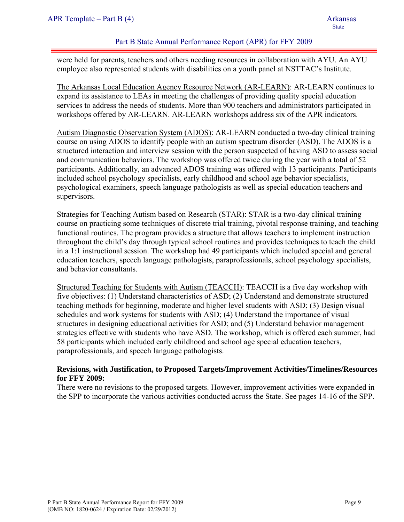were held for parents, teachers and others needing resources in collaboration with AYU. An AYU employee also represented students with disabilities on a youth panel at NSTTAC's Institute.

The Arkansas Local Education Agency Resource Network (AR-LEARN): AR-LEARN continues to expand its assistance to LEAs in meeting the challenges of providing quality special education services to address the needs of students. More than 900 teachers and administrators participated in workshops offered by AR-LEARN. AR-LEARN workshops address six of the APR indicators.

Autism Diagnostic Observation System (ADOS): AR-LEARN conducted a two-day clinical training course on using ADOS to identify people with an autism spectrum disorder (ASD). The ADOS is a structured interaction and interview session with the person suspected of having ASD to assess social and communication behaviors. The workshop was offered twice during the year with a total of 52 participants. Additionally, an advanced ADOS training was offered with 13 participants. Participants included school psychology specialists, early childhood and school age behavior specialists, psychological examiners, speech language pathologists as well as special education teachers and supervisors.

Strategies for Teaching Autism based on Research (STAR): STAR is a two-day clinical training course on practicing some techniques of discrete trial training, pivotal response training, and teaching functional routines. The program provides a structure that allows teachers to implement instruction throughout the child's day through typical school routines and provides techniques to teach the child in a 1:1 instructional session. The workshop had 49 participants which included special and general education teachers, speech language pathologists, paraprofessionals, school psychology specialists, and behavior consultants.

Structured Teaching for Students with Autism (TEACCH): TEACCH is a five day workshop with five objectives: (1) Understand characteristics of ASD; (2) Understand and demonstrate structured teaching methods for beginning, moderate and higher level students with ASD; (3) Design visual schedules and work systems for students with ASD; (4) Understand the importance of visual structures in designing educational activities for ASD; and (5) Understand behavior management strategies effective with students who have ASD. The workshop, which is offered each summer, had 58 participants which included early childhood and school age special education teachers, paraprofessionals, and speech language pathologists.

#### **Revisions, with Justification, to Proposed Targets/Improvement Activities/Timelines/Resources for FFY 2009:**

There were no revisions to the proposed targets. However, improvement activities were expanded in the SPP to incorporate the various activities conducted across the State. See pages 14-16 of the SPP.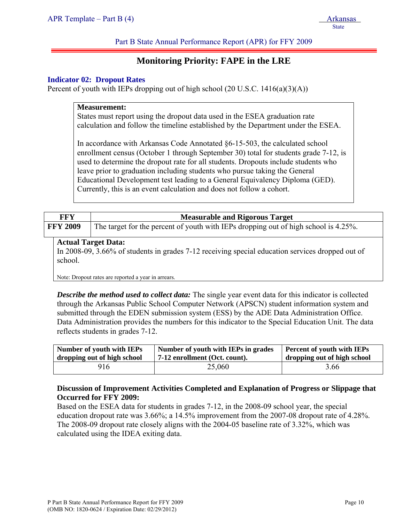## **Monitoring Priority: FAPE in the LRE**

#### **Indicator 02: Dropout Rates**

Percent of youth with IEPs dropping out of high school  $(20 \text{ U.S.C. } 1416(a)(3)(A))$ 

#### **Measurement:**

States must report using the dropout data used in the ESEA graduation rate calculation and follow the timeline established by the Department under the ESEA.

In accordance with Arkansas Code Annotated §6-15-503, the calculated school enrollment census (October 1 through September 30) total for students grade 7-12, is used to determine the dropout rate for all students. Dropouts include students who leave prior to graduation including students who pursue taking the General Educational Development test leading to a General Equivalency Diploma (GED). Currently, this is an event calculation and does not follow a cohort.

| FFY             | <b>Measurable and Rigorous Target</b>                                               |
|-----------------|-------------------------------------------------------------------------------------|
| <b>FFY 2009</b> | The target for the percent of youth with IEPs dropping out of high school is 4.25%. |

#### **Actual Target Data:**

In 2008-09, 3.66% of students in grades 7-12 receiving special education services dropped out of school.

Note: Dropout rates are reported a year in arrears.

*Describe the method used to collect data:* The single year event data for this indicator is collected through the Arkansas Public School Computer Network (APSCN) student information system and submitted through the EDEN submission system (ESS) by the ADE Data Administration Office. Data Administration provides the numbers for this indicator to the Special Education Unit. The data reflects students in grades 7-12.

| Number of youth with IEPs   | Number of youth with IEPs in grades | <b>Percent of youth with IEPs</b> |  |  |
|-----------------------------|-------------------------------------|-----------------------------------|--|--|
| dropping out of high school | 7-12 enrollment (Oct. count).       | dropping out of high school       |  |  |
| 916                         | 25,060                              | 3.66                              |  |  |

#### **Discussion of Improvement Activities Completed and Explanation of Progress or Slippage that Occurred for FFY 2009:**

Based on the ESEA data for students in grades 7-12, in the 2008-09 school year, the special education dropout rate was 3.66%; a 14.5% improvement from the 2007-08 dropout rate of 4.28%. The 2008-09 dropout rate closely aligns with the 2004-05 baseline rate of 3.32%, which was calculated using the IDEA exiting data.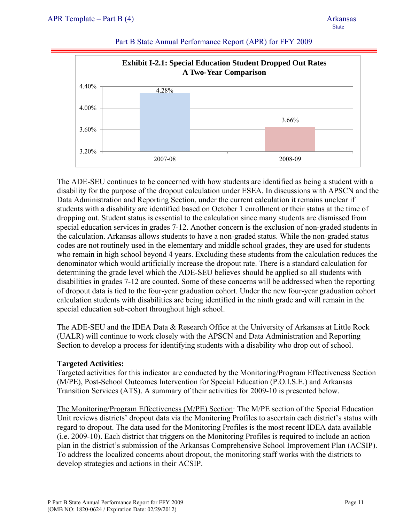

The ADE-SEU continues to be concerned with how students are identified as being a student with a disability for the purpose of the dropout calculation under ESEA. In discussions with APSCN and the Data Administration and Reporting Section, under the current calculation it remains unclear if students with a disability are identified based on October 1 enrollment or their status at the time of dropping out. Student status is essential to the calculation since many students are dismissed from special education services in grades 7-12. Another concern is the exclusion of non-graded students in the calculation. Arkansas allows students to have a non-graded status. While the non-graded status codes are not routinely used in the elementary and middle school grades, they are used for students who remain in high school beyond 4 years. Excluding these students from the calculation reduces the denominator which would artificially increase the dropout rate. There is a standard calculation for determining the grade level which the ADE-SEU believes should be applied so all students with disabilities in grades 7-12 are counted. Some of these concerns will be addressed when the reporting of dropout data is tied to the four-year graduation cohort. Under the new four-year graduation cohort calculation students with disabilities are being identified in the ninth grade and will remain in the special education sub-cohort throughout high school.

The ADE-SEU and the IDEA Data & Research Office at the University of Arkansas at Little Rock (UALR) will continue to work closely with the APSCN and Data Administration and Reporting Section to develop a process for identifying students with a disability who drop out of school.

#### **Targeted Activities:**

Targeted activities for this indicator are conducted by the Monitoring/Program Effectiveness Section (M/PE), Post-School Outcomes Intervention for Special Education (P.O.I.S.E.) and Arkansas Transition Services (ATS). A summary of their activities for 2009-10 is presented below.

The Monitoring/Program Effectiveness (M/PE) Section: The M/PE section of the Special Education Unit reviews districts' dropout data via the Monitoring Profiles to ascertain each district's status with regard to dropout. The data used for the Monitoring Profiles is the most recent IDEA data available (i.e. 2009-10). Each district that triggers on the Monitoring Profiles is required to include an action plan in the district's submission of the Arkansas Comprehensive School Improvement Plan (ACSIP). To address the localized concerns about dropout, the monitoring staff works with the districts to develop strategies and actions in their ACSIP.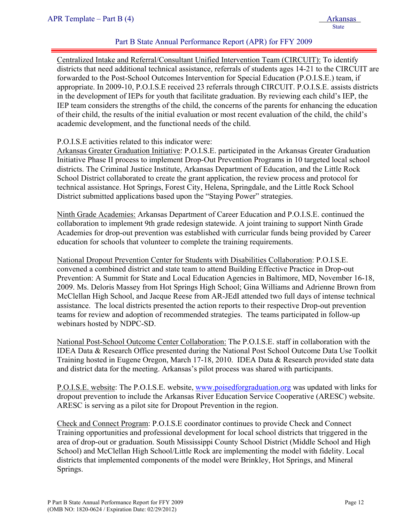Centralized Intake and Referral/Consultant Unified Intervention Team (CIRCUIT): To identify districts that need additional technical assistance, referrals of students ages 14-21 to the CIRCUIT are forwarded to the Post-School Outcomes Intervention for Special Education (P.O.I.S.E.) team, if appropriate. In 2009-10, P.O.I.S.E received 23 referrals through CIRCUIT. P.O.I.S.E. assists districts in the development of IEPs for youth that facilitate graduation. By reviewing each child's IEP, the IEP team considers the strengths of the child, the concerns of the parents for enhancing the education of their child, the results of the initial evaluation or most recent evaluation of the child, the child's academic development, and the functional needs of the child.

#### P.O.I.S.E activities related to this indicator were:

Arkansas Greater Graduation Initiative: P.O.I.S.E. participated in the Arkansas Greater Graduation Initiative Phase II process to implement Drop-Out Prevention Programs in 10 targeted local school districts. The Criminal Justice Institute, Arkansas Department of Education, and the Little Rock School District collaborated to create the grant application, the review process and protocol for technical assistance. Hot Springs, Forest City, Helena, Springdale, and the Little Rock School District submitted applications based upon the "Staying Power" strategies.

Ninth Grade Academies: Arkansas Department of Career Education and P.O.I.S.E. continued the collaboration to implement 9th grade redesign statewide. A joint training to support Ninth Grade Academies for drop-out prevention was established with curricular funds being provided by Career education for schools that volunteer to complete the training requirements.

National Dropout Prevention Center for Students with Disabilities Collaboration: P.O.I.S.E. convened a combined district and state team to attend Building Effective Practice in Drop-out Prevention: A Summit for State and Local Education Agencies in Baltimore, MD, November 16-18, 2009. Ms. Deloris Massey from Hot Springs High School; Gina Williams and Adrienne Brown from McClellan High School, and Jacque Reese from AR-JEdI attended two full days of intense technical assistance. The local districts presented the action reports to their respective Drop-out prevention teams for review and adoption of recommended strategies. The teams participated in follow-up webinars hosted by NDPC-SD.

National Post-School Outcome Center Collaboration: The P.O.I.S.E. staff in collaboration with the IDEA Data & Research Office presented during the National Post School Outcome Data Use Toolkit Training hosted in Eugene Oregon, March 17-18, 2010. IDEA Data & Research provided state data and district data for the meeting. Arkansas's pilot process was shared with participants.

P.O.I.S.E. website: The P.O.I.S.E. website, www.poisedforgraduation.org was updated with links for dropout prevention to include the Arkansas River Education Service Cooperative (ARESC) website. ARESC is serving as a pilot site for Dropout Prevention in the region.

Check and Connect Program: P.O.I.S.E coordinator continues to provide Check and Connect Training opportunities and professional development for local school districts that triggered in the area of drop-out or graduation. South Mississippi County School District (Middle School and High School) and McClellan High School/Little Rock are implementing the model with fidelity. Local districts that implemented components of the model were Brinkley, Hot Springs, and Mineral Springs.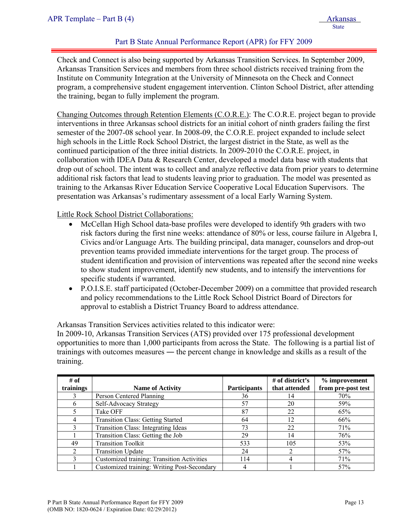Check and Connect is also being supported by Arkansas Transition Services. In September 2009, Arkansas Transition Services and members from three school districts received training from the Institute on Community Integration at the University of Minnesota on the Check and Connect program, a comprehensive student engagement intervention. Clinton School District, after attending the training, began to fully implement the program.

Changing Outcomes through Retention Elements (C.O.R.E.): The C.O.R.E. project began to provide interventions in three Arkansas school districts for an initial cohort of ninth graders failing the first semester of the 2007-08 school year. In 2008-09, the C.O.R.E. project expanded to include select high schools in the Little Rock School District, the largest district in the State, as well as the continued participation of the three initial districts. In 2009-2010 the C.O.R.E. project, in collaboration with IDEA Data & Research Center, developed a model data base with students that drop out of school. The intent was to collect and analyze reflective data from prior years to determine additional risk factors that lead to students leaving prior to graduation. The model was presented as training to the Arkansas River Education Service Cooperative Local Education Supervisors. The presentation was Arkansas's rudimentary assessment of a local Early Warning System.

Little Rock School District Collaborations:

- McCellan High School data-base profiles were developed to identify 9th graders with two risk factors during the first nine weeks: attendance of 80% or less, course failure in Algebra I, Civics and/or Language Arts. The building principal, data manager, counselors and drop-out prevention teams provided immediate interventions for the target group. The process of student identification and provision of interventions was repeated after the second nine weeks to show student improvement, identify new students, and to intensify the interventions for specific students if warranted.
- P.O.I.S.E. staff participated (October-December 2009) on a committee that provided research and policy recommendations to the Little Rock School District Board of Directors for approval to establish a District Truancy Board to address attendance.

Arkansas Transition Services activities related to this indicator were:

In 2009-10, Arkansas Transition Services (ATS) provided over 175 professional development opportunities to more than 1,000 participants from across the State. The following is a partial list of trainings with outcomes measures ― the percent change in knowledge and skills as a result of the training.

| # of           |                                             |                     | # of district's | % improvement      |
|----------------|---------------------------------------------|---------------------|-----------------|--------------------|
| trainings      | <b>Name of Activity</b>                     | <b>Participants</b> | that attended   | from pre-post test |
|                | Person Centered Planning                    | 36                  |                 | 70%                |
| h              | Self-Advocacy Strategy                      | 57                  | 20              | 59%                |
|                | Take OFF                                    | 87                  | 22              | 65%                |
| 4              | <b>Transition Class: Getting Started</b>    | 64                  | 12              | 66%                |
|                | Transition Class: Integrating Ideas         | 73                  | 22              | 71%                |
|                | Transition Class: Getting the Job           | 29                  | 14              | 76%                |
| 49             | <b>Transition Toolkit</b>                   | 533                 | 105             | 53%                |
| $\overline{2}$ | <b>Transition Update</b>                    | 24                  |                 | 57%                |
|                | Customized training: Transition Activities  | 114                 |                 | 71%                |
|                | Customized training: Writing Post-Secondary |                     |                 | 57%                |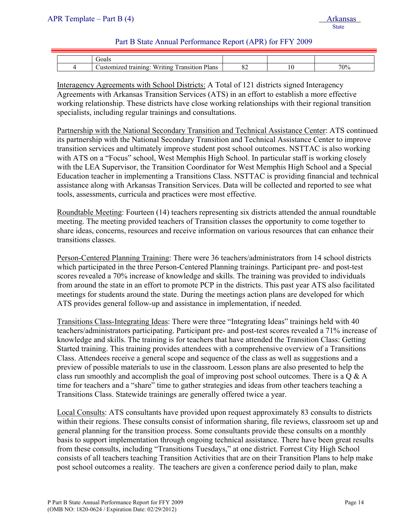| `ioal.                                                                                                                                |    |     |
|---------------------------------------------------------------------------------------------------------------------------------------|----|-----|
| $- - -$<br>$\overline{\phantom{0}}$<br>$\overline{\phantom{a}}$<br>Plans<br>ransition<br>1 A A<br>$-1$<br>'rıtıno<br>ıınσ<br>,,,,<br> | UΖ | 70% |

Interagency Agreements with School Districts: A Total of 121 districts signed Interagency Agreements with Arkansas Transition Services (ATS) in an effort to establish a more effective working relationship. These districts have close working relationships with their regional transition specialists, including regular trainings and consultations.

Partnership with the National Secondary Transition and Technical Assistance Center: ATS continued its partnership with the National Secondary Transition and Technical Assistance Center to improve transition services and ultimately improve student post school outcomes. NSTTAC is also working with ATS on a "Focus" school, West Memphis High School. In particular staff is working closely with the LEA Supervisor, the Transition Coordinator for West Memphis High School and a Special Education teacher in implementing a Transitions Class. NSTTAC is providing financial and technical assistance along with Arkansas Transition Services. Data will be collected and reported to see what tools, assessments, curricula and practices were most effective.

Roundtable Meeting: Fourteen (14) teachers representing six districts attended the annual roundtable meeting. The meeting provided teachers of Transition classes the opportunity to come together to share ideas, concerns, resources and receive information on various resources that can enhance their transitions classes.

Person-Centered Planning Training: There were 36 teachers/administrators from 14 school districts which participated in the three Person-Centered Planning trainings. Participant pre- and post-test scores revealed a 70% increase of knowledge and skills. The training was provided to individuals from around the state in an effort to promote PCP in the districts. This past year ATS also facilitated meetings for students around the state. During the meetings action plans are developed for which ATS provides general follow-up and assistance in implementation, if needed.

Transitions Class-Integrating Ideas: There were three "Integrating Ideas" trainings held with 40 teachers/administrators participating. Participant pre- and post-test scores revealed a 71% increase of knowledge and skills. The training is for teachers that have attended the Transition Class: Getting Started training. This training provides attendees with a comprehensive overview of a Transitions Class. Attendees receive a general scope and sequence of the class as well as suggestions and a preview of possible materials to use in the classroom. Lesson plans are also presented to help the class run smoothly and accomplish the goal of improving post school outcomes. There is a Q & A time for teachers and a "share" time to gather strategies and ideas from other teachers teaching a Transitions Class. Statewide trainings are generally offered twice a year.

Local Consults: ATS consultants have provided upon request approximately 83 consults to districts within their regions. These consults consist of information sharing, file reviews, classroom set up and general planning for the transition process. Some consultants provide these consults on a monthly basis to support implementation through ongoing technical assistance. There have been great results from these consults, including "Transitions Tuesdays," at one district. Forrest City High School consists of all teachers teaching Transition Activities that are on their Transition Plans to help make post school outcomes a reality. The teachers are given a conference period daily to plan, make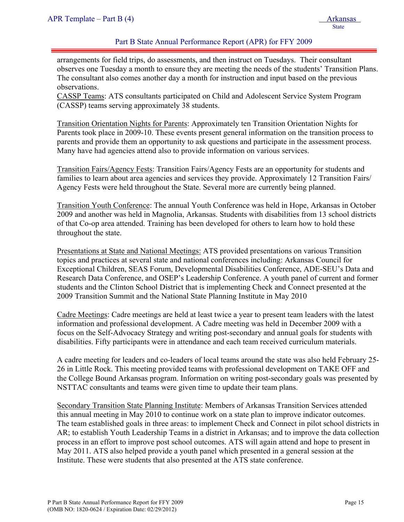arrangements for field trips, do assessments, and then instruct on Tuesdays. Their consultant observes one Tuesday a month to ensure they are meeting the needs of the students' Transition Plans. The consultant also comes another day a month for instruction and input based on the previous observations.

CASSP Teams: ATS consultants participated on Child and Adolescent Service System Program (CASSP) teams serving approximately 38 students.

Transition Orientation Nights for Parents: Approximately ten Transition Orientation Nights for Parents took place in 2009-10. These events present general information on the transition process to parents and provide them an opportunity to ask questions and participate in the assessment process. Many have had agencies attend also to provide information on various services.

Transition Fairs/Agency Fests: Transition Fairs/Agency Fests are an opportunity for students and families to learn about area agencies and services they provide. Approximately 12 Transition Fairs/ Agency Fests were held throughout the State. Several more are currently being planned.

Transition Youth Conference: The annual Youth Conference was held in Hope, Arkansas in October 2009 and another was held in Magnolia, Arkansas. Students with disabilities from 13 school districts of that Co-op area attended. Training has been developed for others to learn how to hold these throughout the state.

Presentations at State and National Meetings: ATS provided presentations on various Transition topics and practices at several state and national conferences including: Arkansas Council for Exceptional Children, SEAS Forum, Developmental Disabilities Conference, ADE-SEU's Data and Research Data Conference, and OSEP's Leadership Conference. A youth panel of current and former students and the Clinton School District that is implementing Check and Connect presented at the 2009 Transition Summit and the National State Planning Institute in May 2010

Cadre Meetings: Cadre meetings are held at least twice a year to present team leaders with the latest information and professional development. A Cadre meeting was held in December 2009 with a focus on the Self-Advocacy Strategy and writing post-secondary and annual goals for students with disabilities. Fifty participants were in attendance and each team received curriculum materials.

A cadre meeting for leaders and co-leaders of local teams around the state was also held February 25- 26 in Little Rock. This meeting provided teams with professional development on TAKE OFF and the College Bound Arkansas program. Information on writing post-secondary goals was presented by NSTTAC consultants and teams were given time to update their team plans.

Secondary Transition State Planning Institute: Members of Arkansas Transition Services attended this annual meeting in May 2010 to continue work on a state plan to improve indicator outcomes. The team established goals in three areas: to implement Check and Connect in pilot school districts in AR; to establish Youth Leadership Teams in a district in Arkansas; and to improve the data collection process in an effort to improve post school outcomes. ATS will again attend and hope to present in May 2011. ATS also helped provide a youth panel which presented in a general session at the Institute. These were students that also presented at the ATS state conference.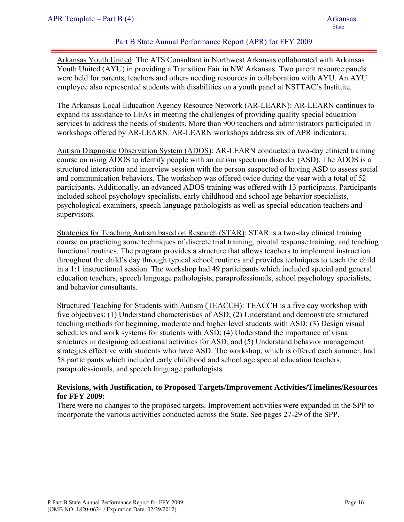Arkansas Youth United: The ATS Consultant in Northwest Arkansas collaborated with Arkansas Youth United (AYU) in providing a Transition Fair in NW Arkansas. Two parent resource panels were held for parents, teachers and others needing resources in collaboration with AYU. An AYU employee also represented students with disabilities on a youth panel at NSTTAC's Institute.

The Arkansas Local Education Agency Resource Network (AR-LEARN): AR-LEARN continues to expand its assistance to LEAs in meeting the challenges of providing quality special education services to address the needs of students. More than 900 teachers and administrators participated in workshops offered by AR-LEARN. AR-LEARN workshops address six of APR indicators.

Autism Diagnostic Observation System (ADOS): AR-LEARN conducted a two-day clinical training course on using ADOS to identify people with an autism spectrum disorder (ASD). The ADOS is a structured interaction and interview session with the person suspected of having ASD to assess social and communication behaviors. The workshop was offered twice during the year with a total of 52 participants. Additionally, an advanced ADOS training was offered with 13 participants. Participants included school psychology specialists, early childhood and school age behavior specialists, psychological examiners, speech language pathologists as well as special education teachers and supervisors.

Strategies for Teaching Autism based on Research (STAR): STAR is a two-day clinical training course on practicing some techniques of discrete trial training, pivotal response training, and teaching functional routines. The program provides a structure that allows teachers to implement instruction throughout the child's day through typical school routines and provides techniques to teach the child in a 1:1 instructional session. The workshop had 49 participants which included special and general education teachers, speech language pathologists, paraprofessionals, school psychology specialists, and behavior consultants.

Structured Teaching for Students with Autism (TEACCH): TEACCH is a five day workshop with five objectives: (1) Understand characteristics of ASD; (2) Understand and demonstrate structured teaching methods for beginning, moderate and higher level students with ASD; (3) Design visual schedules and work systems for students with ASD; (4) Understand the importance of visual structures in designing educational activities for ASD; and (5) Understand behavior management strategies effective with students who have ASD. The workshop, which is offered each summer, had 58 participants which included early childhood and school age special education teachers, paraprofessionals, and speech language pathologists.

#### **Revisions, with Justification, to Proposed Targets/Improvement Activities/Timelines/Resources for FFY 2009:**

There were no changes to the proposed targets. Improvement activities were expanded in the SPP to incorporate the various activities conducted across the State. See pages 27-29 of the SPP.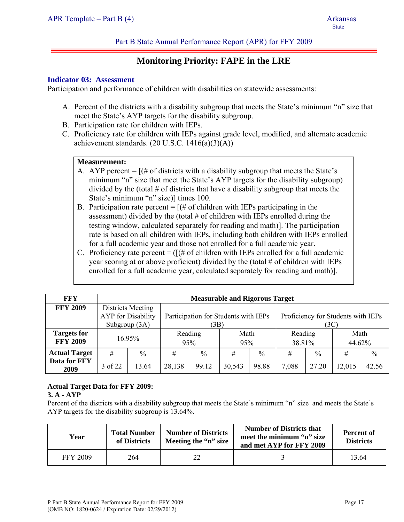## **Monitoring Priority: FAPE in the LRE**

#### **Indicator 03: Assessment**

Participation and performance of children with disabilities on statewide assessments:

- A. Percent of the districts with a disability subgroup that meets the State's minimum "n" size that meet the State's AYP targets for the disability subgroup.
- B. Participation rate for children with IEPs.
- C. Proficiency rate for children with IEPs against grade level, modified, and alternate academic achievement standards.  $(20 \text{ U.S.C. } 1416(a)(3)(A))$

#### **Measurement:**

- A. AYP percent  $=$   $[(\# \text{ of districts with a disability subgroup that meets the State's}]$ minimum "n" size that meet the State's AYP targets for the disability subgroup) divided by the (total  $\#$  of districts that have a disability subgroup that meets the State's minimum "n" size)] times 100.
- B. Participation rate percent  $=$   $[(# of children with IEPs participating in the$ assessment) divided by the (total  $#$  of children with IEPs enrolled during the testing window, calculated separately for reading and math)]. The participation rate is based on all children with IEPs, including both children with IEPs enrolled for a full academic year and those not enrolled for a full academic year.
- C. Proficiency rate percent =  $([H \text{ of children with IEPs enrolled for a full academic}]$ year scoring at or above proficient) divided by the (total # of children with IEPs enrolled for a full academic year, calculated separately for reading and math)].

| <b>FFY</b>           |               | <b>Measurable and Rigorous Target</b>          |         |                                              |        |               |                                            |               |        |               |
|----------------------|---------------|------------------------------------------------|---------|----------------------------------------------|--------|---------------|--------------------------------------------|---------------|--------|---------------|
| <b>FFY 2009</b>      | Subgroup (3A) | Districts Meeting<br><b>AYP</b> for Disability |         | Participation for Students with IEPs<br>(3B) |        |               | Proficiency for Students with IEPs<br>(3C) |               |        |               |
| <b>Targets for</b>   | 16.95%        |                                                | Reading |                                              | Math   |               | Reading                                    |               | Math   |               |
| <b>FFY 2009</b>      |               |                                                | 95%     |                                              | 95%    |               | 38.81%                                     |               | 44.62% |               |
| <b>Actual Target</b> | #             | $\%$                                           | #       | $\frac{0}{0}$                                | #      | $\frac{0}{0}$ | #                                          | $\frac{0}{0}$ | #      | $\frac{0}{0}$ |
| Data for FFY<br>2009 | 3 of 22       | 13.64                                          | 28,138  | 99.12                                        | 30,543 | 98.88         | 7,088                                      | 27.20         | 12,015 | 42.56         |

#### **Actual Target Data for FFY 2009:**

#### **3. A - AYP**

Percent of the districts with a disability subgroup that meets the State's minimum "n" size and meets the State's AYP targets for the disability subgroup is 13.64%.

| Year            | <b>Total Number</b><br>of Districts | <b>Number of Districts</b><br>Meeting the "n" size | <b>Number of Districts that</b><br>meet the minimum "n" size<br>and met AYP for FFY 2009 | <b>Percent of</b><br><b>Districts</b> |
|-----------------|-------------------------------------|----------------------------------------------------|------------------------------------------------------------------------------------------|---------------------------------------|
| <b>FFY 2009</b> | 264                                 |                                                    |                                                                                          | 13.64                                 |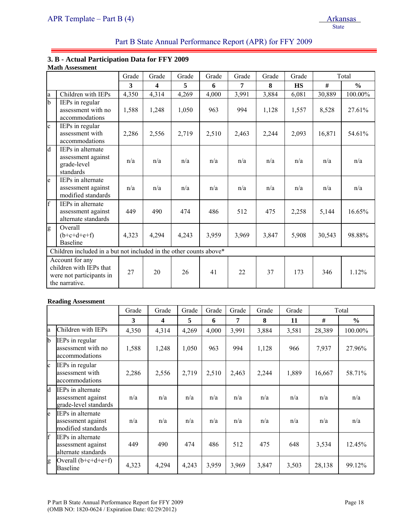#### **3. B - Actual Participation Data for FFY 2009 Math Assessment**

|                |                                                                                          | Grade | Grade | Grade | Grade | Grade | Grade | Grade     |        | Total         |
|----------------|------------------------------------------------------------------------------------------|-------|-------|-------|-------|-------|-------|-----------|--------|---------------|
|                |                                                                                          | 3     | 4     | 5     | 6     | 7     | 8     | <b>HS</b> | #      | $\frac{0}{0}$ |
| a              | Children with IEPs                                                                       | 4,350 | 4,314 | 4,269 | 4,000 | 3,991 | 3,884 | 6,081     | 30,889 | 100.00%       |
| $\overline{b}$ | IEPs in regular<br>assessment with no<br>accommodations                                  | 1,588 | 1,248 | 1,050 | 963   | 994   | 1,128 | 1,557     | 8,528  | 27.61%        |
| $\mathbf{c}$   | IEPs in regular<br>assessment with<br>accommodations                                     | 2,286 | 2,556 | 2,719 | 2,510 | 2,463 | 2,244 | 2,093     | 16,871 | 54.61%        |
| d              | <b>IEPs</b> in alternate<br>assessment against<br>grade-level<br>standards               | n/a   | n/a   | n/a   | n/a   | n/a   | n/a   | n/a       | n/a    | n/a           |
| e              | IEPs in alternate<br>assessment against<br>modified standards                            | n/a   | n/a   | n/a   | n/a   | n/a   | n/a   | n/a       | n/a    | n/a           |
| $\overline{f}$ | IEPs in alternate<br>assessment against<br>alternate standards                           | 449   | 490   | 474   | 486   | 512   | 475   | 2,258     | 5,144  | 16.65%        |
| g              | Overall<br>$(b+c+d+e+f)$<br><b>Baseline</b>                                              | 4,323 | 4,294 | 4,243 | 3,959 | 3,969 | 3,847 | 5,908     | 30,543 | 98.88%        |
|                | Children included in a but not included in the other counts above*                       |       |       |       |       |       |       |           |        |               |
|                | Account for any<br>children with IEPs that<br>were not participants in<br>the narrative. | 27    | 20    | 26    | 41    | 22    | 37    | 173       | 346    | 1.12%         |

#### **Reading Assessment**

|              |                                                                         | Grade | Grade | Grade | Grade | Grade | Grade | Grade |        | Total         |
|--------------|-------------------------------------------------------------------------|-------|-------|-------|-------|-------|-------|-------|--------|---------------|
|              |                                                                         | 3     | 4     | 5     | 6     | 7     | 8     | 11    | #      | $\frac{0}{0}$ |
| la.          | Children with IEPs                                                      | 4,350 | 4,314 | 4,269 | 4,000 | 3,991 | 3,884 | 3,581 | 28,389 | 100.00%       |
| $\mathbf{b}$ | <b>IEPs</b> in regular<br>assessment with no<br>accommodations          | 1,588 | 1,248 | 1,050 | 963   | 994   | 1,128 | 966   | 7,937  | 27.96%        |
| $\mathbf{c}$ | IEPs in regular<br>assessment with<br>accommodations                    | 2,286 | 2,556 | 2,719 | 2,510 | 2,463 | 2,244 | 1,889 | 16,667 | 58.71%        |
| <b>l</b> d   | <b>IEPs in alternate</b><br>assessment against<br>grade-level standards | n/a   | n/a   | n/a   | n/a   | n/a   | n/a   | n/a   | n/a    | n/a           |
| le           | IEPs in alternate<br>assessment against<br>modified standards           | n/a   | n/a   | n/a   | n/a   | n/a   | n/a   | n/a   | n/a    | n/a           |
| $\mathbf{f}$ | <b>IEPs</b> in alternate<br>assessment against<br>alternate standards   | 449   | 490   | 474   | 486   | 512   | 475   | 648   | 3,534  | 12.45%        |
| g            | Overall $(b+c+d+e+f)$<br><b>Baseline</b>                                | 4,323 | 4,294 | 4,243 | 3,959 | 3,969 | 3,847 | 3,503 | 28,138 | 99.12%        |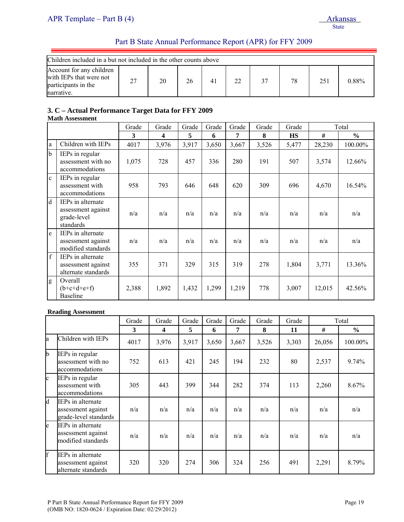| Children included in a but not included in the other counts above                        |    |    |    |  |    |    |    |     |          |
|------------------------------------------------------------------------------------------|----|----|----|--|----|----|----|-----|----------|
| Account for any children<br>with IEPs that were not<br>participants in the<br>narrative. | 27 | 20 | 26 |  | 22 | 37 | 78 | 251 | $0.88\%$ |

## **3. C – Actual Performance Target Data for FFY 2009**

#### **Math Assessment**

|              |                                                                     | Grade | Grade | Grade | Grade | Grade | Grade | Grade     |        | Total         |
|--------------|---------------------------------------------------------------------|-------|-------|-------|-------|-------|-------|-----------|--------|---------------|
|              |                                                                     | 3     | 4     | 5     | 6     | 7     | 8     | <b>HS</b> | #      | $\frac{6}{6}$ |
| l a          | Children with IEPs                                                  | 4017  | 3,976 | 3,917 | 3,650 | 3,667 | 3,526 | 5,477     | 28,230 | 100.00%       |
| b            | IEPs in regular<br>assessment with no<br>accommodations             | 1,075 | 728   | 457   | 336   | 280   | 191   | 507       | 3,574  | 12.66%        |
| $\mathbf{c}$ | IEPs in regular<br>assessment with<br>accommodations                | 958   | 793   | 646   | 648   | 620   | 309   | 696       | 4,670  | 16.54%        |
| <sup>d</sup> | IEPs in alternate<br>assessment against<br>grade-level<br>standards | n/a   | n/a   | n/a   | n/a   | n/a   | n/a   | n/a       | n/a    | n/a           |
| e            | IEPs in alternate<br>assessment against<br>modified standards       | n/a   | n/a   | n/a   | n/a   | n/a   | n/a   | n/a       | n/a    | n/a           |
| f            | IEPs in alternate<br>assessment against<br>alternate standards      | 355   | 371   | 329   | 315   | 319   | 278   | 1,804     | 3,771  | 13.36%        |
| g            | Overall<br>$(b+c+d+e+f)$<br><b>Baseline</b>                         | 2,388 | 1,892 | 1,432 | 1,299 | 1,219 | 778   | 3,007     | 12,015 | 42.56%        |

#### **Reading Assessment**

|              |                                                                  | Grade | Grade | Grade | Grade | Grade | Grade | Grade |        | Total         |
|--------------|------------------------------------------------------------------|-------|-------|-------|-------|-------|-------|-------|--------|---------------|
|              |                                                                  | 3     | 4     | 5     | 6     | 7     | 8     | 11    | #      | $\frac{0}{0}$ |
| la           | Children with IEPs                                               | 4017  | 3,976 | 3,917 | 3,650 | 3,667 | 3,526 | 3,303 | 26,056 | 100.00%       |
| $\mathbf{b}$ | IEPs in regular<br>assessment with no<br>accommodations          | 752   | 613   | 421   | 245   | 194   | 232   | 80    | 2,537  | 9.74%         |
| $\mathbf{c}$ | IEPs in regular<br>assessment with<br>accommodations             | 305   | 443   | 399   | 344   | 282   | 374   | 113   | 2,260  | 8.67%         |
| d            | IEPs in alternate<br>assessment against<br>grade-level standards | n/a   | n/a   | n/a   | n/a   | n/a   | n/a   | n/a   | n/a    | n/a           |
| le.          | IEPs in alternate<br>assessment against<br>modified standards    | n/a   | n/a   | n/a   | n/a   | n/a   | n/a   | n/a   | n/a    | n/a           |
| f            | IEPs in alternate<br>assessment against<br>alternate standards   | 320   | 320   | 274   | 306   | 324   | 256   | 491   | 2,291  | 8.79%         |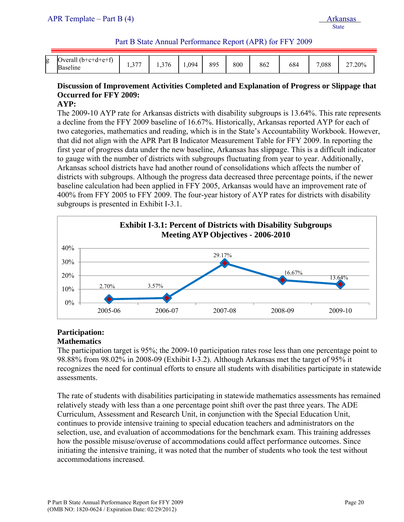| g | $\mathbf{C}$<br>$\sum$<br>ا+∼4⊬–⊶<br>veral.<br>.<br>$\cdot$ $\cdot$<br>Baseline | $\sim$ $ -$<br>. | 27<br>76<br>. | 1,094 | 895 | 800 | 862 | 684 | ,088 | $.20\%$<br>$\sim$<br>" |
|---|---------------------------------------------------------------------------------|------------------|---------------|-------|-----|-----|-----|-----|------|------------------------|

## **Discussion of Improvement Activities Completed and Explanation of Progress or Slippage that Occurred for FFY 2009:**

#### **AYP:**

The 2009-10 AYP rate for Arkansas districts with disability subgroups is 13.64%. This rate represents a decline from the FFY 2009 baseline of 16.67%. Historically, Arkansas reported AYP for each of two categories, mathematics and reading, which is in the State's Accountability Workbook. However, that did not align with the APR Part B Indicator Measurement Table for FFY 2009. In reporting the first year of progress data under the new baseline, Arkansas has slippage. This is a difficult indicator to gauge with the number of districts with subgroups fluctuating from year to year. Additionally, Arkansas school districts have had another round of consolidations which affects the number of districts with subgroups. Although the progress data decreased three percentage points, if the newer baseline calculation had been applied in FFY 2005, Arkansas would have an improvement rate of 400% from FFY 2005 to FFY 2009. The four-year history of AYP rates for districts with disability subgroups is presented in Exhibit I-3.1.



#### **Participation: Mathematics**

The participation target is 95%; the 2009-10 participation rates rose less than one percentage point to 98.88% from 98.02% in 2008-09 (Exhibit I-3.2). Although Arkansas met the target of 95% it recognizes the need for continual efforts to ensure all students with disabilities participate in statewide assessments.

The rate of students with disabilities participating in statewide mathematics assessments has remained relatively steady with less than a one percentage point shift over the past three years. The ADE Curriculum, Assessment and Research Unit, in conjunction with the Special Education Unit, continues to provide intensive training to special education teachers and administrators on the selection, use, and evaluation of accommodations for the benchmark exam. This training addresses how the possible misuse/overuse of accommodations could affect performance outcomes. Since initiating the intensive training, it was noted that the number of students who took the test without accommodations increased.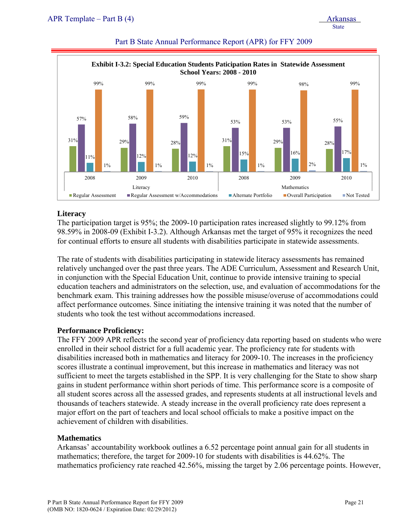



#### **Literacy**

The participation target is 95%; the 2009-10 participation rates increased slightly to 99.12% from 98.59% in 2008-09 (Exhibit I-3.2). Although Arkansas met the target of 95% it recognizes the need for continual efforts to ensure all students with disabilities participate in statewide assessments.

The rate of students with disabilities participating in statewide literacy assessments has remained relatively unchanged over the past three years. The ADE Curriculum, Assessment and Research Unit, in conjunction with the Special Education Unit, continue to provide intensive training to special education teachers and administrators on the selection, use, and evaluation of accommodations for the benchmark exam. This training addresses how the possible misuse/overuse of accommodations could affect performance outcomes. Since initiating the intensive training it was noted that the number of students who took the test without accommodations increased.

#### **Performance Proficiency:**

The FFY 2009 APR reflects the second year of proficiency data reporting based on students who were enrolled in their school district for a full academic year. The proficiency rate for students with disabilities increased both in mathematics and literacy for 2009-10. The increases in the proficiency scores illustrate a continual improvement, but this increase in mathematics and literacy was not sufficient to meet the targets established in the SPP. It is very challenging for the State to show sharp gains in student performance within short periods of time. This performance score is a composite of all student scores across all the assessed grades, and represents students at all instructional levels and thousands of teachers statewide. A steady increase in the overall proficiency rate does represent a major effort on the part of teachers and local school officials to make a positive impact on the achievement of children with disabilities.

#### **Mathematics**

Arkansas' accountability workbook outlines a 6.52 percentage point annual gain for all students in mathematics; therefore, the target for 2009-10 for students with disabilities is 44.62%. The mathematics proficiency rate reached 42.56%, missing the target by 2.06 percentage points. However,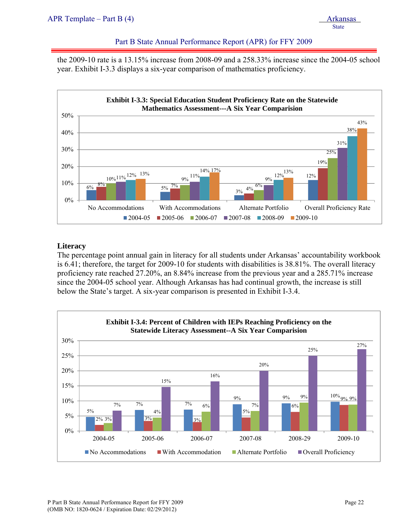the 2009-10 rate is a 13.15% increase from 2008-09 and a 258.33% increase since the 2004-05 school year. Exhibit I-3.3 displays a six-year comparison of mathematics proficiency.



#### **Literacy**

The percentage point annual gain in literacy for all students under Arkansas' accountability workbook is 6.41; therefore, the target for 2009-10 for students with disabilities is 38.81%. The overall literacy proficiency rate reached 27.20%, an 8.84% increase from the previous year and a 285.71% increase since the 2004-05 school year. Although Arkansas has had continual growth, the increase is still below the State's target. A six-year comparison is presented in Exhibit I-3.4.

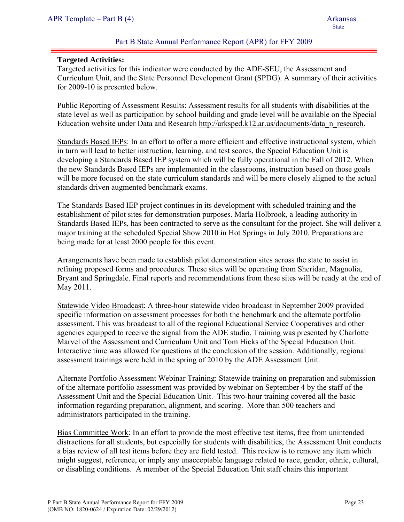#### **Targeted Activities:**

Targeted activities for this indicator were conducted by the ADE-SEU, the Assessment and Curriculum Unit, and the State Personnel Development Grant (SPDG). A summary of their activities for 2009-10 is presented below.

Public Reporting of Assessment Results: Assessment results for all students with disabilities at the state level as well as participation by school building and grade level will be available on the Special Education website under Data and Research http://arksped.k12.ar.us/documents/data\_n\_research.

Standards Based IEPs: In an effort to offer a more efficient and effective instructional system, which in turn will lead to better instruction, learning, and test scores, the Special Education Unit is developing a Standards Based IEP system which will be fully operational in the Fall of 2012. When the new Standards Based IEPs are implemented in the classrooms, instruction based on those goals will be more focused on the state curriculum standards and will be more closely aligned to the actual standards driven augmented benchmark exams.

The Standards Based IEP project continues in its development with scheduled training and the establishment of pilot sites for demonstration purposes. Marla Holbrook, a leading authority in Standards Based IEPs, has been contracted to serve as the consultant for the project. She will deliver a major training at the scheduled Special Show 2010 in Hot Springs in July 2010. Preparations are being made for at least 2000 people for this event.

Arrangements have been made to establish pilot demonstration sites across the state to assist in refining proposed forms and procedures. These sites will be operating from Sheridan, Magnolia, Bryant and Springdale. Final reports and recommendations from these sites will be ready at the end of May 2011.

Statewide Video Broadcast: A three-hour statewide video broadcast in September 2009 provided specific information on assessment processes for both the benchmark and the alternate portfolio assessment. This was broadcast to all of the regional Educational Service Cooperatives and other agencies equipped to receive the signal from the ADE studio. Training was presented by Charlotte Marvel of the Assessment and Curriculum Unit and Tom Hicks of the Special Education Unit. Interactive time was allowed for questions at the conclusion of the session. Additionally, regional assessment trainings were held in the spring of 2010 by the ADE Assessment Unit.

Alternate Portfolio Assessment Webinar Training: Statewide training on preparation and submission of the alternate portfolio assessment was provided by webinar on September 4 by the staff of the Assessment Unit and the Special Education Unit. This two-hour training covered all the basic information regarding preparation, alignment, and scoring. More than 500 teachers and administrators participated in the training.

Bias Committee Work: In an effort to provide the most effective test items, free from unintended distractions for all students, but especially for students with disabilities, the Assessment Unit conducts a bias review of all test items before they are field tested. This review is to remove any item which might suggest, reference, or imply any unacceptable language related to race, gender, ethnic, cultural, or disabling conditions. A member of the Special Education Unit staff chairs this important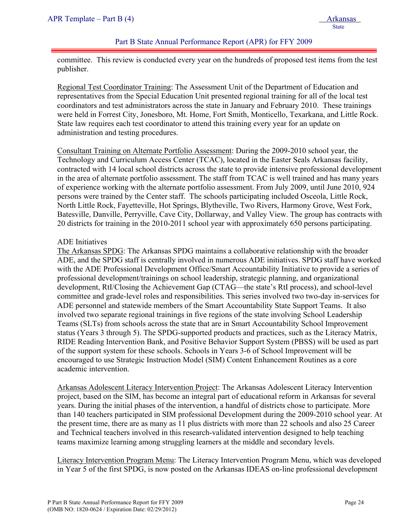committee. This review is conducted every year on the hundreds of proposed test items from the test publisher.

Regional Test Coordinator Training: The Assessment Unit of the Department of Education and representatives from the Special Education Unit presented regional training for all of the local test coordinators and test administrators across the state in January and February 2010. These trainings were held in Forrest City, Jonesboro, Mt. Home, Fort Smith, Monticello, Texarkana, and Little Rock. State law requires each test coordinator to attend this training every year for an update on administration and testing procedures.

Consultant Training on Alternate Portfolio Assessment: During the 2009-2010 school year, the Technology and Curriculum Access Center (TCAC), located in the Easter Seals Arkansas facility, contracted with 14 local school districts across the state to provide intensive professional development in the area of alternate portfolio assessment. The staff from TCAC is well trained and has many years of experience working with the alternate portfolio assessment. From July 2009, until June 2010, 924 persons were trained by the Center staff. The schools participating included Osceola, Little Rock, North Little Rock, Fayetteville, Hot Springs, Blytheville, Two Rivers, Harmony Grove, West Fork, Batesville, Danville, Perryville, Cave City, Dollarway, and Valley View. The group has contracts with 20 districts for training in the 2010-2011 school year with approximately 650 persons participating.

#### ADE Initiatives

The Arkansas SPDG: The Arkansas SPDG maintains a collaborative relationship with the broader ADE, and the SPDG staff is centrally involved in numerous ADE initiatives. SPDG staff have worked with the ADE Professional Development Office/Smart Accountability Initiative to provide a series of professional development/trainings on school leadership, strategic planning, and organizational development, RtI/Closing the Achievement Gap (CTAG—the state's RtI process), and school-level committee and grade-level roles and responsibilities. This series involved two two-day in-services for ADE personnel and statewide members of the Smart Accountability State Support Teams. It also involved two separate regional trainings in five regions of the state involving School Leadership Teams (SLTs) from schools across the state that are in Smart Accountability School Improvement status (Years 3 through 5). The SPDG-supported products and practices, such as the Literacy Matrix, RIDE Reading Intervention Bank, and Positive Behavior Support System (PBSS) will be used as part of the support system for these schools. Schools in Years 3-6 of School Improvement will be encouraged to use Strategic Instruction Model (SIM) Content Enhancement Routines as a core academic intervention.

Arkansas Adolescent Literacy Intervention Project: The Arkansas Adolescent Literacy Intervention project, based on the SIM, has become an integral part of educational reform in Arkansas for several years. During the initial phases of the intervention, a handful of districts chose to participate. More than 140 teachers participated in SIM professional Development during the 2009-2010 school year. At the present time, there are as many as 11 plus districts with more than 22 schools and also 25 Career and Technical teachers involved in this research-validated intervention designed to help teaching teams maximize learning among struggling learners at the middle and secondary levels.

Literacy Intervention Program Menu: The Literacy Intervention Program Menu, which was developed in Year 5 of the first SPDG, is now posted on the Arkansas IDEAS on-line professional development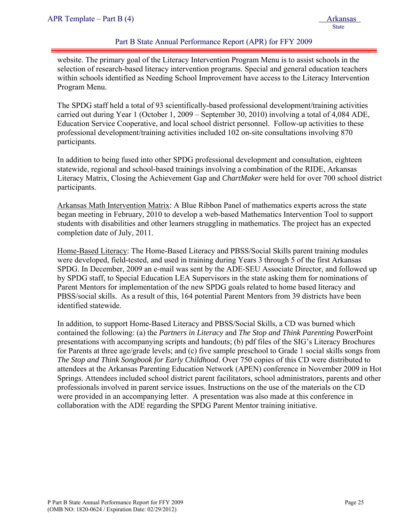website. The primary goal of the Literacy Intervention Program Menu is to assist schools in the selection of research-based literacy intervention programs. Special and general education teachers within schools identified as Needing School Improvement have access to the Literacy Intervention Program Menu.

The SPDG staff held a total of 93 scientifically-based professional development/training activities carried out during Year 1 (October 1, 2009 – September 30, 2010) involving a total of 4,084 ADE, Education Service Cooperative, and local school district personnel. Follow-up activities to these professional development/training activities included 102 on-site consultations involving 870 participants.

In addition to being fused into other SPDG professional development and consultation, eighteen statewide, regional and school-based trainings involving a combination of the RIDE, Arkansas Literacy Matrix, Closing the Achievement Gap and *ChartMaker* were held for over 700 school district participants.

Arkansas Math Intervention Matrix: A Blue Ribbon Panel of mathematics experts across the state began meeting in February, 2010 to develop a web-based Mathematics Intervention Tool to support students with disabilities and other learners struggling in mathematics. The project has an expected completion date of July, 2011.

Home-Based Literacy: The Home-Based Literacy and PBSS/Social Skills parent training modules were developed, field-tested, and used in training during Years 3 through 5 of the first Arkansas SPDG. In December, 2009 an e-mail was sent by the ADE-SEU Associate Director, and followed up by SPDG staff, to Special Education LEA Supervisors in the state asking them for nominations of Parent Mentors for implementation of the new SPDG goals related to home based literacy and PBSS/social skills. As a result of this, 164 potential Parent Mentors from 39 districts have been identified statewide.

In addition, to support Home-Based Literacy and PBSS/Social Skills, a CD was burned which contained the following: (a) the *Partners in Literacy* and *The Stop and Think Parenting* PowerPoint presentations with accompanying scripts and handouts; (b) pdf files of the SIG's Literacy Brochures for Parents at three age/grade levels; and (c) five sample preschool to Grade 1 social skills songs from *The Stop and Think Songbook for Early Childhood*. Over 750 copies of this CD were distributed to attendees at the Arkansas Parenting Education Network (APEN) conference in November 2009 in Hot Springs. Attendees included school district parent facilitators, school administrators, parents and other professionals involved in parent service issues. Instructions on the use of the materials on the CD were provided in an accompanying letter. A presentation was also made at this conference in collaboration with the ADE regarding the SPDG Parent Mentor training initiative.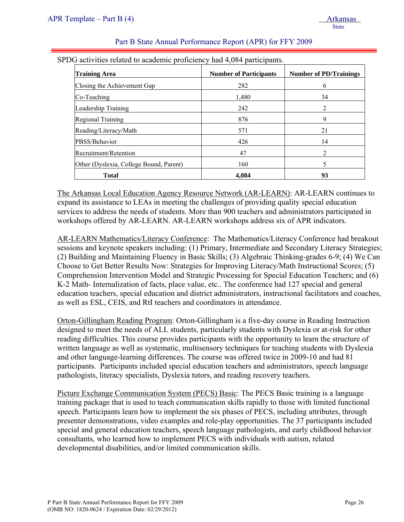| <b>Training Area</b>                    | <b>Number of Participants</b> | <b>Number of PD/Trainings</b> |
|-----------------------------------------|-------------------------------|-------------------------------|
| Closing the Achievement Gap             | 282                           | 6                             |
| Co-Teaching                             | 1,480                         | 34                            |
| Leadership Training                     | 242                           | 2                             |
| Regional Training                       | 876                           | 9                             |
| Reading/Literacy/Math                   | 571                           | 21                            |
| PBSS/Behavior                           | 426                           | 14                            |
| Recruitment/Retention                   | 47                            | $\mathfrak{D}$                |
| Other (Dyslexia, College Bound, Parent) | 160                           | 5                             |
| <b>Total</b>                            | 4.084                         | 93                            |

The Arkansas Local Education Agency Resource Network (AR-LEARN): AR-LEARN continues to expand its assistance to LEAs in meeting the challenges of providing quality special education services to address the needs of students. More than 900 teachers and administrators participated in workshops offered by AR-LEARN. AR-LEARN workshops address six of APR indicators.

AR-LEARN Mathematics/Literacy Conference: The Mathematics/Literacy Conference had breakout sessions and keynote speakers including: (1) Primary, Intermediate and Secondary Literacy Strategies; (2) Building and Maintaining Fluency in Basic Skills; (3) Algebraic Thinking-grades 6-9; (4) We Can Choose to Get Better Results Now: Strategies for Improving Literacy/Math Instructional Scores; (5) Comprehension Intervention Model and Strategic Processing for Special Education Teachers; and (6) K-2 Math- Internalization of facts, place value, etc.. The conference had 127 special and general education teachers, special education and district administrators, instructional facilitators and coaches, as well as ESL, CEIS, and RtI teachers and coordinators in attendance.

Orton-Gillingham Reading Program: Orton-Gillingham is a five-day course in Reading Instruction designed to meet the needs of ALL students, particularly students with Dyslexia or at-risk for other reading difficulties. This course provides participants with the opportunity to learn the structure of written language as well as systematic, multisensory techniques for teaching students with Dyslexia and other language-learning differences. The course was offered twice in 2009-10 and had 81 participants. Participants included special education teachers and administrators, speech language pathologists, literacy specialists, Dyslexia tutors, and reading recovery teachers.

Picture Exchange Communication System (PECS) Basic: The PECS Basic training is a language training package that is used to teach communication skills rapidly to those with limited functional speech. Participants learn how to implement the six phases of PECS, including attributes, through presenter demonstrations, video examples and role-play opportunities. The 37 participants included special and general education teachers, speech language pathologists, and early childhood behavior consultants, who learned how to implement PECS with individuals with autism, related developmental disabilities, and/or limited communication skills.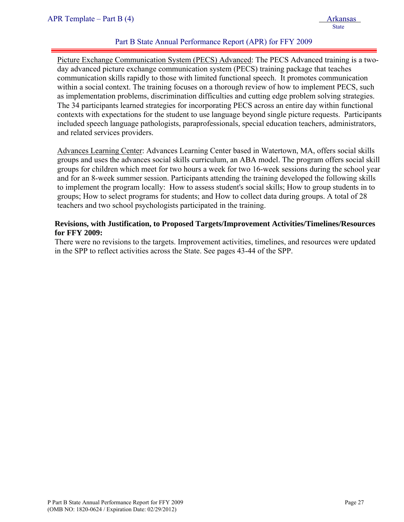Picture Exchange Communication System (PECS) Advanced: The PECS Advanced training is a twoday advanced picture exchange communication system (PECS) training package that teaches communication skills rapidly to those with limited functional speech. It promotes communication within a social context. The training focuses on a thorough review of how to implement PECS, such as implementation problems, discrimination difficulties and cutting edge problem solving strategies. The 34 participants learned strategies for incorporating PECS across an entire day within functional contexts with expectations for the student to use language beyond single picture requests. Participants included speech language pathologists, paraprofessionals, special education teachers, administrators, and related services providers.

Advances Learning Center: Advances Learning Center based in Watertown, MA, offers social skills groups and uses the advances social skills curriculum, an ABA model. The program offers social skill groups for children which meet for two hours a week for two 16-week sessions during the school year and for an 8-week summer session. Participants attending the training developed the following skills to implement the program locally: How to assess student's social skills; How to group students in to groups; How to select programs for students; and How to collect data during groups. A total of 28 teachers and two school psychologists participated in the training.

#### **Revisions, with Justification, to Proposed Targets/Improvement Activities/Timelines/Resources for FFY 2009:**

There were no revisions to the targets. Improvement activities, timelines, and resources were updated in the SPP to reflect activities across the State. See pages 43-44 of the SPP.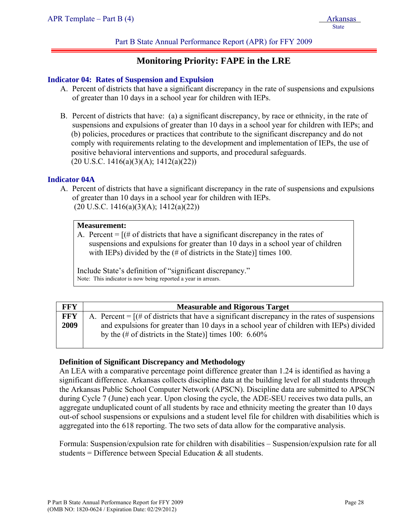## **Monitoring Priority: FAPE in the LRE**

#### **Indicator 04: Rates of Suspension and Expulsion**

- A. Percent of districts that have a significant discrepancy in the rate of suspensions and expulsions of greater than 10 days in a school year for children with IEPs.
- B. Percent of districts that have: (a) a significant discrepancy, by race or ethnicity, in the rate of suspensions and expulsions of greater than 10 days in a school year for children with IEPs; and (b) policies, procedures or practices that contribute to the significant discrepancy and do not comply with requirements relating to the development and implementation of IEPs, the use of positive behavioral interventions and supports, and procedural safeguards.  $(20 \text{ U.S.C. } 1416(a)(3)(A); 1412(a)(22))$

#### **Indicator 04A**

A. Percent of districts that have a significant discrepancy in the rate of suspensions and expulsions of greater than 10 days in a school year for children with IEPs.  $(20 \text{ U.S.C. } 1416(a)(3)(A); 1412(a)(22))$ 

#### **Measurement:**

A. Percent  $=$   $[(# of \, \text{districts} \, \text{that} \, \text{have a significant discrepancy} \, \text{in} \, \text{the rates of} \, \text{in} \, \text{at} \, \text{the rate of} \, \text{in} \, \text{the rate of} \, \text{in} \, \text{the rate of} \, \text{in} \, \text{the rate of} \, \text{in} \, \text{the rate of} \, \text{in} \, \text{the rate of} \, \text{the rate of} \, \text{the rate of} \, \text{the rate of} \, \text{the rate of} \, \text{the rate of} \, \text{the rate of} \, \$ suspensions and expulsions for greater than 10 days in a school year of children with IEPs) divided by the (# of districts in the State)] times 100.

Include State's definition of "significant discrepancy." Note: This indicator is now being reported a year in arrears.

| FFY        | <b>Measurable and Rigorous Target</b>                                                                                                                       |
|------------|-------------------------------------------------------------------------------------------------------------------------------------------------------------|
| <b>FFY</b> | A. Percent $=$ [ $\#$ of districts that have a significant discrepancy in the rates of suspensions                                                          |
| 2009       | and expulsions for greater than 10 days in a school year of children with IEPs) divided<br>by the $(\# \text{ of districts in the State})$ times 100: 6.60% |

#### **Definition of Significant Discrepancy and Methodology**

An LEA with a comparative percentage point difference greater than 1.24 is identified as having a significant difference. Arkansas collects discipline data at the building level for all students through the Arkansas Public School Computer Network (APSCN). Discipline data are submitted to APSCN during Cycle 7 (June) each year. Upon closing the cycle, the ADE-SEU receives two data pulls, an aggregate unduplicated count of all students by race and ethnicity meeting the greater than 10 days out-of school suspensions or expulsions and a student level file for children with disabilities which is aggregated into the 618 reporting. The two sets of data allow for the comparative analysis.

Formula: Suspension/expulsion rate for children with disabilities – Suspension/expulsion rate for all students = Difference between Special Education  $\&$  all students.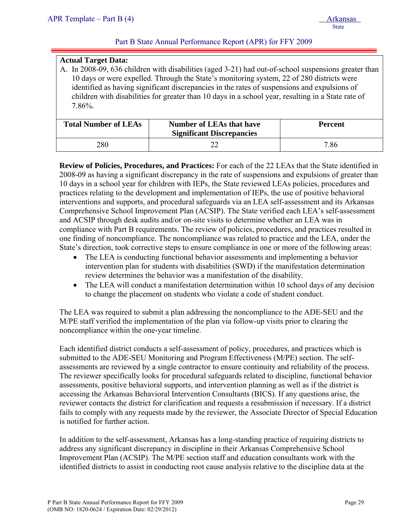#### **Actual Target Data:**

A. In 2008-09, 636 children with disabilities (aged 3-21) had out-of-school suspensions greater than 10 days or were expelled. Through the State's monitoring system, 22 of 280 districts were identified as having significant discrepancies in the rates of suspensions and expulsions of children with disabilities for greater than 10 days in a school year, resulting in a State rate of 7.86%.

| <b>Total Number of LEAs</b> | <b>Number of LEAs that have</b><br><b>Significant Discrepancies</b> | <b>Percent</b> |
|-----------------------------|---------------------------------------------------------------------|----------------|
| 280                         |                                                                     | 7.86           |

**Review of Policies, Procedures, and Practices:** For each of the 22 LEAs that the State identified in 2008-09 as having a significant discrepancy in the rate of suspensions and expulsions of greater than 10 days in a school year for children with IEPs, the State reviewed LEAs policies, procedures and practices relating to the development and implementation of IEPs, the use of positive behavioral interventions and supports, and procedural safeguards via an LEA self-assessment and its Arkansas Comprehensive School Improvement Plan (ACSIP). The State verified each LEA's self-assessment and ACSIP through desk audits and/or on-site visits to determine whether an LEA was in compliance with Part B requirements. The review of policies, procedures, and practices resulted in one finding of noncompliance. The noncompliance was related to practice and the LEA, under the State's direction, took corrective steps to ensure compliance in one or more of the following areas:

- The LEA is conducting functional behavior assessments and implementing a behavior intervention plan for students with disabilities (SWD) if the manifestation determination review determines the behavior was a manifestation of the disability.
- The LEA will conduct a manifestation determination within 10 school days of any decision to change the placement on students who violate a code of student conduct.

The LEA was required to submit a plan addressing the noncompliance to the ADE-SEU and the M/PE staff verified the implementation of the plan via follow-up visits prior to clearing the noncompliance within the one-year timeline.

Each identified district conducts a self-assessment of policy, procedures, and practices which is submitted to the ADE-SEU Monitoring and Program Effectiveness (M/PE) section. The selfassessments are reviewed by a single contractor to ensure continuity and reliability of the process. The reviewer specifically looks for procedural safeguards related to discipline, functional behavior assessments, positive behavioral supports, and intervention planning as well as if the district is accessing the Arkansas Behavioral Intervention Consultants (BICS). If any questions arise, the reviewer contacts the district for clarification and requests a resubmission if necessary. If a district fails to comply with any requests made by the reviewer, the Associate Director of Special Education is notified for further action.

In addition to the self-assessment, Arkansas has a long-standing practice of requiring districts to address any significant discrepancy in discipline in their Arkansas Comprehensive School Improvement Plan (ACSIP). The M/PE section staff and education consultants work with the identified districts to assist in conducting root cause analysis relative to the discipline data at the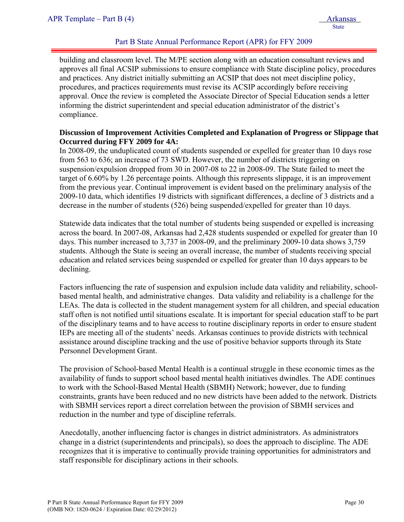building and classroom level. The M/PE section along with an education consultant reviews and approves all final ACSIP submissions to ensure compliance with State discipline policy, procedures and practices. Any district initially submitting an ACSIP that does not meet discipline policy, procedures, and practices requirements must revise its ACSIP accordingly before receiving approval. Once the review is completed the Associate Director of Special Education sends a letter informing the district superintendent and special education administrator of the district's compliance.

#### **Discussion of Improvement Activities Completed and Explanation of Progress or Slippage that Occurred during FFY 2009 for 4A:**

In 2008-09, the unduplicated count of students suspended or expelled for greater than 10 days rose from 563 to 636; an increase of 73 SWD. However, the number of districts triggering on suspension/expulsion dropped from 30 in 2007-08 to 22 in 2008-09. The State failed to meet the target of 6.60% by 1.26 percentage points. Although this represents slippage, it is an improvement from the previous year. Continual improvement is evident based on the preliminary analysis of the 2009-10 data, which identifies 19 districts with significant differences, a decline of 3 districts and a decrease in the number of students (526) being suspended/expelled for greater than 10 days.

Statewide data indicates that the total number of students being suspended or expelled is increasing across the board. In 2007-08, Arkansas had 2,428 students suspended or expelled for greater than 10 days. This number increased to 3,737 in 2008-09, and the preliminary 2009-10 data shows 3,759 students. Although the State is seeing an overall increase, the number of students receiving special education and related services being suspended or expelled for greater than 10 days appears to be declining.

Factors influencing the rate of suspension and expulsion include data validity and reliability, schoolbased mental health, and administrative changes. Data validity and reliability is a challenge for the LEAs. The data is collected in the student management system for all children, and special education staff often is not notified until situations escalate. It is important for special education staff to be part of the disciplinary teams and to have access to routine disciplinary reports in order to ensure student IEPs are meeting all of the students' needs. Arkansas continues to provide districts with technical assistance around discipline tracking and the use of positive behavior supports through its State Personnel Development Grant.

The provision of School-based Mental Health is a continual struggle in these economic times as the availability of funds to support school based mental health initiatives dwindles. The ADE continues to work with the School-Based Mental Health (SBMH) Network; however, due to funding constraints, grants have been reduced and no new districts have been added to the network. Districts with SBMH services report a direct correlation between the provision of SBMH services and reduction in the number and type of discipline referrals.

Anecdotally, another influencing factor is changes in district administrators. As administrators change in a district (superintendents and principals), so does the approach to discipline. The ADE recognizes that it is imperative to continually provide training opportunities for administrators and staff responsible for disciplinary actions in their schools.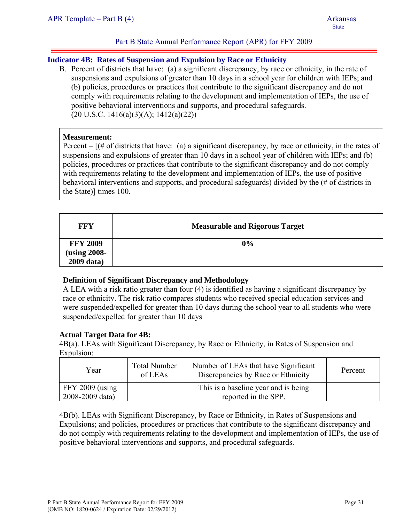#### **Indicator 4B: Rates of Suspension and Expulsion by Race or Ethnicity**

B. Percent of districts that have: (a) a significant discrepancy, by race or ethnicity, in the rate of suspensions and expulsions of greater than 10 days in a school year for children with IEPs; and (b) policies, procedures or practices that contribute to the significant discrepancy and do not comply with requirements relating to the development and implementation of IEPs, the use of positive behavioral interventions and supports, and procedural safeguards.  $(20 \text{ U.S.C. } 1416(a)(3)(A); 1412(a)(22))$ 

#### **Measurement:**

Percent  $=$   $\lceil$  (# of districts that have: (a) a significant discrepancy, by race or ethnicity, in the rates of suspensions and expulsions of greater than 10 days in a school year of children with IEPs; and (b) policies, procedures or practices that contribute to the significant discrepancy and do not comply with requirements relating to the development and implementation of IEPs, the use of positive behavioral interventions and supports, and procedural safeguards) divided by the (# of districts in the State)] times 100.

| FFY             | <b>Measurable and Rigorous Target</b> |
|-----------------|---------------------------------------|
| <b>FFY 2009</b> | $0\%$                                 |
| (using 2008-    |                                       |
| 2009 data)      |                                       |

#### **Definition of Significant Discrepancy and Methodology**

A LEA with a risk ratio greater than four (4) is identified as having a significant discrepancy by race or ethnicity. The risk ratio compares students who received special education services and were suspended/expelled for greater than 10 days during the school year to all students who were suspended/expelled for greater than 10 days

#### **Actual Target Data for 4B:**

 4B(a). LEAs with Significant Discrepancy, by Race or Ethnicity, in Rates of Suspension and Expulsion:

| Year                                 | <b>Total Number</b><br>of LEAs | Number of LEAs that have Significant<br>Discrepancies by Race or Ethnicity | Percent |
|--------------------------------------|--------------------------------|----------------------------------------------------------------------------|---------|
| $FFY$ 2009 (using<br>2008-2009 data) |                                | This is a baseline year and is being<br>reported in the SPP.               |         |

4B(b). LEAs with Significant Discrepancy, by Race or Ethnicity, in Rates of Suspensions and Expulsions; and policies, procedures or practices that contribute to the significant discrepancy and do not comply with requirements relating to the development and implementation of IEPs, the use of positive behavioral interventions and supports, and procedural safeguards.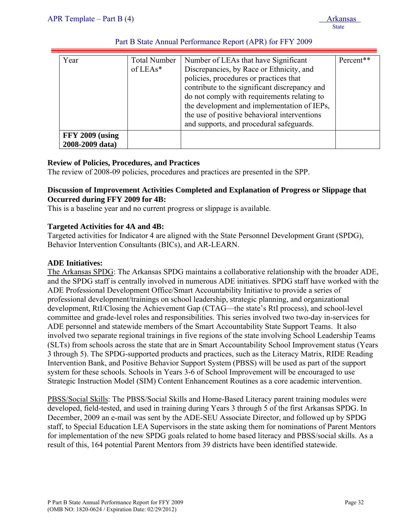| Year                                      | <b>Total Number</b><br>of $LEAs*$ | Number of LEAs that have Significant<br>Discrepancies, by Race or Ethnicity, and<br>policies, procedures or practices that<br>contribute to the significant discrepancy and<br>do not comply with requirements relating to<br>the development and implementation of IEPs,<br>the use of positive behavioral interventions<br>and supports, and procedural safeguards. | Percent** |
|-------------------------------------------|-----------------------------------|-----------------------------------------------------------------------------------------------------------------------------------------------------------------------------------------------------------------------------------------------------------------------------------------------------------------------------------------------------------------------|-----------|
| <b>FFY 2009 (using</b><br>2008-2009 data) |                                   |                                                                                                                                                                                                                                                                                                                                                                       |           |

#### **Review of Policies, Procedures, and Practices**

The review of 2008-09 policies, procedures and practices are presented in the SPP.

#### **Discussion of Improvement Activities Completed and Explanation of Progress or Slippage that Occurred during FFY 2009 for 4B:**

This is a baseline year and no current progress or slippage is available.

#### **Targeted Activities for 4A and 4B:**

Targeted activities for Indicator 4 are aligned with the State Personnel Development Grant (SPDG), Behavior Intervention Consultants (BICs), and AR-LEARN.

#### **ADE Initiatives:**

The Arkansas SPDG: The Arkansas SPDG maintains a collaborative relationship with the broader ADE, and the SPDG staff is centrally involved in numerous ADE initiatives. SPDG staff have worked with the ADE Professional Development Office/Smart Accountability Initiative to provide a series of professional development/trainings on school leadership, strategic planning, and organizational development, RtI/Closing the Achievement Gap (CTAG—the state's RtI process), and school-level committee and grade-level roles and responsibilities. This series involved two two-day in-services for ADE personnel and statewide members of the Smart Accountability State Support Teams. It also involved two separate regional trainings in five regions of the state involving School Leadership Teams (SLTs) from schools across the state that are in Smart Accountability School Improvement status (Years 3 through 5). The SPDG-supported products and practices, such as the Literacy Matrix, RIDE Reading Intervention Bank, and Positive Behavior Support System (PBSS) will be used as part of the support system for these schools. Schools in Years 3-6 of School Improvement will be encouraged to use Strategic Instruction Model (SIM) Content Enhancement Routines as a core academic intervention.

PBSS/Social Skills: The PBSS/Social Skills and Home-Based Literacy parent training modules were developed, field-tested, and used in training during Years 3 through 5 of the first Arkansas SPDG. In December, 2009 an e-mail was sent by the ADE-SEU Associate Director, and followed up by SPDG staff, to Special Education LEA Supervisors in the state asking them for nominations of Parent Mentors for implementation of the new SPDG goals related to home based literacy and PBSS/social skills. As a result of this, 164 potential Parent Mentors from 39 districts have been identified statewide.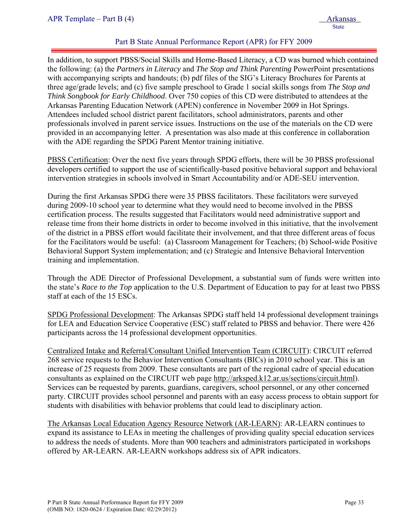In addition, to support PBSS/Social Skills and Home-Based Literacy, a CD was burned which contained the following: (a) the *Partners in Literacy* and *The Stop and Think Parenting* PowerPoint presentations with accompanying scripts and handouts; (b) pdf files of the SIG's Literacy Brochures for Parents at three age/grade levels; and (c) five sample preschool to Grade 1 social skills songs from *The Stop and Think Songbook for Early Childhood*. Over 750 copies of this CD were distributed to attendees at the Arkansas Parenting Education Network (APEN) conference in November 2009 in Hot Springs. Attendees included school district parent facilitators, school administrators, parents and other professionals involved in parent service issues. Instructions on the use of the materials on the CD were provided in an accompanying letter. A presentation was also made at this conference in collaboration with the ADE regarding the SPDG Parent Mentor training initiative.

PBSS Certification: Over the next five years through SPDG efforts, there will be 30 PBSS professional developers certified to support the use of scientifically-based positive behavioral support and behavioral intervention strategies in schools involved in Smart Accountability and/or ADE-SEU intervention.

During the first Arkansas SPDG there were 35 PBSS facilitators. These facilitators were surveyed during 2009-10 school year to determine what they would need to become involved in the PBSS certification process. The results suggested that Facilitators would need administrative support and release time from their home districts in order to become involved in this initiative, that the involvement of the district in a PBSS effort would facilitate their involvement, and that three different areas of focus for the Facilitators would be useful: (a) Classroom Management for Teachers; (b) School-wide Positive Behavioral Support System implementation; and (c) Strategic and Intensive Behavioral Intervention training and implementation.

Through the ADE Director of Professional Development, a substantial sum of funds were written into the state's *Race to the Top* application to the U.S. Department of Education to pay for at least two PBSS staff at each of the 15 ESCs.

SPDG Professional Development: The Arkansas SPDG staff held 14 professional development trainings for LEA and Education Service Cooperative (ESC) staff related to PBSS and behavior. There were 426 participants across the 14 professional development opportunities.

Centralized Intake and Referral/Consultant Unified Intervention Team (CIRCUIT): CIRCUIT referred 268 service requests to the Behavior Intervention Consultants (BICs) in 2010 school year. This is an increase of 25 requests from 2009. These consultants are part of the regional cadre of special education consultants as explained on the CIRCUIT web page http://arksped.k12.ar.us/sections/circuit.html). Services can be requested by parents, guardians, caregivers, school personnel, or any other concerned party. CIRCUIT provides school personnel and parents with an easy access process to obtain support for students with disabilities with behavior problems that could lead to disciplinary action.

The Arkansas Local Education Agency Resource Network (AR-LEARN): AR-LEARN continues to expand its assistance to LEAs in meeting the challenges of providing quality special education services to address the needs of students. More than 900 teachers and administrators participated in workshops offered by AR-LEARN. AR-LEARN workshops address six of APR indicators.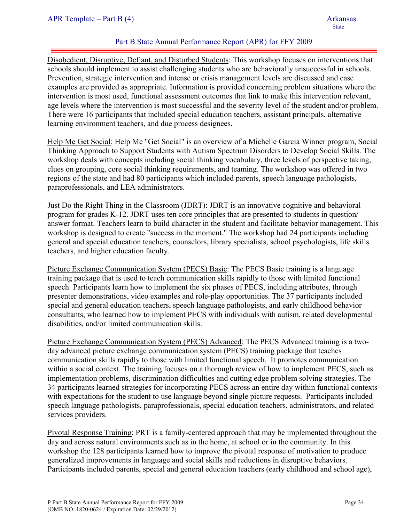Disobedient, Disruptive, Defiant, and Disturbed Students: This workshop focuses on interventions that schools should implement to assist challenging students who are behaviorally unsuccessful in schools. Prevention, strategic intervention and intense or crisis management levels are discussed and case examples are provided as appropriate. Information is provided concerning problem situations where the intervention is most used, functional assessment outcomes that link to make this intervention relevant, age levels where the intervention is most successful and the severity level of the student and/or problem. There were 16 participants that included special education teachers, assistant principals, alternative learning environment teachers, and due process designees.

Help Me Get Social: Help Me "Get Social" is an overview of a Michelle Garcia Winner program, Social Thinking Approach to Support Students with Autism Spectrum Disorders to Develop Social Skills. The workshop deals with concepts including social thinking vocabulary, three levels of perspective taking, clues on grouping, core social thinking requirements, and teaming. The workshop was offered in two regions of the state and had 80 participants which included parents, speech language pathologists, paraprofessionals, and LEA administrators.

Just Do the Right Thing in the Classroom (JDRT): JDRT is an innovative cognitive and behavioral program for grades K-12. JDRT uses ten core principles that are presented to students in question/ answer format. Teachers learn to build character in the student and facilitate behavior management. This workshop is designed to create "success in the moment." The workshop had 24 participants including general and special education teachers, counselors, library specialists, school psychologists, life skills teachers, and higher education faculty.

Picture Exchange Communication System (PECS) Basic: The PECS Basic training is a language training package that is used to teach communication skills rapidly to those with limited functional speech. Participants learn how to implement the six phases of PECS, including attributes, through presenter demonstrations, video examples and role-play opportunities. The 37 participants included special and general education teachers, speech language pathologists, and early childhood behavior consultants, who learned how to implement PECS with individuals with autism, related developmental disabilities, and/or limited communication skills.

Picture Exchange Communication System (PECS) Advanced: The PECS Advanced training is a twoday advanced picture exchange communication system (PECS) training package that teaches communication skills rapidly to those with limited functional speech. It promotes communication within a social context. The training focuses on a thorough review of how to implement PECS, such as implementation problems, discrimination difficulties and cutting edge problem solving strategies. The 34 participants learned strategies for incorporating PECS across an entire day within functional contexts with expectations for the student to use language beyond single picture requests. Participants included speech language pathologists, paraprofessionals, special education teachers, administrators, and related services providers.

Pivotal Response Training: PRT is a family-centered approach that may be implemented throughout the day and across natural environments such as in the home, at school or in the community. In this workshop the 128 participants learned how to improve the pivotal response of motivation to produce generalized improvements in language and social skills and reductions in disruptive behaviors. Participants included parents, special and general education teachers (early childhood and school age),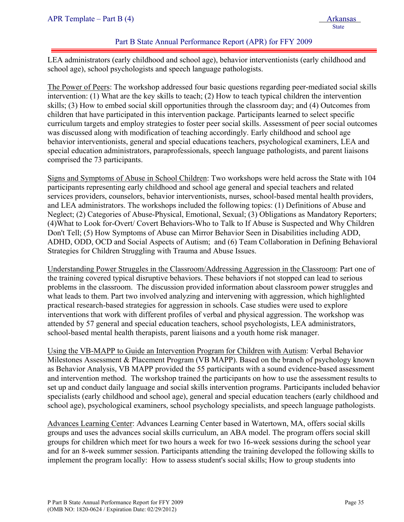LEA administrators (early childhood and school age), behavior interventionists (early childhood and school age), school psychologists and speech language pathologists.

The Power of Peers: The workshop addressed four basic questions regarding peer-mediated social skills intervention: (1) What are the key skills to teach; (2) How to teach typical children the intervention skills; (3) How to embed social skill opportunities through the classroom day; and (4) Outcomes from children that have participated in this intervention package. Participants learned to select specific curriculum targets and employ strategies to foster peer social skills. Assessment of peer social outcomes was discussed along with modification of teaching accordingly. Early childhood and school age behavior interventionists, general and special educations teachers, psychological examiners, LEA and special education administrators, paraprofessionals, speech language pathologists, and parent liaisons comprised the 73 participants.

Signs and Symptoms of Abuse in School Children: Two workshops were held across the State with 104 participants representing early childhood and school age general and special teachers and related services providers, counselors, behavior interventionists, nurses, school-based mental health providers, and LEA administrators. The workshops included the following topics: (1) Definitions of Abuse and Neglect; (2) Categories of Abuse-Physical, Emotional, Sexual; (3) Obligations as Mandatory Reporters; (4)What to Look for-Overt/ Covert Behaviors-Who to Talk to If Abuse is Suspected and Why Children Don't Tell; (5) How Symptoms of Abuse can Mirror Behavior Seen in Disabilities including ADD, ADHD, ODD, OCD and Social Aspects of Autism; and (6) Team Collaboration in Defining Behavioral Strategies for Children Struggling with Trauma and Abuse Issues.

Understanding Power Struggles in the Classroom/Addressing Aggression in the Classroom: Part one of the training covered typical disruptive behaviors. These behaviors if not stopped can lead to serious problems in the classroom. The discussion provided information about classroom power struggles and what leads to them. Part two involved analyzing and intervening with aggression, which highlighted practical research-based strategies for aggression in schools. Case studies were used to explore interventions that work with different profiles of verbal and physical aggression. The workshop was attended by 57 general and special education teachers, school psychologists, LEA administrators, school-based mental health therapists, parent liaisons and a youth home risk manager.

Using the VB-MAPP to Guide an Intervention Program for Children with Autism: Verbal Behavior Milestones Assessment & Placement Program (VB MAPP). Based on the branch of psychology known as Behavior Analysis, VB MAPP provided the 55 participants with a sound evidence-based assessment and intervention method. The workshop trained the participants on how to use the assessment results to set up and conduct daily language and social skills intervention programs. Participants included behavior specialists (early childhood and school age), general and special education teachers (early childhood and school age), psychological examiners, school psychology specialists, and speech language pathologists.

Advances Learning Center: Advances Learning Center based in Watertown, MA, offers social skills groups and uses the advances social skills curriculum, an ABA model. The program offers social skill groups for children which meet for two hours a week for two 16-week sessions during the school year and for an 8-week summer session. Participants attending the training developed the following skills to implement the program locally: How to assess student's social skills; How to group students into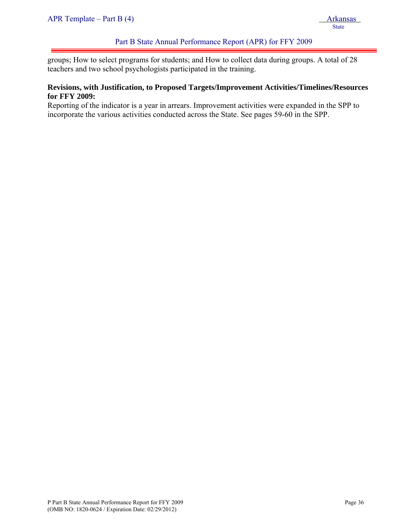groups; How to select programs for students; and How to collect data during groups. A total of 28 teachers and two school psychologists participated in the training.

#### **Revisions, with Justification, to Proposed Targets/Improvement Activities/Timelines/Resources for FFY 2009:**

Reporting of the indicator is a year in arrears. Improvement activities were expanded in the SPP to incorporate the various activities conducted across the State. See pages 59-60 in the SPP.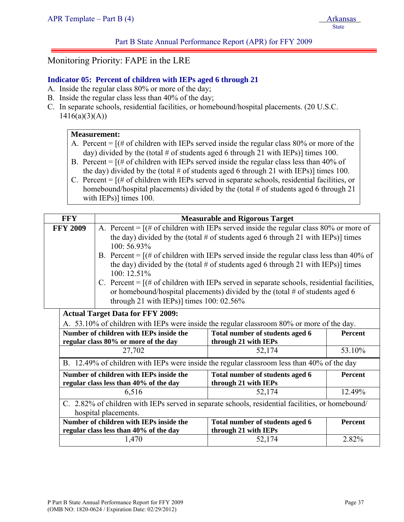# Monitoring Priority: FAPE in the LRE

## **Indicator 05: Percent of children with IEPs aged 6 through 21**

- A. Inside the regular class 80% or more of the day;
- B. Inside the regular class less than 40% of the day;
- C. In separate schools, residential facilities, or homebound/hospital placements. (20 U.S.C.  $1416(a)(3)(A))$

### **Measurement:**

- A. Percent  $=$  [ $\#$  of children with IEPs served inside the regular class 80% or more of the day) divided by the (total # of students aged 6 through 21 with IEPs)] times 100.
- B. Percent  $=$   $[(# of children with IEPs served inside the regular class less than 40% of$ the day) divided by the (total  $\#$  of students aged 6 through 21 with IEPs)] times 100.
- C. Percent = [(# of children with IEPs served in separate schools, residential facilities, or homebound/hospital placements) divided by the (total # of students aged 6 through 21 with IEPs)] times 100.

| <b>FFY</b>      |                                                                                    | <b>Measurable and Rigorous Target</b>                                                                                                                                                                                                                                                                                                                                                                                                                                                                                                       |         |  |  |  |
|-----------------|------------------------------------------------------------------------------------|---------------------------------------------------------------------------------------------------------------------------------------------------------------------------------------------------------------------------------------------------------------------------------------------------------------------------------------------------------------------------------------------------------------------------------------------------------------------------------------------------------------------------------------------|---------|--|--|--|
| <b>FFY 2009</b> | 100:56.93%<br>100: 12.51%<br>through 21 with IEPs)] times $100: 02.56\%$           | A. Percent = $[(# of children with IEPs served inside the regular class 80% or more of$<br>the day) divided by the (total # of students aged 6 through 21 with IEPs)] times<br>B. Percent = $[(# of children with IEPs served inside the regular class less than 40% of$<br>the day) divided by the (total # of students aged 6 through 21 with IEPs)] times<br>C. Percent = $[(# of children with IEPs served in separate schools, residual facilities,$<br>or homebound/hospital placements) divided by the (total $#$ of students aged 6 |         |  |  |  |
|                 | <b>Actual Target Data for FFY 2009:</b><br>Number of children with IEPs inside the | A. 53.10% of children with IEPs were inside the regular classroom 80% or more of the day.<br>Total number of students aged 6<br><b>Percent</b>                                                                                                                                                                                                                                                                                                                                                                                              |         |  |  |  |
|                 | regular class 80% or more of the day<br>27,702                                     | through 21 with IEPs<br>52,174                                                                                                                                                                                                                                                                                                                                                                                                                                                                                                              | 53.10%  |  |  |  |
|                 |                                                                                    | B. 12.49% of children with IEPs were inside the regular classroom less than 40% of the day                                                                                                                                                                                                                                                                                                                                                                                                                                                  |         |  |  |  |
|                 | Number of children with IEPs inside the<br>regular class less than 40% of the day  | Total number of students aged 6<br>through 21 with IEPs                                                                                                                                                                                                                                                                                                                                                                                                                                                                                     | Percent |  |  |  |
|                 | 6,516                                                                              | 12.49%<br>52,174                                                                                                                                                                                                                                                                                                                                                                                                                                                                                                                            |         |  |  |  |
|                 | hospital placements.                                                               | C. 2.82% of children with IEPs served in separate schools, residential facilities, or homebound/                                                                                                                                                                                                                                                                                                                                                                                                                                            |         |  |  |  |
|                 | Number of children with IEPs inside the<br>regular class less than 40% of the day  | Total number of students aged 6<br>through 21 with IEPs                                                                                                                                                                                                                                                                                                                                                                                                                                                                                     | Percent |  |  |  |
|                 | 1,470                                                                              | 52,174                                                                                                                                                                                                                                                                                                                                                                                                                                                                                                                                      | 2.82%   |  |  |  |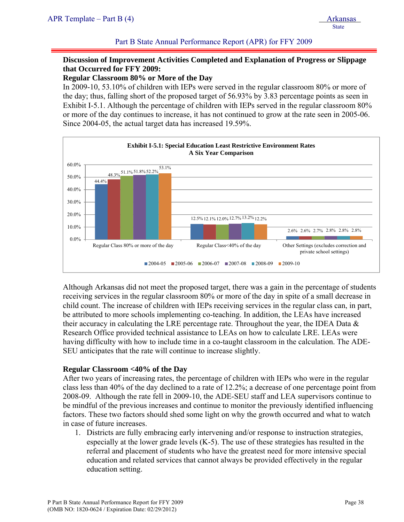# **Discussion of Improvement Activities Completed and Explanation of Progress or Slippage that Occurred for FFY 2009:**

**Regular Classroom 80% or More of the Day** 

In 2009-10, 53.10% of children with IEPs were served in the regular classroom 80% or more of the day; thus, falling short of the proposed target of 56.93% by 3.83 percentage points as seen in Exhibit I-5.1. Although the percentage of children with IEPs served in the regular classroom 80% or more of the day continues to increase, it has not continued to grow at the rate seen in 2005-06. Since 2004-05, the actual target data has increased 19.59%.



Although Arkansas did not meet the proposed target, there was a gain in the percentage of students receiving services in the regular classroom 80% or more of the day in spite of a small decrease in child count. The increase of children with IEPs receiving services in the regular class can, in part, be attributed to more schools implementing co-teaching. In addition, the LEAs have increased their accuracy in calculating the LRE percentage rate. Throughout the year, the IDEA Data  $\&$ Research Office provided technical assistance to LEAs on how to calculate LRE. LEAs were having difficulty with how to include time in a co-taught classroom in the calculation. The ADE-SEU anticipates that the rate will continue to increase slightly.

### **Regular Classroom <40% of the Day**

After two years of increasing rates, the percentage of children with IEPs who were in the regular class less than 40% of the day declined to a rate of 12.2%; a decrease of one percentage point from 2008-09. Although the rate fell in 2009-10, the ADE-SEU staff and LEA supervisors continue to be mindful of the previous increases and continue to monitor the previously identified influencing factors. These two factors should shed some light on why the growth occurred and what to watch in case of future increases.

1. Districts are fully embracing early intervening and/or response to instruction strategies, especially at the lower grade levels (K-5). The use of these strategies has resulted in the referral and placement of students who have the greatest need for more intensive special education and related services that cannot always be provided effectively in the regular education setting.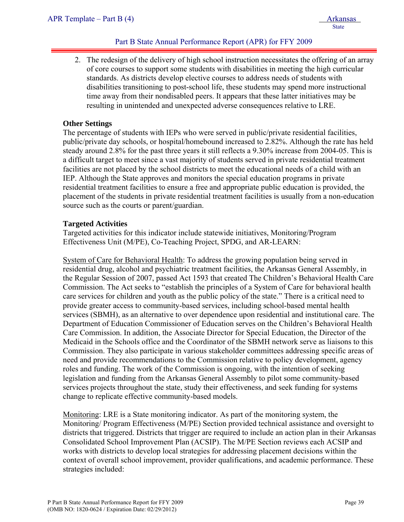2. The redesign of the delivery of high school instruction necessitates the offering of an array of core courses to support some students with disabilities in meeting the high curricular standards. As districts develop elective courses to address needs of students with disabilities transitioning to post-school life, these students may spend more instructional time away from their nondisabled peers. It appears that these latter initiatives may be resulting in unintended and unexpected adverse consequences relative to LRE.

### **Other Settings**

The percentage of students with IEPs who were served in public/private residential facilities, public/private day schools, or hospital/homebound increased to 2.82%. Although the rate has held steady around 2.8% for the past three years it still reflects a 9.30% increase from 2004-05. This is a difficult target to meet since a vast majority of students served in private residential treatment facilities are not placed by the school districts to meet the educational needs of a child with an IEP. Although the State approves and monitors the special education programs in private residential treatment facilities to ensure a free and appropriate public education is provided, the placement of the students in private residential treatment facilities is usually from a non-education source such as the courts or parent/guardian.

#### **Targeted Activities**

Targeted activities for this indicator include statewide initiatives, Monitoring/Program Effectiveness Unit (M/PE), Co-Teaching Project, SPDG, and AR-LEARN:

System of Care for Behavioral Health: To address the growing population being served in residential drug, alcohol and psychiatric treatment facilities, the Arkansas General Assembly, in the Regular Session of 2007, passed Act 1593 that created The Children's Behavioral Health Care Commission. The Act seeks to "establish the principles of a System of Care for behavioral health care services for children and youth as the public policy of the state." There is a critical need to provide greater access to community-based services, including school-based mental health services (SBMH), as an alternative to over dependence upon residential and institutional care. The Department of Education Commissioner of Education serves on the Children's Behavioral Health Care Commission. In addition, the Associate Director for Special Education, the Director of the Medicaid in the Schools office and the Coordinator of the SBMH network serve as liaisons to this Commission. They also participate in various stakeholder committees addressing specific areas of need and provide recommendations to the Commission relative to policy development, agency roles and funding. The work of the Commission is ongoing, with the intention of seeking legislation and funding from the Arkansas General Assembly to pilot some community-based services projects throughout the state, study their effectiveness, and seek funding for systems change to replicate effective community-based models.

Monitoring: LRE is a State monitoring indicator. As part of the monitoring system, the Monitoring/ Program Effectiveness (M/PE) Section provided technical assistance and oversight to districts that triggered. Districts that trigger are required to include an action plan in their Arkansas Consolidated School Improvement Plan (ACSIP). The M/PE Section reviews each ACSIP and works with districts to develop local strategies for addressing placement decisions within the context of overall school improvement, provider qualifications, and academic performance. These strategies included: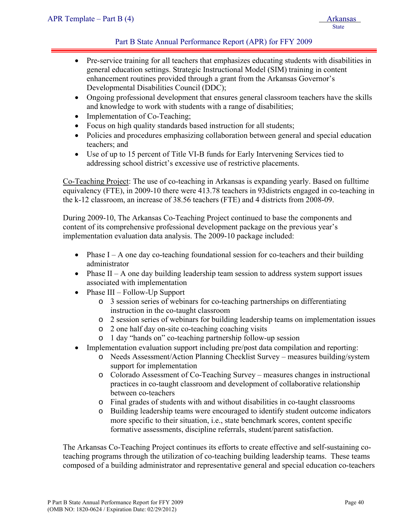- Pre-service training for all teachers that emphasizes educating students with disabilities in general education settings. Strategic Instructional Model (SIM) training in content enhancement routines provided through a grant from the Arkansas Governor's Developmental Disabilities Council (DDC);
- Ongoing professional development that ensures general classroom teachers have the skills and knowledge to work with students with a range of disabilities;
- Implementation of Co-Teaching;
- Focus on high quality standards based instruction for all students;
- Policies and procedures emphasizing collaboration between general and special education teachers; and
- Use of up to 15 percent of Title VI-B funds for Early Intervening Services tied to addressing school district's excessive use of restrictive placements.

Co-Teaching Project: The use of co-teaching in Arkansas is expanding yearly. Based on fulltime equivalency (FTE), in 2009-10 there were 413.78 teachers in 93districts engaged in co-teaching in the k-12 classroom, an increase of 38.56 teachers (FTE) and 4 districts from 2008-09.

During 2009-10, The Arkansas Co-Teaching Project continued to base the components and content of its comprehensive professional development package on the previous year's implementation evaluation data analysis. The 2009-10 package included:

- Phase  $I A$  one day co-teaching foundational session for co-teachers and their building administrator
- Phase  $II A$  one day building leadership team session to address system support issues associated with implementation
- Phase III Follow-Up Support
	- o 3 session series of webinars for co-teaching partnerships on differentiating instruction in the co-taught classroom
	- o 2 session series of webinars for building leadership teams on implementation issues
	- o 2 one half day on-site co-teaching coaching visits
	- o 1 day "hands on" co-teaching partnership follow-up session
- Implementation evaluation support including pre/post data compilation and reporting:
	- o Needs Assessment/Action Planning Checklist Survey measures building/system support for implementation
	- o Colorado Assessment of Co-Teaching Survey measures changes in instructional practices in co-taught classroom and development of collaborative relationship between co-teachers
	- o Final grades of students with and without disabilities in co-taught classrooms
	- o Building leadership teams were encouraged to identify student outcome indicators more specific to their situation, i.e., state benchmark scores, content specific formative assessments, discipline referrals, student/parent satisfaction.

The Arkansas Co-Teaching Project continues its efforts to create effective and self-sustaining coteaching programs through the utilization of co-teaching building leadership teams. These teams composed of a building administrator and representative general and special education co-teachers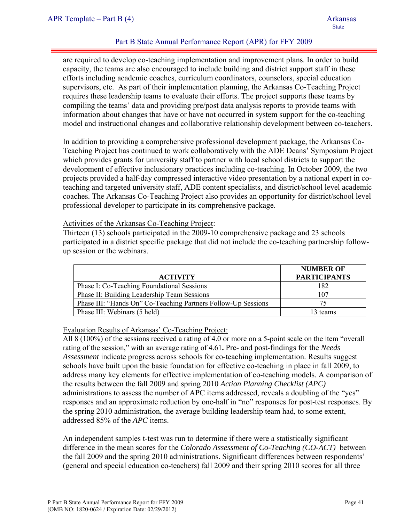are required to develop co-teaching implementation and improvement plans. In order to build capacity, the teams are also encouraged to include building and district support staff in these efforts including academic coaches, curriculum coordinators, counselors, special education supervisors, etc. As part of their implementation planning, the Arkansas Co-Teaching Project requires these leadership teams to evaluate their efforts. The project supports these teams by compiling the teams' data and providing pre/post data analysis reports to provide teams with information about changes that have or have not occurred in system support for the co-teaching model and instructional changes and collaborative relationship development between co-teachers.

In addition to providing a comprehensive professional development package, the Arkansas Co-Teaching Project has continued to work collaboratively with the ADE Deans' Symposium Project which provides grants for university staff to partner with local school districts to support the development of effective inclusionary practices including co-teaching. In October 2009, the two projects provided a half-day compressed interactive video presentation by a national expert in coteaching and targeted university staff, ADE content specialists, and district/school level academic coaches. The Arkansas Co-Teaching Project also provides an opportunity for district/school level professional developer to participate in its comprehensive package.

#### Activities of the Arkansas Co-Teaching Project:

Thirteen (13) schools participated in the 2009-10 comprehensive package and 23 schools participated in a district specific package that did not include the co-teaching partnership followup session or the webinars.

|                                                               | <b>NUMBER OF</b>    |
|---------------------------------------------------------------|---------------------|
| <b>ACTIVITY</b>                                               | <b>PARTICIPANTS</b> |
| Phase I: Co-Teaching Foundational Sessions                    | 182                 |
| Phase II: Building Leadership Team Sessions                   | 107                 |
| Phase III: "Hands On" Co-Teaching Partners Follow-Up Sessions |                     |
| Phase III: Webinars (5 held)                                  | 13 teams            |

### Evaluation Results of Arkansas' Co-Teaching Project:

All 8 (100%) of the sessions received a rating of 4.0 or more on a 5-point scale on the item "overall rating of the session," with an average rating of 4.61**.** Pre- and post-findings for the *Needs Assessment* indicate progress across schools for co-teaching implementation. Results suggest schools have built upon the basic foundation for effective co-teaching in place in fall 2009, to address many key elements for effective implementation of co-teaching models. A comparison of the results between the fall 2009 and spring 2010 *Action Planning Checklist (APC)* administrations to assess the number of APC items addressed, reveals a doubling of the "yes" responses and an approximate reduction by one-half in "no" responses for post-test responses. By the spring 2010 administration, the average building leadership team had, to some extent, addressed 85% of the *APC* items.

An independent samples t-test was run to determine if there were a statistically significant difference in the mean scores for the *Colorado Assessment of Co-Teaching (CO-ACT)* between the fall 2009 and the spring 2010 administrations. Significant differences between respondents' (general and special education co-teachers) fall 2009 and their spring 2010 scores for all three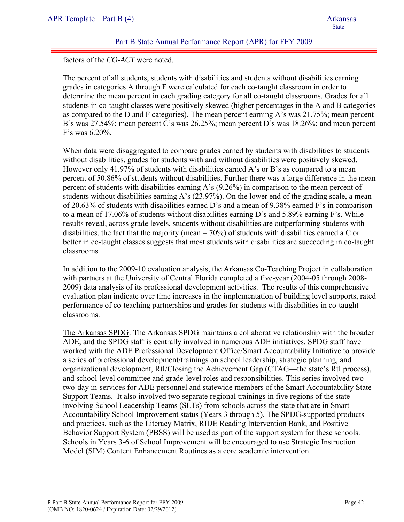State State State State State State State State State State State State State State State State State State State State State State State State State State State State State State State State State State State State State

## Part B State Annual Performance Report (APR) for FFY 2009

factors of the *CO-ACT* were noted.

The percent of all students, students with disabilities and students without disabilities earning grades in categories A through F were calculated for each co-taught classroom in order to determine the mean percent in each grading category for all co-taught classrooms. Grades for all students in co-taught classes were positively skewed (higher percentages in the A and B categories as compared to the D and F categories). The mean percent earning A's was 21.75%; mean percent B's was 27.54%; mean percent C's was 26.25%; mean percent D's was 18.26%; and mean percent F's was 6.20%.

When data were disaggregated to compare grades earned by students with disabilities to students without disabilities, grades for students with and without disabilities were positively skewed. However only 41.97% of students with disabilities earned A's or B's as compared to a mean percent of 50.86% of students without disabilities. Further there was a large difference in the mean percent of students with disabilities earning A's (9.26%) in comparison to the mean percent of students without disabilities earning A's (23.97%). On the lower end of the grading scale, a mean of 20.63% of students with disabilities earned D's and a mean of 9.38% earned F's in comparison to a mean of 17.06% of students without disabilities earning D's and 5.89% earning F's. While results reveal, across grade levels, students without disabilities are outperforming students with disabilities, the fact that the majority (mean  $= 70\%$ ) of students with disabilities earned a C or better in co-taught classes suggests that most students with disabilities are succeeding in co-taught classrooms.

In addition to the 2009-10 evaluation analysis, the Arkansas Co-Teaching Project in collaboration with partners at the University of Central Florida completed a five-year (2004-05 through 2008- 2009) data analysis of its professional development activities. The results of this comprehensive evaluation plan indicate over time increases in the implementation of building level supports, rated performance of co-teaching partnerships and grades for students with disabilities in co-taught classrooms.

The Arkansas SPDG: The Arkansas SPDG maintains a collaborative relationship with the broader ADE, and the SPDG staff is centrally involved in numerous ADE initiatives. SPDG staff have worked with the ADE Professional Development Office/Smart Accountability Initiative to provide a series of professional development/trainings on school leadership, strategic planning, and organizational development, RtI/Closing the Achievement Gap (CTAG—the state's RtI process), and school-level committee and grade-level roles and responsibilities. This series involved two two-day in-services for ADE personnel and statewide members of the Smart Accountability State Support Teams. It also involved two separate regional trainings in five regions of the state involving School Leadership Teams (SLTs) from schools across the state that are in Smart Accountability School Improvement status (Years 3 through 5). The SPDG-supported products and practices, such as the Literacy Matrix, RIDE Reading Intervention Bank, and Positive Behavior Support System (PBSS) will be used as part of the support system for these schools. Schools in Years 3-6 of School Improvement will be encouraged to use Strategic Instruction Model (SIM) Content Enhancement Routines as a core academic intervention.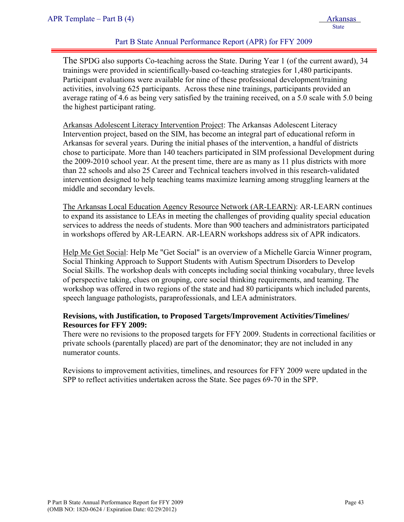The SPDG also supports Co-teaching across the State. During Year 1 (of the current award), 34 trainings were provided in scientifically-based co-teaching strategies for 1,480 participants. Participant evaluations were available for nine of these professional development/training activities, involving 625 participants. Across these nine trainings, participants provided an average rating of 4.6 as being very satisfied by the training received, on a 5.0 scale with 5.0 being the highest participant rating.

Arkansas Adolescent Literacy Intervention Project: The Arkansas Adolescent Literacy Intervention project, based on the SIM, has become an integral part of educational reform in Arkansas for several years. During the initial phases of the intervention, a handful of districts chose to participate. More than 140 teachers participated in SIM professional Development during the 2009-2010 school year. At the present time, there are as many as 11 plus districts with more than 22 schools and also 25 Career and Technical teachers involved in this research-validated intervention designed to help teaching teams maximize learning among struggling learners at the middle and secondary levels.

The Arkansas Local Education Agency Resource Network (AR-LEARN): AR-LEARN continues to expand its assistance to LEAs in meeting the challenges of providing quality special education services to address the needs of students. More than 900 teachers and administrators participated in workshops offered by AR-LEARN. AR-LEARN workshops address six of APR indicators.

Help Me Get Social: Help Me "Get Social" is an overview of a Michelle Garcia Winner program, Social Thinking Approach to Support Students with Autism Spectrum Disorders to Develop Social Skills. The workshop deals with concepts including social thinking vocabulary, three levels of perspective taking, clues on grouping, core social thinking requirements, and teaming. The workshop was offered in two regions of the state and had 80 participants which included parents, speech language pathologists, paraprofessionals, and LEA administrators.

### **Revisions, with Justification, to Proposed Targets/Improvement Activities/Timelines/ Resources for FFY 2009:**

There were no revisions to the proposed targets for FFY 2009. Students in correctional facilities or private schools (parentally placed) are part of the denominator; they are not included in any numerator counts.

Revisions to improvement activities, timelines, and resources for FFY 2009 were updated in the SPP to reflect activities undertaken across the State. See pages 69-70 in the SPP.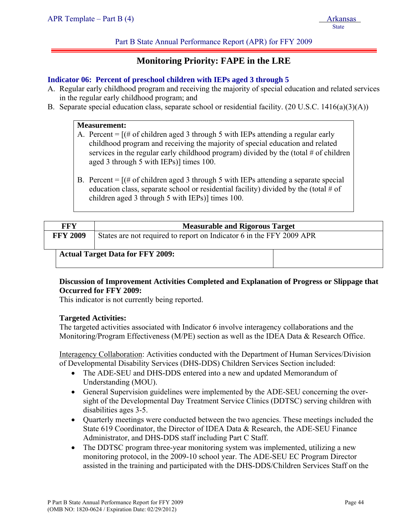# **Monitoring Priority: FAPE in the LRE**

#### **Indicator 06: Percent of preschool children with IEPs aged 3 through 5**

- A. Regular early childhood program and receiving the majority of special education and related services in the regular early childhood program; and
- B. Separate special education class, separate school or residential facility. (20 U.S.C. 1416(a)(3)(A))

#### **Measurement:**

- A. Percent = [(# of children aged 3 through 5 with IEPs attending a regular early childhood program and receiving the majority of special education and related services in the regular early childhood program) divided by the (total  $#$  of children aged 3 through 5 with IEPs)] times 100.
- B. Percent  $=$   $[(# of children aged 3 through 5 with IEPs attending a separate special]$ education class, separate school or residential facility) divided by the (total  $\#$  of children aged 3 through 5 with IEPs)] times 100.

| <b>FFY</b>      | <b>Measurable and Rigorous Target</b>                                |  |  |  |  |  |  |
|-----------------|----------------------------------------------------------------------|--|--|--|--|--|--|
| <b>FFY 2009</b> | States are not required to report on Indicator 6 in the FFY 2009 APR |  |  |  |  |  |  |
|                 | <b>Actual Target Data for FFY 2009:</b>                              |  |  |  |  |  |  |

### **Discussion of Improvement Activities Completed and Explanation of Progress or Slippage that Occurred for FFY 2009:**

This indicator is not currently being reported.

#### **Targeted Activities:**

The targeted activities associated with Indicator 6 involve interagency collaborations and the Monitoring/Program Effectiveness (M/PE) section as well as the IDEA Data & Research Office.

Interagency Collaboration: Activities conducted with the Department of Human Services/Division of Developmental Disability Services (DHS-DDS) Children Services Section included:

- The ADE-SEU and DHS-DDS entered into a new and updated Memorandum of Understanding (MOU).
- General Supervision guidelines were implemented by the ADE-SEU concerning the oversight of the Developmental Day Treatment Service Clinics (DDTSC) serving children with disabilities ages 3-5.
- Quarterly meetings were conducted between the two agencies. These meetings included the State 619 Coordinator, the Director of IDEA Data & Research, the ADE-SEU Finance Administrator, and DHS-DDS staff including Part C Staff.
- The DDTSC program three-year monitoring system was implemented, utilizing a new monitoring protocol, in the 2009-10 school year. The ADE-SEU EC Program Director assisted in the training and participated with the DHS-DDS/Children Services Staff on the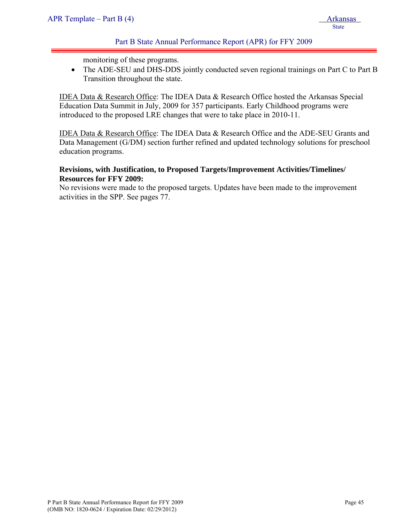monitoring of these programs.

• The ADE-SEU and DHS-DDS jointly conducted seven regional trainings on Part C to Part B Transition throughout the state.

IDEA Data & Research Office: The IDEA Data & Research Office hosted the Arkansas Special Education Data Summit in July, 2009 for 357 participants. Early Childhood programs were introduced to the proposed LRE changes that were to take place in 2010-11.

IDEA Data & Research Office: The IDEA Data & Research Office and the ADE-SEU Grants and Data Management (G/DM) section further refined and updated technology solutions for preschool education programs.

# **Revisions, with Justification, to Proposed Targets/Improvement Activities/Timelines/ Resources for FFY 2009:**

No revisions were made to the proposed targets. Updates have been made to the improvement activities in the SPP. See pages 77.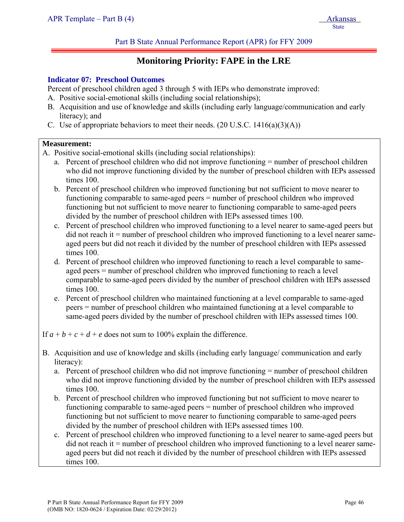# **Monitoring Priority: FAPE in the LRE**

#### **Indicator 07: Preschool Outcomes**

Percent of preschool children aged 3 through 5 with IEPs who demonstrate improved:

- A. Positive social-emotional skills (including social relationships);
- B. Acquisition and use of knowledge and skills (including early language/communication and early literacy); and
- C. Use of appropriate behaviors to meet their needs.  $(20 \text{ U.S.C. } 1416(a)(3)(\text{A}))$

#### **Measurement:**

- A. Positive social-emotional skills (including social relationships):
	- a. Percent of preschool children who did not improve functioning = number of preschool children who did not improve functioning divided by the number of preschool children with IEPs assessed times 100.
	- b. Percent of preschool children who improved functioning but not sufficient to move nearer to functioning comparable to same-aged peers = number of preschool children who improved functioning but not sufficient to move nearer to functioning comparable to same-aged peers divided by the number of preschool children with IEPs assessed times 100.
	- c. Percent of preschool children who improved functioning to a level nearer to same-aged peers but did not reach it = number of preschool children who improved functioning to a level nearer sameaged peers but did not reach it divided by the number of preschool children with IEPs assessed times 100.
	- d. Percent of preschool children who improved functioning to reach a level comparable to sameaged peers = number of preschool children who improved functioning to reach a level comparable to same-aged peers divided by the number of preschool children with IEPs assessed times 100.
	- e. Percent of preschool children who maintained functioning at a level comparable to same-aged peers = number of preschool children who maintained functioning at a level comparable to same-aged peers divided by the number of preschool children with IEPs assessed times 100.

If  $a + b + c + d + e$  does not sum to 100% explain the difference.

- B. Acquisition and use of knowledge and skills (including early language/ communication and early literacy):
	- a. Percent of preschool children who did not improve functioning = number of preschool children who did not improve functioning divided by the number of preschool children with IEPs assessed times 100.
	- b. Percent of preschool children who improved functioning but not sufficient to move nearer to functioning comparable to same-aged peers = number of preschool children who improved functioning but not sufficient to move nearer to functioning comparable to same-aged peers divided by the number of preschool children with IEPs assessed times 100.
	- c. Percent of preschool children who improved functioning to a level nearer to same-aged peers but did not reach it = number of preschool children who improved functioning to a level nearer sameaged peers but did not reach it divided by the number of preschool children with IEPs assessed times 100.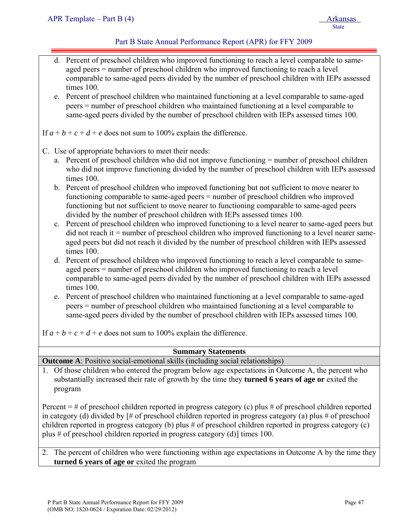| e.          | d. Percent of preschool children who improved functioning to reach a level comparable to same-<br>aged peers = number of preschool children who improved functioning to reach a level<br>comparable to same-aged peers divided by the number of preschool children with IEPs assessed<br>times 100.<br>Percent of preschool children who maintained functioning at a level comparable to same-aged<br>peers = number of preschool children who maintained functioning at a level comparable to<br>same-aged peers divided by the number of preschool children with IEPs assessed times 100.                                                                                                                                                                                                                                                                                                                                                                                                                                                                                                                                                                                                                                                                                                                                                                                                                                                                                                                                                                                   |
|-------------|-------------------------------------------------------------------------------------------------------------------------------------------------------------------------------------------------------------------------------------------------------------------------------------------------------------------------------------------------------------------------------------------------------------------------------------------------------------------------------------------------------------------------------------------------------------------------------------------------------------------------------------------------------------------------------------------------------------------------------------------------------------------------------------------------------------------------------------------------------------------------------------------------------------------------------------------------------------------------------------------------------------------------------------------------------------------------------------------------------------------------------------------------------------------------------------------------------------------------------------------------------------------------------------------------------------------------------------------------------------------------------------------------------------------------------------------------------------------------------------------------------------------------------------------------------------------------------|
|             | If $a + b + c + d + e$ does not sum to 100% explain the difference.                                                                                                                                                                                                                                                                                                                                                                                                                                                                                                                                                                                                                                                                                                                                                                                                                                                                                                                                                                                                                                                                                                                                                                                                                                                                                                                                                                                                                                                                                                           |
| $c_{\cdot}$ | C. Use of appropriate behaviors to meet their needs:<br>a. Percent of preschool children who did not improve functioning = number of preschool children<br>who did not improve functioning divided by the number of preschool children with IEPs assessed<br>times 100.<br>b. Percent of preschool children who improved functioning but not sufficient to move nearer to<br>functioning comparable to same-aged peers = number of preschool children who improved<br>functioning but not sufficient to move nearer to functioning comparable to same-aged peers<br>divided by the number of preschool children with IEPs assessed times 100.<br>Percent of preschool children who improved functioning to a level nearer to same-aged peers but<br>$\chi$ did not reach it = number of preschool children who improved functioning to a level nearer same-<br>aged peers but did not reach it divided by the number of preschool children with IEPs assessed<br>times 100.<br>d. Percent of preschool children who improved functioning to reach a level comparable to same-<br>aged peers = number of preschool children who improved functioning to reach a level<br>comparable to same-aged peers divided by the number of preschool children with IEPs assessed<br>times 100.<br>e. Percent of preschool children who maintained functioning at a level comparable to same-aged<br>peers = number of preschool children who maintained functioning at a level comparable to<br>same-aged peers divided by the number of preschool children with IEPs assessed times 100. |
|             | If $a + b + c + d + e$ does not sum to 100% explain the difference.                                                                                                                                                                                                                                                                                                                                                                                                                                                                                                                                                                                                                                                                                                                                                                                                                                                                                                                                                                                                                                                                                                                                                                                                                                                                                                                                                                                                                                                                                                           |
|             | <b>Summary Statements</b>                                                                                                                                                                                                                                                                                                                                                                                                                                                                                                                                                                                                                                                                                                                                                                                                                                                                                                                                                                                                                                                                                                                                                                                                                                                                                                                                                                                                                                                                                                                                                     |
|             | <b>Outcome A:</b> Positive social-emotional skills (including social relationships)                                                                                                                                                                                                                                                                                                                                                                                                                                                                                                                                                                                                                                                                                                                                                                                                                                                                                                                                                                                                                                                                                                                                                                                                                                                                                                                                                                                                                                                                                           |
|             | 1. Of those children who entered the program below age expectations in Outcome A, the percent who<br>substantially increased their rate of growth by the time they <b>turned 6 years of age or</b> exited the<br>program                                                                                                                                                                                                                                                                                                                                                                                                                                                                                                                                                                                                                                                                                                                                                                                                                                                                                                                                                                                                                                                                                                                                                                                                                                                                                                                                                      |
|             | Percent $=$ # of preschool children reported in progress category (c) plus # of preschool children reported<br>in category (d) divided by $\vert \#$ of preschool children reported in progress category (a) plus $\#$ of preschool<br>children reported in progress category (b) plus # of preschool children reported in progress category (c)<br>plus # of preschool children reported in progress category (d)] times 100.                                                                                                                                                                                                                                                                                                                                                                                                                                                                                                                                                                                                                                                                                                                                                                                                                                                                                                                                                                                                                                                                                                                                                |

2. The percent of children who were functioning within age expectations in Outcome A by the time they **turned 6 years of age or** exited the program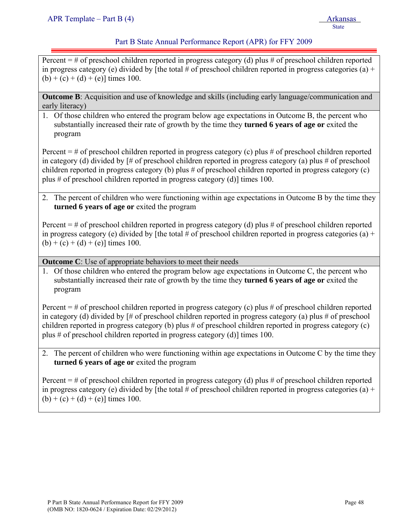Percent  $=$  # of preschool children reported in progress category (d) plus # of preschool children reported in progress category (e) divided by [the total # of preschool children reported in progress categories (a) +  $(b) + (c) + (d) + (e)$ ] times 100.

**Outcome B**: Acquisition and use of knowledge and skills (including early language/communication and early literacy)

1. Of those children who entered the program below age expectations in Outcome B, the percent who substantially increased their rate of growth by the time they **turned 6 years of age or** exited the program

Percent  $=$  # of preschool children reported in progress category (c) plus # of preschool children reported in category (d) divided by [# of preschool children reported in progress category (a) plus # of preschool children reported in progress category (b) plus # of preschool children reported in progress category (c) plus # of preschool children reported in progress category (d)] times 100.

2. The percent of children who were functioning within age expectations in Outcome B by the time they **turned 6 years of age or** exited the program

Percent  $=$  # of preschool children reported in progress category (d) plus # of preschool children reported in progress category (e) divided by [the total # of preschool children reported in progress categories (a) +  $(b) + (c) + (d) + (e)$ ] times 100.

**Outcome C**: Use of appropriate behaviors to meet their needs

1. Of those children who entered the program below age expectations in Outcome C, the percent who substantially increased their rate of growth by the time they **turned 6 years of age or** exited the program

Percent  $=$  # of preschool children reported in progress category (c) plus # of preschool children reported in category (d) divided by [# of preschool children reported in progress category (a) plus # of preschool children reported in progress category (b) plus # of preschool children reported in progress category (c) plus # of preschool children reported in progress category (d)] times 100.

2. The percent of children who were functioning within age expectations in Outcome C by the time they **turned 6 years of age or** exited the program

Percent  $=$  # of preschool children reported in progress category (d) plus # of preschool children reported in progress category (e) divided by [the total # of preschool children reported in progress categories (a) +  $(b) + (c) + (d) + (e)$ ] times 100.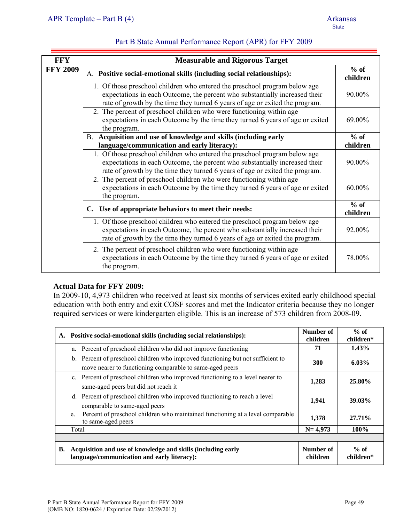| <b>FFY</b>      | <b>Measurable and Rigorous Target</b>                                                                                                                                                                                                     |                    |
|-----------------|-------------------------------------------------------------------------------------------------------------------------------------------------------------------------------------------------------------------------------------------|--------------------|
| <b>FFY 2009</b> | A. Positive social-emotional skills (including social relationships):                                                                                                                                                                     | $%$ of<br>children |
|                 | 1. Of those preschool children who entered the preschool program below age<br>expectations in each Outcome, the percent who substantially increased their<br>rate of growth by the time they turned 6 years of age or exited the program. | 90.00%             |
|                 | 2. The percent of preschool children who were functioning within age<br>expectations in each Outcome by the time they turned 6 years of age or exited<br>the program.                                                                     | 69.00%             |
|                 | B. Acquisition and use of knowledge and skills (including early                                                                                                                                                                           | $%$ of             |
|                 | language/communication and early literacy):<br>1. Of those preschool children who entered the preschool program below age                                                                                                                 | children           |
|                 | expectations in each Outcome, the percent who substantially increased their<br>rate of growth by the time they turned 6 years of age or exited the program.                                                                               | 90.00%             |
|                 | 2. The percent of preschool children who were functioning within age<br>expectations in each Outcome by the time they turned 6 years of age or exited<br>the program.                                                                     | 60.00%             |
|                 | C. Use of appropriate behaviors to meet their needs:                                                                                                                                                                                      | $%$ of<br>children |
|                 | 1. Of those preschool children who entered the preschool program below age<br>expectations in each Outcome, the percent who substantially increased their<br>rate of growth by the time they turned 6 years of age or exited the program. | 92.00%             |
|                 | 2. The percent of preschool children who were functioning within age<br>expectations in each Outcome by the time they turned 6 years of age or exited<br>the program.                                                                     | 78.00%             |

### **Actual Data for FFY 2009:**

In 2009-10, 4,973 children who received at least six months of services exited early childhood special education with both entry and exit COSF scores and met the Indicator criteria because they no longer required services or were kindergarten eligible. This is an increase of 573 children from 2008-09.

| A. | Positive social-emotional skills (including social relationships):                                                                          | Number of<br>children | $%$ of<br>children* |
|----|---------------------------------------------------------------------------------------------------------------------------------------------|-----------------------|---------------------|
|    | a. Percent of preschool children who did not improve functioning                                                                            | 71                    | $1.43\%$            |
|    | b. Percent of preschool children who improved functioning but not sufficient to<br>move nearer to functioning comparable to same-aged peers | <b>300</b>            | $6.03\%$            |
|    | c. Percent of preschool children who improved functioning to a level nearer to<br>same-aged peers but did not reach it                      | 1,283                 | 25.80%              |
|    | d. Percent of preschool children who improved functioning to reach a level<br>comparable to same-aged peers                                 | 1,941                 | 39.03%              |
|    | Percent of preschool children who maintained functioning at a level comparable<br>e.<br>to same-aged peers                                  | 1,378                 | 27.71%              |
|    | Total                                                                                                                                       | $N = 4,973$           | 100%                |
|    |                                                                                                                                             |                       |                     |
| В. | Acquisition and use of knowledge and skills (including early<br>language/communication and early literacy):                                 | Number of<br>children | $%$ of<br>children* |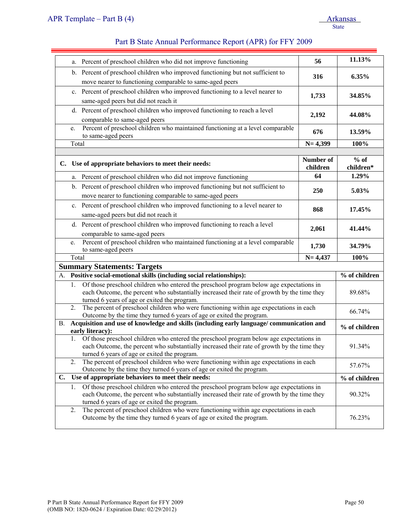| Percent of preschool children who did not improve functioning<br>a.                                                                                                                                                                          | 56                    | 11.13%              |
|----------------------------------------------------------------------------------------------------------------------------------------------------------------------------------------------------------------------------------------------|-----------------------|---------------------|
| b. Percent of preschool children who improved functioning but not sufficient to<br>move nearer to functioning comparable to same-aged peers                                                                                                  | 316                   | 6.35%               |
| c. Percent of preschool children who improved functioning to a level nearer to                                                                                                                                                               | 1,733                 | 34.85%              |
| same-aged peers but did not reach it                                                                                                                                                                                                         |                       |                     |
| d. Percent of preschool children who improved functioning to reach a level<br>comparable to same-aged peers                                                                                                                                  | 2,192                 | 44.08%              |
| Percent of preschool children who maintained functioning at a level comparable<br>e.<br>to same-aged peers                                                                                                                                   | 676                   | 13.59%              |
| Total                                                                                                                                                                                                                                        | $N = 4,399$           | 100%                |
|                                                                                                                                                                                                                                              |                       |                     |
| C. Use of appropriate behaviors to meet their needs:                                                                                                                                                                                         | Number of<br>children | $%$ of<br>children* |
| a. Percent of preschool children who did not improve functioning                                                                                                                                                                             | 64                    | 1.29%               |
| b. Percent of preschool children who improved functioning but not sufficient to                                                                                                                                                              | 250                   | 5.03%               |
| move nearer to functioning comparable to same-aged peers                                                                                                                                                                                     |                       |                     |
| c. Percent of preschool children who improved functioning to a level nearer to                                                                                                                                                               | 868                   | 17.45%              |
| same-aged peers but did not reach it                                                                                                                                                                                                         |                       |                     |
| d. Percent of preschool children who improved functioning to reach a level                                                                                                                                                                   | 2,061                 | 41.44%              |
| comparable to same-aged peers                                                                                                                                                                                                                |                       |                     |
| Percent of preschool children who maintained functioning at a level comparable<br>e.<br>to same-aged peers                                                                                                                                   | 1,730                 | 34.79%              |
| Total                                                                                                                                                                                                                                        | $N = 4,437$           | 100%                |
| <b>Summary Statements: Targets</b>                                                                                                                                                                                                           |                       |                     |
| A. Positive social-emotional skills (including social relationships):                                                                                                                                                                        |                       | % of children       |
| Of those preschool children who entered the preschool program below age expectations in<br>1.<br>each Outcome, the percent who substantially increased their rate of growth by the time they<br>turned 6 years of age or exited the program. |                       | 89.68%              |
| The percent of preschool children who were functioning within age expectations in each<br>2.<br>Outcome by the time they turned 6 years of age or exited the program.                                                                        |                       | 66.74%              |
| Acquisition and use of knowledge and skills (including early language/ communication and<br><b>B.</b><br>early literacy):                                                                                                                    |                       | % of children       |
| 1. Of those preschool children who entered the preschool program below age expectations in<br>each Outcome, the percent who substantially increased their rate of growth by the time they<br>turned 6 years of age or exited the program.    |                       | 91.34%              |
| The percent of preschool children who were functioning within age expectations in each<br>2.<br>Outcome by the time they turned 6 years of age or exited the program.                                                                        |                       | 57.67%              |
| Use of appropriate behaviors to meet their needs:<br>C.                                                                                                                                                                                      |                       | % of children       |
| Of those preschool children who entered the preschool program below age expectations in<br>1.<br>each Outcome, the percent who substantially increased their rate of growth by the time they<br>turned 6 years of age or exited the program. |                       | 90.32%              |
| The percent of preschool children who were functioning within age expectations in each<br>2.<br>Outcome by the time they turned 6 years of age or exited the program.                                                                        |                       | 76.23%              |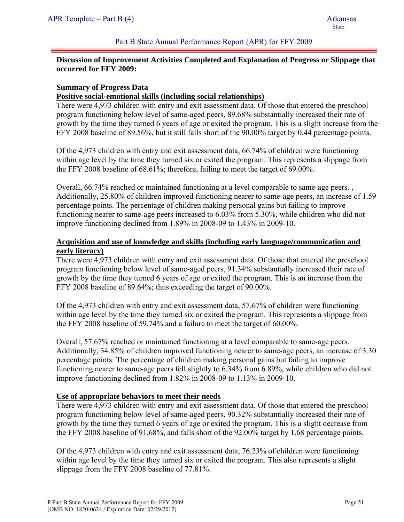# **Discussion of Improvement Activities Completed and Explanation of Progress or Slippage that occurred for FFY 2009:**

# **Summary of Progress Data**

#### **Positive social-emotional skills (including social relationships)**

There were 4,973 children with entry and exit assessment data. Of those that entered the preschool program functioning below level of same-aged peers, 89.68% substantially increased their rate of growth by the time they turned 6 years of age or exited the program. This is a slight increase from the FFY 2008 baseline of 89.56%, but it still falls short of the 90.00% target by 0.44 percentage points.

Of the 4,973 children with entry and exit assessment data, 66.74% of children were functioning within age level by the time they turned six or exited the program. This represents a slippage from the FFY 2008 baseline of 68.61%; therefore, failing to meet the target of 69.00%.

Overall, 66.74% reached or maintained functioning at a level comparable to same-age peers. , Additionally, 25.80% of children improved functioning nearer to same-age peers, an increase of 1.59 percentage points. The percentage of children making personal gains but failing to improve functioning nearer to same-age peers increased to 6.03% from 5.30%, while children who did not improve functioning declined from 1.89% in 2008-09 to 1.43% in 2009-10.

# **Acquisition and use of knowledge and skills (including early language/communication and early literacy)**

There were 4,973 children with entry and exit assessment data. Of those that entered the preschool program functioning below level of same-aged peers, 91.34% substantially increased their rate of growth by the time they turned 6 years of age or exited the program. This is an increase from the FFY 2008 baseline of 89.64%; thus exceeding the target of 90.00%.

Of the 4,973 children with entry and exit assessment data, 57.67% of children were functioning within age level by the time they turned six or exited the program. This represents a slippage from the FFY 2008 baseline of 59.74% and a failure to meet the target of 60.00%.

Overall, 57.67% reached or maintained functioning at a level comparable to same-age peers. Additionally, 34.85% of children improved functioning nearer to same-age peers, an increase of 3.30 percentage points. The percentage of children making personal gains but failing to improve functioning nearer to same-age peers fell slightly to 6.34% from 6.89%, while children who did not improve functioning declined from 1.82% in 2008-09 to 1.13% in 2009-10.

### **Use of appropriate behaviors to meet their needs**

There were 4,973 children with entry and exit assessment data. Of those that entered the preschool program functioning below level of same-aged peers, 90.32% substantially increased their rate of growth by the time they turned 6 years of age or exited the program. This is a slight decrease from the FFY 2008 baseline of 91.68%, and falls short of the 92.00% target by 1.68 percentage points.

Of the 4,973 children with entry and exit assessment data, 76.23% of children were functioning within age level by the time they turned six or exited the program. This also represents a slight slippage from the FFY 2008 baseline of 77.81%.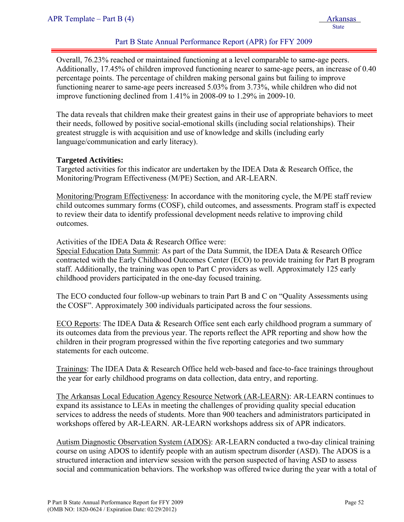Overall, 76.23% reached or maintained functioning at a level comparable to same-age peers. Additionally, 17.45% of children improved functioning nearer to same-age peers, an increase of 0.40 percentage points. The percentage of children making personal gains but failing to improve functioning nearer to same-age peers increased 5.03% from 3.73%, while children who did not improve functioning declined from 1.41% in 2008-09 to 1.29% in 2009-10.

The data reveals that children make their greatest gains in their use of appropriate behaviors to meet their needs, followed by positive social-emotional skills (including social relationships). Their greatest struggle is with acquisition and use of knowledge and skills (including early language/communication and early literacy).

# **Targeted Activities:**

Targeted activities for this indicator are undertaken by the IDEA Data & Research Office, the Monitoring/Program Effectiveness (M/PE) Section, and AR-LEARN.

Monitoring/Program Effectiveness: In accordance with the monitoring cycle, the M/PE staff review child outcomes summary forms (COSF), child outcomes, and assessments. Program staff is expected to review their data to identify professional development needs relative to improving child outcomes.

Activities of the IDEA Data & Research Office were:

Special Education Data Summit: As part of the Data Summit, the IDEA Data & Research Office contracted with the Early Childhood Outcomes Center (ECO) to provide training for Part B program staff. Additionally, the training was open to Part C providers as well. Approximately 125 early childhood providers participated in the one-day focused training.

The ECO conducted four follow-up webinars to train Part B and C on "Quality Assessments using the COSF". Approximately 300 individuals participated across the four sessions.

ECO Reports: The IDEA Data & Research Office sent each early childhood program a summary of its outcomes data from the previous year. The reports reflect the APR reporting and show how the children in their program progressed within the five reporting categories and two summary statements for each outcome.

Trainings: The IDEA Data & Research Office held web-based and face-to-face trainings throughout the year for early childhood programs on data collection, data entry, and reporting.

The Arkansas Local Education Agency Resource Network (AR-LEARN): AR-LEARN continues to expand its assistance to LEAs in meeting the challenges of providing quality special education services to address the needs of students. More than 900 teachers and administrators participated in workshops offered by AR-LEARN. AR-LEARN workshops address six of APR indicators.

Autism Diagnostic Observation System (ADOS): AR-LEARN conducted a two-day clinical training course on using ADOS to identify people with an autism spectrum disorder (ASD). The ADOS is a structured interaction and interview session with the person suspected of having ASD to assess social and communication behaviors. The workshop was offered twice during the year with a total of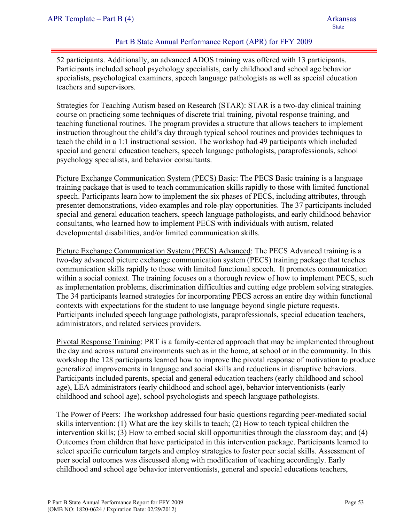52 participants. Additionally, an advanced ADOS training was offered with 13 participants. Participants included school psychology specialists, early childhood and school age behavior specialists, psychological examiners, speech language pathologists as well as special education teachers and supervisors.

Strategies for Teaching Autism based on Research (STAR): STAR is a two-day clinical training course on practicing some techniques of discrete trial training, pivotal response training, and teaching functional routines. The program provides a structure that allows teachers to implement instruction throughout the child's day through typical school routines and provides techniques to teach the child in a 1:1 instructional session. The workshop had 49 participants which included special and general education teachers, speech language pathologists, paraprofessionals, school psychology specialists, and behavior consultants.

Picture Exchange Communication System (PECS) Basic: The PECS Basic training is a language training package that is used to teach communication skills rapidly to those with limited functional speech. Participants learn how to implement the six phases of PECS, including attributes, through presenter demonstrations, video examples and role-play opportunities. The 37 participants included special and general education teachers, speech language pathologists, and early childhood behavior consultants, who learned how to implement PECS with individuals with autism, related developmental disabilities, and/or limited communication skills.

Picture Exchange Communication System (PECS) Advanced: The PECS Advanced training is a two-day advanced picture exchange communication system (PECS) training package that teaches communication skills rapidly to those with limited functional speech. It promotes communication within a social context. The training focuses on a thorough review of how to implement PECS, such as implementation problems, discrimination difficulties and cutting edge problem solving strategies. The 34 participants learned strategies for incorporating PECS across an entire day within functional contexts with expectations for the student to use language beyond single picture requests. Participants included speech language pathologists, paraprofessionals, special education teachers, administrators, and related services providers.

Pivotal Response Training: PRT is a family-centered approach that may be implemented throughout the day and across natural environments such as in the home, at school or in the community. In this workshop the 128 participants learned how to improve the pivotal response of motivation to produce generalized improvements in language and social skills and reductions in disruptive behaviors. Participants included parents, special and general education teachers (early childhood and school age), LEA administrators (early childhood and school age), behavior interventionists (early childhood and school age), school psychologists and speech language pathologists.

The Power of Peers: The workshop addressed four basic questions regarding peer-mediated social skills intervention: (1) What are the key skills to teach; (2) How to teach typical children the intervention skills; (3) How to embed social skill opportunities through the classroom day; and (4) Outcomes from children that have participated in this intervention package. Participants learned to select specific curriculum targets and employ strategies to foster peer social skills. Assessment of peer social outcomes was discussed along with modification of teaching accordingly. Early childhood and school age behavior interventionists, general and special educations teachers,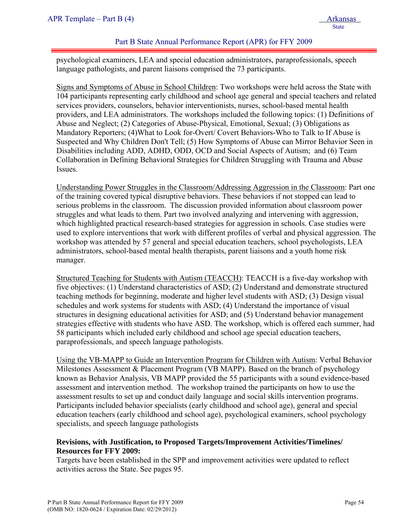psychological examiners, LEA and special education administrators, paraprofessionals, speech language pathologists, and parent liaisons comprised the 73 participants.

Signs and Symptoms of Abuse in School Children: Two workshops were held across the State with 104 participants representing early childhood and school age general and special teachers and related services providers, counselors, behavior interventionists, nurses, school-based mental health providers, and LEA administrators. The workshops included the following topics: (1) Definitions of Abuse and Neglect; (2) Categories of Abuse-Physical, Emotional, Sexual; (3) Obligations as Mandatory Reporters; (4)What to Look for-Overt/ Covert Behaviors-Who to Talk to If Abuse is Suspected and Why Children Don't Tell; (5) How Symptoms of Abuse can Mirror Behavior Seen in Disabilities including ADD, ADHD, ODD, OCD and Social Aspects of Autism; and (6) Team Collaboration in Defining Behavioral Strategies for Children Struggling with Trauma and Abuse Issues.

Understanding Power Struggles in the Classroom/Addressing Aggression in the Classroom: Part one of the training covered typical disruptive behaviors. These behaviors if not stopped can lead to serious problems in the classroom. The discussion provided information about classroom power struggles and what leads to them. Part two involved analyzing and intervening with aggression, which highlighted practical research-based strategies for aggression in schools. Case studies were used to explore interventions that work with different profiles of verbal and physical aggression. The workshop was attended by 57 general and special education teachers, school psychologists, LEA administrators, school-based mental health therapists, parent liaisons and a youth home risk manager.

Structured Teaching for Students with Autism (TEACCH): TEACCH is a five-day workshop with five objectives: (1) Understand characteristics of ASD; (2) Understand and demonstrate structured teaching methods for beginning, moderate and higher level students with ASD; (3) Design visual schedules and work systems for students with ASD; (4) Understand the importance of visual structures in designing educational activities for ASD; and (5) Understand behavior management strategies effective with students who have ASD. The workshop, which is offered each summer, had 58 participants which included early childhood and school age special education teachers, paraprofessionals, and speech language pathologists.

Using the VB-MAPP to Guide an Intervention Program for Children with Autism: Verbal Behavior Milestones Assessment & Placement Program (VB MAPP). Based on the branch of psychology known as Behavior Analysis, VB MAPP provided the 55 participants with a sound evidence-based assessment and intervention method. The workshop trained the participants on how to use the assessment results to set up and conduct daily language and social skills intervention programs. Participants included behavior specialists (early childhood and school age), general and special education teachers (early childhood and school age), psychological examiners, school psychology specialists, and speech language pathologists

### **Revisions, with Justification, to Proposed Targets/Improvement Activities/Timelines/ Resources for FFY 2009:**

Targets have been established in the SPP and improvement activities were updated to reflect activities across the State. See pages 95.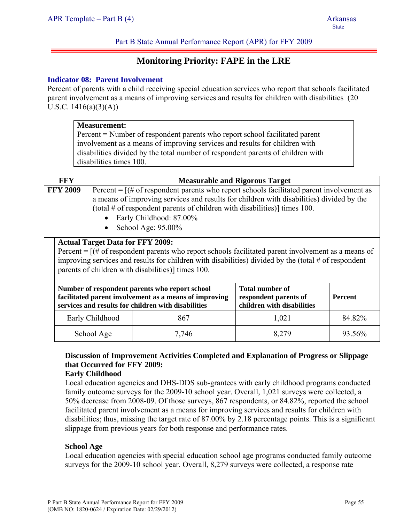# **Monitoring Priority: FAPE in the LRE**

#### **Indicator 08: Parent Involvement**

Percent of parents with a child receiving special education services who report that schools facilitated parent involvement as a means of improving services and results for children with disabilities (20 U.S.C. 1416(a)(3)(A))

| <b>Measurement:</b> |
|---------------------|
|---------------------|

Percent = Number of respondent parents who report school facilitated parent involvement as a means of improving services and results for children with disabilities divided by the total number of respondent parents of children with disabilities times 100.

| <b>FFY</b>      | <b>Measurable and Rigorous Target</b>                                                                                                                                                                                                                                                                                                     |
|-----------------|-------------------------------------------------------------------------------------------------------------------------------------------------------------------------------------------------------------------------------------------------------------------------------------------------------------------------------------------|
| <b>FFY 2009</b> | Percent = $[(# of respondent parents who report schools facilitated parent involvement as]$<br>a means of improving services and results for children with disabilities) divided by the<br>(total $#$ of respondent parents of children with disabilities)] times 100.<br>Early Childhood: 87.00%<br>$\bullet$<br>• School Age: $95.00\%$ |
|                 | Actual Target Data for FFV 2000.                                                                                                                                                                                                                                                                                                          |

#### **Actual Target Data for FFY 2009:**

Percent = [(# of respondent parents who report schools facilitated parent involvement as a means of improving services and results for children with disabilities) divided by the (total # of respondent parents of children with disabilities)] times 100.

| services and results for children with disabilities | Number of respondent parents who report school<br>facilitated parent involvement as a means of improving | <b>Total number of</b><br>respondent parents of<br>children with disabilities | <b>Percent</b> |
|-----------------------------------------------------|----------------------------------------------------------------------------------------------------------|-------------------------------------------------------------------------------|----------------|
| Early Childhood                                     | 867                                                                                                      | 1,021                                                                         | 84.82%         |
| School Age                                          | 7,746                                                                                                    | 8,279                                                                         | 93.56%         |

# **Discussion of Improvement Activities Completed and Explanation of Progress or Slippage that Occurred for FFY 2009:**

#### **Early Childhood**

Local education agencies and DHS-DDS sub-grantees with early childhood programs conducted family outcome surveys for the 2009-10 school year. Overall, 1,021 surveys were collected, a 50% decrease from 2008-09. Of those surveys, 867 respondents, or 84.82%, reported the school facilitated parent involvement as a means for improving services and results for children with disabilities; thus, missing the target rate of 87.00% by 2.18 percentage points. This is a significant slippage from previous years for both response and performance rates.

#### **School Age**

Local education agencies with special education school age programs conducted family outcome surveys for the 2009-10 school year. Overall, 8,279 surveys were collected, a response rate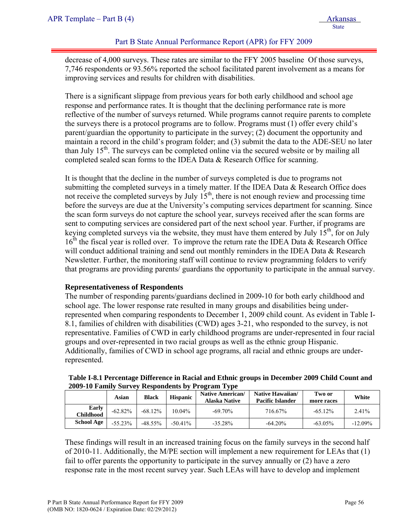decrease of 4,000 surveys. These rates are similar to the FFY 2005 baseline Of those surveys, 7,746 respondents or 93.56% reported the school facilitated parent involvement as a means for improving services and results for children with disabilities.

There is a significant slippage from previous years for both early childhood and school age response and performance rates. It is thought that the declining performance rate is more reflective of the number of surveys returned. While programs cannot require parents to complete the surveys there is a protocol programs are to follow. Programs must (1) offer every child's parent/guardian the opportunity to participate in the survey; (2) document the opportunity and maintain a record in the child's program folder; and (3) submit the data to the ADE-SEU no later than July  $15<sup>th</sup>$ . The surveys can be completed online via the secured website or by mailing all completed sealed scan forms to the IDEA Data & Research Office for scanning.

It is thought that the decline in the number of surveys completed is due to programs not submitting the completed surveys in a timely matter. If the IDEA Data & Research Office does not receive the completed surveys by July  $15<sup>th</sup>$ , there is not enough review and processing time before the surveys are due at the University's computing services department for scanning. Since the scan form surveys do not capture the school year, surveys received after the scan forms are sent to computing services are considered part of the next school year. Further, if programs are keying completed surveys via the website, they must have them entered by July  $15<sup>th</sup>$ , for on July  $16<sup>th</sup>$  the fiscal year is rolled over. To improve the return rate the IDEA Data & Research Office will conduct additional training and send out monthly reminders in the IDEA Data & Research Newsletter. Further, the monitoring staff will continue to review programming folders to verify that programs are providing parents/ guardians the opportunity to participate in the annual survey.

### **Representativeness of Respondents**

The number of responding parents/guardians declined in 2009-10 for both early childhood and school age. The lower response rate resulted in many groups and disabilities being underrepresented when comparing respondents to December 1, 2009 child count. As evident in Table I-8.1, families of children with disabilities (CWD) ages 3-21, who responded to the survey, is not representative. Families of CWD in early childhood programs are under-represented in four racial groups and over-represented in two racial groups as well as the ethnic group Hispanic. Additionally, families of CWD in school age programs, all racial and ethnic groups are underrepresented.

|                    |           |              |                 | 2009-10 Paliniy Sulvey Respondents by 110gram Type |                                             |                      |            |
|--------------------|-----------|--------------|-----------------|----------------------------------------------------|---------------------------------------------|----------------------|------------|
|                    | Asian     | <b>Black</b> | <b>Hispanic</b> | <b>Native American/</b><br>Alaska Native           | Native Hawaiian/<br><b>Pacific Islander</b> | Two or<br>more races | White      |
| Early<br>Childhood | $-62.82%$ | $-68.12\%$   | $10.04\%$       | $-69\,70\%$                                        | 716.67%                                     | $-65.12\%$           | 2.41%      |
| <b>School Age</b>  | $-55.23%$ | $-48.55\%$   | $-50.41\%$      | $-35.28\%$                                         | $-64.20\%$                                  | $-63.05\%$           | $-12.09\%$ |

**Table I-8.1 Percentage Difference in Racial and Ethnic groups in December 2009 Child Count and 2009-10 Family Survey Respondents by Program Type** 

These findings will result in an increased training focus on the family surveys in the second half of 2010-11. Additionally, the M/PE section will implement a new requirement for LEAs that (1) fail to offer parents the opportunity to participate in the survey annually or (2) have a zero response rate in the most recent survey year. Such LEAs will have to develop and implement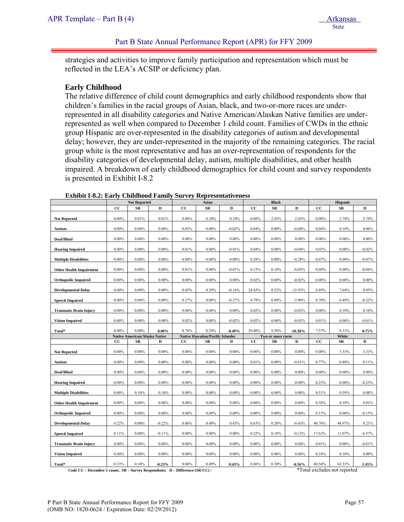strategies and activities to improve family participation and representation which must be reflected in the LEA's ACSIP or deficiency plan.

### **Early Childhood**

The relative difference of child count demographics and early childhood respondents show that children's families in the racial groups of Asian, black, and two-or-more races are underrepresented in all disability categories and Native American/Alaskan Native families are underrepresented as well when compared to December 1 child count. Families of CWDs in the ethnic group Hispanic are over-represented in the disability categories of autism and developmental delay; however, they are under-represented in the majority of the remaining categories. The racial group white is the most representative and has an over-representation of respondents for the disability categories of developmental delay, autism, multiple disabilities, and other health impaired. A breakdown of early childhood demographics for child count and survey respondents is presented in Exhibit I-8.2

|                                | <b>Not Reported</b> |                                      | Asian    |          |                                         | <b>Black</b> |          |                   | Hispanic  |             |          |          |
|--------------------------------|---------------------|--------------------------------------|----------|----------|-----------------------------------------|--------------|----------|-------------------|-----------|-------------|----------|----------|
|                                | cc                  | SR                                   | D        | cc       | SR                                      | D            | cc       | SR                | D         | $_{\rm cc}$ | SR       | D        |
| <b>Not Reported</b>            | $0.00\%$            | 0.01%                                | 0.01%    | $0.00\%$ | 0.10%                                   | 0.10%        | $0.00\%$ | 2.45%             | 2.45%     | $0.00\%$    | 2.74%    | 2.74%    |
| Autism                         | $0.00\%$            | $0.00\%$                             | $0.00\%$ | 0.02%    | $0.00\%$                                | $-0.02%$     | 0.04%    | $0.00\%$          | $-0.04%$  | 0.04%       | 0.10%    | 0.06%    |
| Deaf/Blind                     | $0.00\%$            | $0.00\%$                             | $0.00\%$ | $0.00\%$ | $0.00\%$                                | $0.00\%$     | $0.00\%$ | $0.00\%$          | $0.00\%$  | $0.00\%$    | $0.00\%$ | $0.00\%$ |
| <b>Hearing Impaired</b>        | $0.00\%$            | $0.00\%$                             | $0.00\%$ | 0.01%    | $0.00\%$                                | $-0.01%$     | 0.04%    | $0.00\%$          | $-0.04%$  | 0.02%       | $0.00\%$ | $-0.02%$ |
| <b>Multiple Disabilities</b>   | $0.00\%$            | $0.00\%$                             | $0.00\%$ | $0.00\%$ | $0.00\%$                                | $0.00\%$     | 0.28%    | $0.00\%$          | $-0.28%$  | 0.07%       | $0.00\%$ | $-0.07%$ |
| <b>Other Health Impairment</b> | $0.00\%$            | $0.00\%$                             | $0.00\%$ | 0.01%    | $0.00\%$                                | $-0.01%$     | 0.15%    | 0.10%             | $-0.05%$  | 0.04%       | $0.00\%$ | $-0.04%$ |
| <b>Orthopedic Impaired</b>     | $0.00\%$            | $0.00\%$                             | $0.00\%$ | $0.00\%$ | $0.00\%$                                | $0.00\%$     | 0.02%    | $0.00\%$          | $-0.02%$  | $0.00\%$    | $0.00\%$ | $0.00\%$ |
| <b>Developmental Delay</b>     | $0.00\%$            | $0.00\%$                             | $0.00\%$ | 0.45%    | 0.29%                                   | $-0.16%$     | 24.45%   | 8.52%             | $-15.93%$ | 6.69%       | 7.64%    | 0.95%    |
| <b>Speech Impaired</b>         | $0.00\%$            | $0.00\%$                             | $0.00\%$ | 0.27%    | $0.00\%$                                | $-0.27%$     | 4.78%    | 0.88%             | $-3.90\%$ | 0.70%       | 0.49%    | $-0.22%$ |
| <b>Traumatic Brain Injury</b>  | $0.00\%$            | $0.00\%$                             | $0.00\%$ | $0.00\%$ | $0.00\%$                                | $0.00\%$     | 0.02%    | $0.00\%$          | $-0.02%$  | $0.00\%$    | 0.10%    | 0.10%    |
| <b>Vision Impaired</b>         | $0.00\%$            | $0.00\%$                             | $0.00\%$ | 0.02%    | $0.00\%$                                | $-0.02%$     | 0.02%    | $0.00\%$          | $-0.02%$  | 0.01%       | $0.00\%$ | $-0.01%$ |
| Total*                         | $0.00\%$            | $0.00\%$                             | $0.00\%$ | 0.78%    | 0.29%                                   | $-0.49%$     | 29.80%   | 9.50%             | $-20.30%$ | 7.57%       | 8.33%    | 0.75%    |
|                                |                     |                                      |          |          |                                         |              |          |                   |           |             |          |          |
|                                |                     | <b>Native American/Alaska Native</b> |          |          | <b>Native Hawaiian/Pacific Islander</b> |              |          | Two or more races |           |             | White    |          |
|                                | $_{\rm CC}$         | SR                                   | D        | cc       | SR                                      | D            | cc       | SR                | D         | $_{\rm cc}$ | SR       | D        |
| <b>Not Reported</b>            | $0.00\%$            | $0.00\%$                             | $0.00\%$ | $0.00\%$ | $0.00\%$                                | $0.00\%$     | $0.00\%$ | $0.00\%$          | $0.00\%$  | $0.00\%$    | 3.33%    | 3.33%    |
| Autism                         | $0.00\%$            | $0.00\%$                             | $0.00\%$ | $0.00\%$ | $0.00\%$                                | $0.00\%$     | 0.01%    | $0.00\%$          | $-0.01%$  | 0.77%       | 0.88%    | 0.11%    |
| Deaf/Blind                     | $0.00\%$            | $0.00\%$                             | $0.00\%$ | $0.00\%$ | $0.00\%$                                | $0.00\%$     | $0.00\%$ | $0.00\%$          | $0.00\%$  | $0.00\%$    | $0.00\%$ | $0.00\%$ |
| <b>Hearing Impaired</b>        | $0.00\%$            | $0.00\%$                             | $0.00\%$ | $0.00\%$ | $0.00\%$                                | $0.00\%$     | $0.00\%$ | $0.00\%$          | $0.00\%$  | 0.23%       | $0.00\%$ | $-0.23%$ |
| <b>Multiple Disabilities</b>   | $0.00\%$            | 0.10%                                | 0.10%    | $0.00\%$ | $0.00\%$                                | $0.00\%$     | $0.00\%$ | $0.00\%$          | $0.00\%$  | 0.51%       | 0.59%    | 0.08%    |
| <b>Other Health Impairment</b> | $0.00\%$            | $0.00\%$                             | $0.00\%$ | $0.00\%$ | $0.00\%$                                | $0.00\%$     | $0.00\%$ | $0.00\%$          | $0.00\%$  | 0.38%       | 0.39%    | 0.01%    |
| <b>Orthopedic Impaired</b>     | $0.00\%$            | $0.00\%$                             | $0.00\%$ | $0.00\%$ | $0.00\%$                                | $0.00\%$     | $0.00\%$ | $0.00\%$          | $0.00\%$  | 0.15%       | $0.00\%$ | $-0.15%$ |
| <b>Developmental Delay</b>     | 0.22%               | $0.00\%$                             | $-0.22%$ | 0.06%    | 0.49%                                   | 0.43%        | 0.63%    | 0.20%             | $-0.43%$  | 40.76%      | 48.97%   | 8.21%    |
| <b>Speech Impaired</b>         | 0.11%               | $0.00\%$                             | $-0.11%$ | $0.00\%$ | $0.00\%$                                | $0.00\%$     | 0.22%    | 0.10%             | $-0.12%$  | 17.63%      | 11.07%   | $-6.57%$ |
| <b>Traumatic Brain Injury</b>  | $0.00\%$            | $0.00\%$                             | $0.00\%$ | $0.00\%$ | $0.00\%$                                | $0.00\%$     | $0.00\%$ | $0.00\%$          | $0.00\%$  | 0.01%       | $0.00\%$ | $-0.01%$ |
| <b>Vision Impaired</b>         | $0.00\%$            | $0.00\%$                             | $0.00\%$ | $0.00\%$ | $0.00\%$                                | $0.00\%$     | $0.00\%$ | $0.00\%$          | $0.00\%$  | 0.10%       | 0.10%    | $0.00\%$ |

**Exhibit I-8.2: Early Childhood Family Survey Representativeness** 

Code CC – December 1 count; SR – Survey Respondents; D – Difference (SR-CC) : \*Total excludes not reported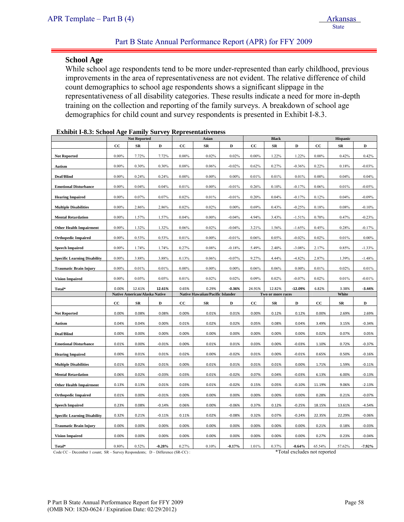#### **School Age**

While school age respondents tend to be more under-represented than early childhood, previous improvements in the area of representativeness are not evident. The relative difference of child count demographics to school age respondents shows a significant slippage in the representativeness of all disability categories. These results indicate a need for more in-depth training on the collection and reporting of the family surveys. A breakdown of school age demographics for child count and survey respondents is presented in Exhibit I-8.3.

|                                     |             | <b>Not Reported</b>           |          |             | Asian                            |          |                   | <b>Black</b> |           |          |            |          |
|-------------------------------------|-------------|-------------------------------|----------|-------------|----------------------------------|----------|-------------------|--------------|-----------|----------|------------|----------|
|                                     | $_{\rm CC}$ | ${\bf SR}$                    | D        | $_{\rm CC}$ | ${\bf SR}$                       | D        | cc                | $_{\rm SR}$  | D         | cc       | ${\bf SR}$ | D        |
| <b>Not Reported</b>                 | 0.00%       | 7.72%                         | 7.72%    | $0.00\%$    | 0.02%                            | 0.02%    | $0.00\%$          | 1.22%        | 1.22%     | $0.00\%$ | 0.42%      | 0.42%    |
| Autism                              | $0.00\%$    | 0.30%                         | 0.30%    | 0.08%       | 0.06%                            | $-0.02%$ | 0.62%             | 0.27%        | $-0.36%$  | 0.22%    | 0.18%      | $-0.03%$ |
| Deaf/Blind                          | $0.00\%$    | 0.24%                         | 0.24%    | $0.00\%$    | $0.00\%$                         | $0.00\%$ | 0.01%             | 0.01%        | 0.01%     | $0.00\%$ | 0.04%      | 0.04%    |
| <b>Emotional Disturbance</b>        | $0.00\%$    | 0.04%                         | 0.04%    | 0.01%       | $0.00\%$                         | $-0.01%$ | 0.26%             | 0.10%        | $-0.17%$  | 0.06%    | 0.01%      | $-0.05%$ |
| <b>Hearing Impaired</b>             | $0.00\%$    | 0.07%                         | 0.07%    | 0.02%       | 0.01%                            | $-0.01%$ | 0.20%             | 0.04%        | $-0.17%$  | 0.12%    | 0.04%      | $-0.09%$ |
| <b>Multiple Disabilities</b>        | $0.00\%$    | 2.86%                         | 2.86%    | 0.02%       | 0.02%                            | $0.00\%$ | 0.69%             | 0.43%        | $-0.25%$  | 0.18%    | 0.08%      | $-0.10%$ |
| <b>Mental Retardation</b>           | $0.00\%$    | 1.57%                         | 1.57%    | 0.04%       | $0.00\%$                         | $-0.04%$ | 4.94%             | 3.43%        | $-1.51%$  | 0.70%    | 0.47%      | $-0.23%$ |
| <b>Other Health Impairment</b>      | $0.00\%$    | 1.32%                         | 1.32%    | 0.06%       | 0.02%                            | $-0.04%$ | 3.21%             | 1.56%        | $-1.65%$  | 0.45%    | 0.28%      | $-0.17%$ |
| <b>Orthopedic Impaired</b>          | $0.00\%$    | 0.53%                         | 0.53%    | 0.01%       | $0.00\%$                         | $-0.01%$ | 0.06%             | 0.05%        | $-0.02%$  | 0.02%    | 0.01%      | $0.00\%$ |
| <b>Speech Impaired</b>              | $0.00\%$    | 1.74%                         | 1.74%    | 0.27%       | 0.08%                            | $-0.18%$ | 5.49%             | 2.40%        | $-3.08%$  | 2.17%    | 0.85%      | $-1.33%$ |
| <b>Specific Learning Disability</b> | $0.00\%$    | 3.88%                         | 3.88%    | 0.13%       | 0.06%                            | $-0.07%$ | 9.27%             | 4.44%        | $-4.82%$  | 2.87%    | 1.39%      | $-1.48%$ |
| <b>Traumatic Brain Injury</b>       | $0.00\%$    | 0.01%                         | 0.01%    | $0.00\%$    | $0.00\%$                         | $0.00\%$ | 0.06%             | 0.06%        | $0.00\%$  | 0.01%    | 0.02%      | 0.01%    |
| <b>Vision Impaired</b>              | $0.00\%$    | 0.05%                         | 0.05%    | 0.01%       | 0.02%                            | 0.02%    | 0.09%             | 0.02%        | $-0.07%$  | 0.02%    | 0.01%      | $-0.01%$ |
| Total*                              | 0.00%       | 12.61%                        | 12.61%   | 0.65%       | 0.29%                            | $-0.36%$ | 24.91%            | 12.82%       | $-12.09%$ | 6.82%    | 3.38%      | $-3.44%$ |
|                                     |             | Native American/Alaska Native |          |             | Native Hawaiian/Pacific Islander |          | Two or more races |              |           | White    |            |          |
|                                     | $_{\rm cc}$ | ${\bf SR}$                    | D        | cc          | ${\bf SR}$                       | D        | $_{\rm CC}$       | ${\bf SR}$   | D         | cc       | $_{SR}$    | D        |
| <b>Not Reported</b>                 | 0.00%       | 0.08%                         | 0.08%    | 0.00%       | 0.01%                            | 0.01%    | 0.00%             | 0.12%        | 0.12%     | 0.00%    | 2.69%      | 2.69%    |
| Autism                              | 0.04%       | 0.04%                         | 0.00%    | 0.01%       | 0.02%                            | 0.02%    | 0.05%             | 0.08%        | 0.04%     | 3.49%    | 3.15%      | $-0.34%$ |
| Deaf/Blind                          | 0.00%       | 0.00%                         | 0.00%    | 0.00%       | 0.00%                            | 0.00%    | 0.00%             | 0.00%        | 0.00%     | 0.02%    | 0.07%      | 0.05%    |
| <b>Emotional Disturbance</b>        | 0.01%       | 0.00%                         | $-0.01%$ | 0.00%       | 0.01%                            | 0.01%    | 0.03%             | 0.00%        | $-0.03%$  | 1.10%    | 0.72%      | $-0.37%$ |
| <b>Hearing Impaired</b>             | 0.00%       | 0.01%                         | 0.01%    | 0.02%       | 0.00%                            | $-0.02%$ | 0.01%             | 0.00%        | $-0.01%$  | 0.65%    | 0.50%      | $-0.16%$ |
| <b>Multiple Disabilities</b>        | 0.01%       | 0.02%                         | 0.01%    | 0.00%       | 0.01%                            | 0.01%    | 0.01%             | 0.01%        | 0.00%     | 1.71%    | 1.59%      | $-0.11%$ |
| <b>Mental Retardation</b>           | 0.06%       | 0.02%                         | $-0.03%$ | 0.03%       | 0.01%                            | $-0.02%$ | 0.07%             | 0.04%        | $-0.03%$  | 6.13%    | 6.00%      | $-0.13%$ |
| <b>Other Health Impairment</b>      | 0.13%       | 0.13%                         | 0.01%    | 0.03%       | 0.01%                            | $-0.02%$ | 0.15%             | 0.05%        | $-0.10%$  | 11.19%   | 9.06%      | $-2.13%$ |
| <b>Orthopedic Impaired</b>          | 0.01%       | 0.00%                         | $-0.01%$ | 0.00%       | 0.00%                            | 0.00%    | 0.00%             | 0.00%        | 0.00%     | 0.28%    | 0.21%      | $-0.07%$ |
| <b>Speech Impaired</b>              | 0.23%       | 0.08%                         | $-0.14%$ | 0.06%       | 0.00%                            | $-0.06%$ | 0.37%             | 0.12%        | $-0.25%$  | 18.15%   | 13.61%     | $-4.54%$ |
| <b>Specific Learning Disability</b> | 0.32%       | 0.21%                         | $-0.11%$ | 0.11%       | 0.02%                            | $-0.08%$ | 0.32%             | 0.07%        | $-0.24%$  | 22.35%   | 22.29%     | $-0.06%$ |
| <b>Traumatic Brain Injury</b>       | 0.00%       | 0.00%                         | 0.00%    | 0.00%       | 0.00%                            | 0.00%    | 0.00%             | 0.00%        | 0.00%     | 0.21%    | 0.18%      | $-0.03%$ |
| <b>Vision Impaired</b>              | 0.00%       | 0.00%                         | 0.00%    | 0.00%       | 0.00%                            | 0.00%    | 0.00%             | 0.00%        | 0.00%     | 0.27%    | 0.23%      | $-0.04%$ |
| Total*                              | 0.80%       | 0.52%                         | $-0.28%$ | 0.27%       | 0.10%                            | $-0.17%$ | 1.01%             | 0.37%        | $-0.64%$  | 65.54%   | 57.62%     | $-7.92%$ |

| <b>Exhibit I-8.3: School Age Family Survey Representativeness</b> |  |
|-------------------------------------------------------------------|--|
|-------------------------------------------------------------------|--|

Code CC – December 1 count; SR – Survey Respondents; D – Difference (SR-CC) : \*Total excludes not reported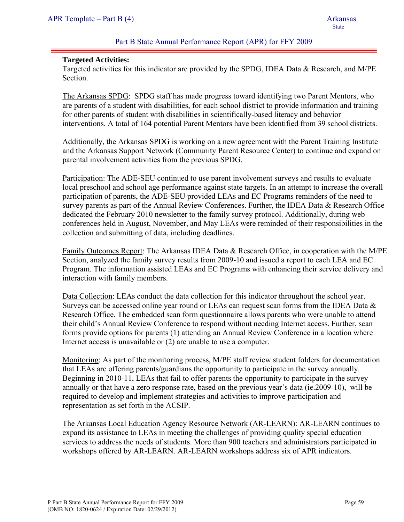#### **Targeted Activities:**

Targeted activities for this indicator are provided by the SPDG, IDEA Data & Research, and M/PE Section.

The Arkansas SPDG: SPDG staff has made progress toward identifying two Parent Mentors, who are parents of a student with disabilities, for each school district to provide information and training for other parents of student with disabilities in scientifically-based literacy and behavior interventions. A total of 164 potential Parent Mentors have been identified from 39 school districts.

Additionally, the Arkansas SPDG is working on a new agreement with the Parent Training Institute and the Arkansas Support Network (Community Parent Resource Center) to continue and expand on parental involvement activities from the previous SPDG.

Participation: The ADE-SEU continued to use parent involvement surveys and results to evaluate local preschool and school age performance against state targets. In an attempt to increase the overall participation of parents, the ADE-SEU provided LEAs and EC Programs reminders of the need to survey parents as part of the Annual Review Conferences. Further, the IDEA Data & Research Office dedicated the February 2010 newsletter to the family survey protocol. Additionally, during web conferences held in August, November, and May LEAs were reminded of their responsibilities in the collection and submitting of data, including deadlines.

Family Outcomes Report: The Arkansas IDEA Data & Research Office, in cooperation with the M/PE Section, analyzed the family survey results from 2009-10 and issued a report to each LEA and EC Program. The information assisted LEAs and EC Programs with enhancing their service delivery and interaction with family members.

Data Collection: LEAs conduct the data collection for this indicator throughout the school year. Surveys can be accessed online year round or LEAs can request scan forms from the IDEA Data  $\&$ Research Office. The embedded scan form questionnaire allows parents who were unable to attend their child's Annual Review Conference to respond without needing Internet access. Further, scan forms provide options for parents (1) attending an Annual Review Conference in a location where Internet access is unavailable or (2) are unable to use a computer.

Monitoring: As part of the monitoring process, M/PE staff review student folders for documentation that LEAs are offering parents/guardians the opportunity to participate in the survey annually. Beginning in 2010-11, LEAs that fail to offer parents the opportunity to participate in the survey annually or that have a zero response rate, based on the previous year's data (ie.2009-10), will be required to develop and implement strategies and activities to improve participation and representation as set forth in the ACSIP.

The Arkansas Local Education Agency Resource Network (AR-LEARN): AR-LEARN continues to expand its assistance to LEAs in meeting the challenges of providing quality special education services to address the needs of students. More than 900 teachers and administrators participated in workshops offered by AR-LEARN. AR-LEARN workshops address six of APR indicators.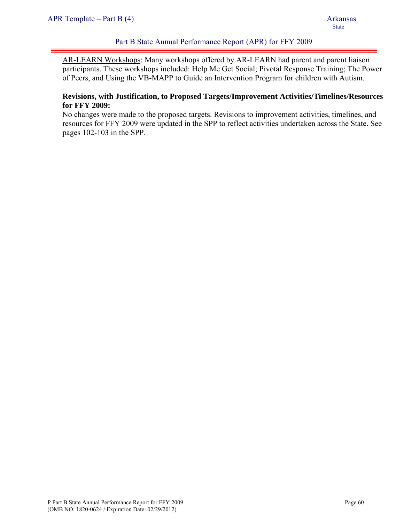AR-LEARN Workshops: Many workshops offered by AR-LEARN had parent and parent liaison participants. These workshops included: Help Me Get Social; Pivotal Response Training; The Power of Peers, and Using the VB-MAPP to Guide an Intervention Program for children with Autism.

### **Revisions, with Justification, to Proposed Targets/Improvement Activities/Timelines/Resources for FFY 2009:**

No changes were made to the proposed targets. Revisions to improvement activities, timelines, and resources for FFY 2009 were updated in the SPP to reflect activities undertaken across the State. See pages 102-103 in the SPP.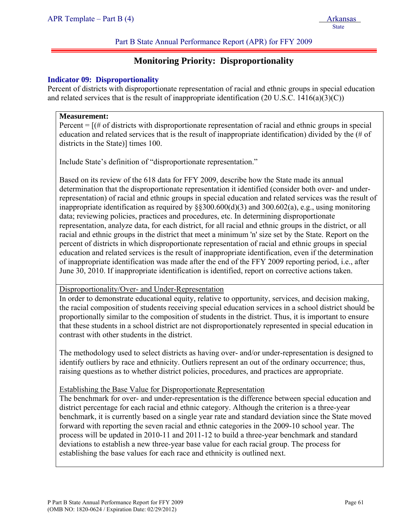# **Monitoring Priority: Disproportionality**

### **Indicator 09: Disproportionality**

Percent of districts with disproportionate representation of racial and ethnic groups in special education and related services that is the result of inappropriate identification  $(20 \text{ U.S.C. } 1416(a)(3)(C))$ 

#### **Measurement:**

Percent  $=$   $[$ ( $\#$  of districts with disproportionate representation of racial and ethnic groups in special education and related services that is the result of inappropriate identification) divided by the (# of districts in the State)] times 100.

Include State's definition of "disproportionate representation."

Based on its review of the 618 data for FFY 2009, describe how the State made its annual determination that the disproportionate representation it identified (consider both over- and underrepresentation) of racial and ethnic groups in special education and related services was the result of inappropriate identification as required by §§300.600(d)(3) and 300.602(a), e.g., using monitoring data; reviewing policies, practices and procedures, etc. In determining disproportionate representation, analyze data, for each district, for all racial and ethnic groups in the district, or all racial and ethnic groups in the district that meet a minimum 'n' size set by the State. Report on the percent of districts in which disproportionate representation of racial and ethnic groups in special education and related services is the result of inappropriate identification, even if the determination of inappropriate identification was made after the end of the FFY 2009 reporting period, i.e., after June 30, 2010. If inappropriate identification is identified, report on corrective actions taken.

Disproportionality/Over- and Under-Representation

In order to demonstrate educational equity, relative to opportunity, services, and decision making, the racial composition of students receiving special education services in a school district should be proportionally similar to the composition of students in the district. Thus, it is important to ensure that these students in a school district are not disproportionately represented in special education in contrast with other students in the district.

The methodology used to select districts as having over- and/or under-representation is designed to identify outliers by race and ethnicity. Outliers represent an out of the ordinary occurrence; thus, raising questions as to whether district policies, procedures, and practices are appropriate.

### Establishing the Base Value for Disproportionate Representation

The benchmark for over- and under-representation is the difference between special education and district percentage for each racial and ethnic category. Although the criterion is a three-year benchmark, it is currently based on a single year rate and standard deviation since the State moved forward with reporting the seven racial and ethnic categories in the 2009-10 school year. The process will be updated in 2010-11 and 2011-12 to build a three-year benchmark and standard deviations to establish a new three-year base value for each racial group. The process for establishing the base values for each race and ethnicity is outlined next.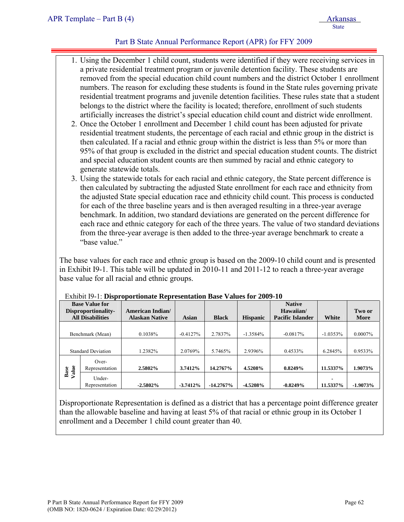- 1. Using the December 1 child count, students were identified if they were receiving services in a private residential treatment program or juvenile detention facility. These students are removed from the special education child count numbers and the district October 1 enrollment numbers. The reason for excluding these students is found in the State rules governing private residential treatment programs and juvenile detention facilities. These rules state that a student belongs to the district where the facility is located; therefore, enrollment of such students artificially increases the district's special education child count and district wide enrollment.
- 2. Once the October 1 enrollment and December 1 child count has been adjusted for private residential treatment students, the percentage of each racial and ethnic group in the district is then calculated. If a racial and ethnic group within the district is less than 5% or more than 95% of that group is excluded in the district and special education student counts. The district and special education student counts are then summed by racial and ethnic category to generate statewide totals.
- 3. Using the statewide totals for each racial and ethnic category, the State percent difference is then calculated by subtracting the adjusted State enrollment for each race and ethnicity from the adjusted State special education race and ethnicity child count. This process is conducted for each of the three baseline years and is then averaged resulting in a three-year average benchmark. In addition, two standard deviations are generated on the percent difference for each race and ethnic category for each of the three years. The value of two standard deviations from the three-year average is then added to the three-year average benchmark to create a "base value"

The base values for each race and ethnic group is based on the 2009-10 child count and is presented in Exhibit I9-1. This table will be updated in 2010-11 and 2011-12 to reach a three-year average base value for all racial and ethnic groups.

| <b>Base Value for</b><br>Disproportionality- |                           | American Indian/      |            |                    |                 | <b>Native</b><br>Hawaiian/ |            | Two or     |
|----------------------------------------------|---------------------------|-----------------------|------------|--------------------|-----------------|----------------------------|------------|------------|
|                                              | <b>All Disabilities</b>   | <b>Alaskan Native</b> | Asian      | <b>Black</b>       | <b>Hispanic</b> | <b>Pacific Islander</b>    | White      | More       |
| Benchmark (Mean)                             |                           | 0.1038%               | $-0.4127%$ | 2.7837%            | $-1.3584\%$     | $-0.0817%$                 | $-1.0353%$ | $0.0007\%$ |
| <b>Standard Deviation</b>                    |                           | 1.2382%               | 2.0769%    | 2.9396%<br>5.7465% |                 | 0.4533%                    | 6.2845%    | 0.9533%    |
| Base<br>Value                                | $Over-$<br>Representation | 2.5802%               | 3.7412%    | 14.2767%           | 4.5208%         | 0.8249%                    | 11.5337%   | 1.9073%    |
|                                              | Under-<br>Representation  | $-2.5802\%$           | $-3.7412%$ | $-14.2767\%$       | $-4.5208%$      | $-0.8249%$                 | 11.5337%   | $-1.9073%$ |

#### Exhibit I9-1: **Disproportionate Representation Base Values for 2009-10**

Disproportionate Representation is defined as a district that has a percentage point difference greater than the allowable baseline and having at least 5% of that racial or ethnic group in its October 1 enrollment and a December 1 child count greater than 40.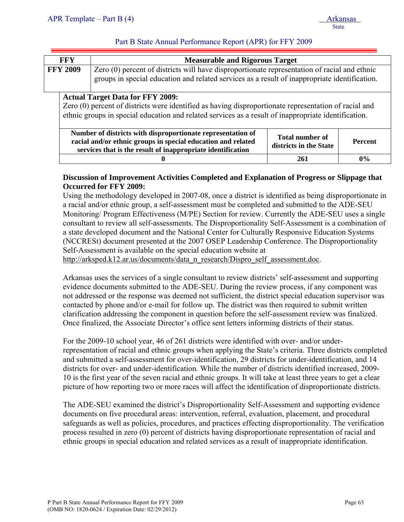| FFY             | <b>Measurable and Rigorous Target</b>                                                                                                                                                         |
|-----------------|-----------------------------------------------------------------------------------------------------------------------------------------------------------------------------------------------|
| <b>FFY 2009</b> | Zero (0) percent of districts will have disproportionate representation of racial and ethnic<br>groups in special education and related services as a result of inappropriate identification. |

# **Actual Target Data for FFY 2009:**

Zero (0) percent of districts were identified as having disproportionate representation of racial and ethnic groups in special education and related services as a result of inappropriate identification.

| Number of districts with disproportionate representation of<br>racial and/or ethnic groups in special education and related<br>services that is the result of inappropriate identification | <b>Total number of</b><br>districts in the State | <b>Percent</b> |
|--------------------------------------------------------------------------------------------------------------------------------------------------------------------------------------------|--------------------------------------------------|----------------|
|                                                                                                                                                                                            | 261                                              | $0\%$          |

# **Discussion of Improvement Activities Completed and Explanation of Progress or Slippage that Occurred for FFY 2009:**

Using the methodology developed in 2007-08, once a district is identified as being disproportionate in a racial and/or ethnic group, a self-assessment must be completed and submitted to the ADE-SEU Monitoring/ Program Effectiveness (M/PE) Section for review. Currently the ADE-SEU uses a single consultant to review all self-assessments. The Disproportionality Self-Assessment is a combination of a state developed document and the National Center for Culturally Responsive Education Systems (NCCRESt) document presented at the 2007 OSEP Leadership Conference. The Disproportionality Self-Assessment is available on the special education website at

http://arksped.k12.ar.us/documents/data\_n\_research/Dispro\_self\_assessment.doc.

Arkansas uses the services of a single consultant to review districts' self-assessment and supporting evidence documents submitted to the ADE-SEU. During the review process, if any component was not addressed or the response was deemed not sufficient, the district special education supervisor was contacted by phone and/or e-mail for follow up. The district was then required to submit written clarification addressing the component in question before the self-assessment review was finalized. Once finalized, the Associate Director's office sent letters informing districts of their status.

For the 2009-10 school year, 46 of 261 districts were identified with over- and/or underrepresentation of racial and ethnic groups when applying the State's criteria. Three districts completed and submitted a self-assessment for over-identification, 29 districts for under-identification, and 14 districts for over- and under-identification. While the number of districts identified increased, 2009- 10 is the first year of the seven racial and ethnic groups. It will take at least three years to get a clear picture of how reporting two or more races will affect the identification of disproportionate districts.

The ADE-SEU examined the district's Disproportionality Self-Assessment and supporting evidence documents on five procedural areas: intervention, referral, evaluation, placement, and procedural safeguards as well as policies, procedures, and practices effecting disproportionality. The verification process resulted in zero (0) percent of districts having disproportionate representation of racial and ethnic groups in special education and related services as a result of inappropriate identification.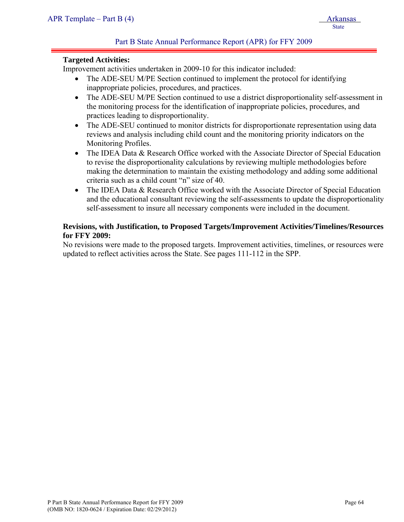#### **Targeted Activities:**

Improvement activities undertaken in 2009-10 for this indicator included:

- The ADE-SEU M/PE Section continued to implement the protocol for identifying inappropriate policies, procedures, and practices.
- The ADE-SEU M/PE Section continued to use a district disproportionality self-assessment in the monitoring process for the identification of inappropriate policies, procedures, and practices leading to disproportionality.
- The ADE-SEU continued to monitor districts for disproportionate representation using data reviews and analysis including child count and the monitoring priority indicators on the Monitoring Profiles.
- The IDEA Data & Research Office worked with the Associate Director of Special Education to revise the disproportionality calculations by reviewing multiple methodologies before making the determination to maintain the existing methodology and adding some additional criteria such as a child count "n" size of 40.
- The IDEA Data & Research Office worked with the Associate Director of Special Education and the educational consultant reviewing the self-assessments to update the disproportionality self-assessment to insure all necessary components were included in the document.

# **Revisions, with Justification, to Proposed Targets/Improvement Activities/Timelines/Resources for FFY 2009:**

No revisions were made to the proposed targets. Improvement activities, timelines, or resources were updated to reflect activities across the State. See pages 111-112 in the SPP.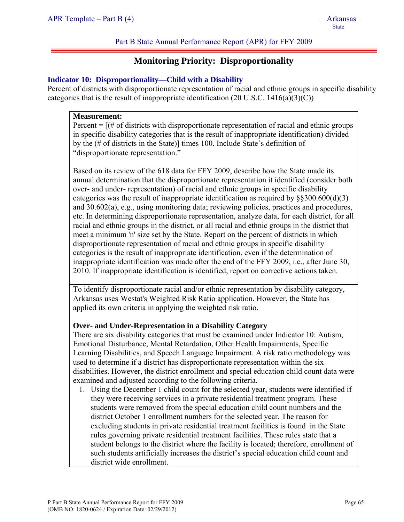# **Monitoring Priority: Disproportionality**

### **Indicator 10: Disproportionality—Child with a Disability**

Percent of districts with disproportionate representation of racial and ethnic groups in specific disability categories that is the result of inappropriate identification  $(20 \text{ U.S.C. } 1416(a)(3)(C))$ 

#### **Measurement:**

Percent  $=$   $[(# of \, \text{districts with} \, \text{disproportionate representation of } \, \text{racial and} \, \text{ethnic groups}]$ in specific disability categories that is the result of inappropriate identification) divided by the (# of districts in the State)] times 100. Include State's definition of "disproportionate representation."

Based on its review of the 618 data for FFY 2009, describe how the State made its annual determination that the disproportionate representation it identified (consider both over- and under- representation) of racial and ethnic groups in specific disability categories was the result of inappropriate identification as required by §§300.600(d)(3) and 30.602(a), e.g., using monitoring data; reviewing policies, practices and procedures, etc. In determining disproportionate representation, analyze data, for each district, for all racial and ethnic groups in the district, or all racial and ethnic groups in the district that meet a minimum 'n' size set by the State. Report on the percent of districts in which disproportionate representation of racial and ethnic groups in specific disability categories is the result of inappropriate identification, even if the determination of inappropriate identification was made after the end of the FFY 2009, i.e., after June 30, 2010. If inappropriate identification is identified, report on corrective actions taken.

To identify disproportionate racial and/or ethnic representation by disability category, Arkansas uses Westat's Weighted Risk Ratio application. However, the State has applied its own criteria in applying the weighted risk ratio.

### **Over- and Under-Representation in a Disability Category**

There are six disability categories that must be examined under Indicator 10: Autism, Emotional Disturbance, Mental Retardation, Other Health Impairments, Specific Learning Disabilities, and Speech Language Impairment. A risk ratio methodology was used to determine if a district has disproportionate representation within the six disabilities. However, the district enrollment and special education child count data were examined and adjusted according to the following criteria.

1. Using the December 1 child count for the selected year, students were identified if they were receiving services in a private residential treatment program. These students were removed from the special education child count numbers and the district October 1 enrollment numbers for the selected year. The reason for excluding students in private residential treatment facilities is found in the State rules governing private residential treatment facilities. These rules state that a student belongs to the district where the facility is located; therefore, enrollment of such students artificially increases the district's special education child count and district wide enrollment.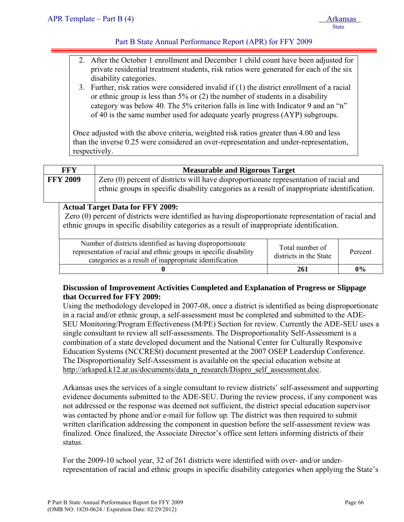- 2. After the October 1 enrollment and December 1 child count have been adjusted for private residential treatment students, risk ratios were generated for each of the six disability categories.
- 3. Further, risk ratios were considered invalid if (1) the district enrollment of a racial or ethnic group is less than 5% or (2) the number of students in a disability category was below 40. The 5% criterion falls in line with Indicator 9 and an "n" of 40 is the same number used for adequate yearly progress (AYP) subgroups.

Once adjusted with the above criteria, weighted risk ratios greater than 4.00 and less than the inverse 0.25 were considered an over-representation and under-representation, respectively.

|                                                                                                       | <b>FFY</b> | <b>Measurable and Rigorous Target</b>                                                                                                                                                 |  |  |  |  |
|-------------------------------------------------------------------------------------------------------|------------|---------------------------------------------------------------------------------------------------------------------------------------------------------------------------------------|--|--|--|--|
| <b>FFY 2009</b>                                                                                       |            | Zero (0) percent of districts will have disproportionate representation of racial and<br>ethnic groups in specific disability categories as a result of inappropriate identification. |  |  |  |  |
| <b>Actual Target Data for FFY 2009:</b>                                                               |            |                                                                                                                                                                                       |  |  |  |  |
| Zero (0) percent of districts were identified as having disproportionate representation of racial and |            |                                                                                                                                                                                       |  |  |  |  |
| ethnic groups in specific disability categories as a result of inappropriate identification.          |            |                                                                                                                                                                                       |  |  |  |  |

| Number of districts identified as having disproportionate<br>representation of racial and ethnic groups in specific disability<br>categories as a result of inappropriate identification | Total number of<br>districts in the State | Percent |
|------------------------------------------------------------------------------------------------------------------------------------------------------------------------------------------|-------------------------------------------|---------|
|                                                                                                                                                                                          | 261                                       | $0\%$   |

# **Discussion of Improvement Activities Completed and Explanation of Progress or Slippage that Occurred for FFY 2009:**

Using the methodology developed in 2007-08, once a district is identified as being disproportionate in a racial and/or ethnic group, a self-assessment must be completed and submitted to the ADE-SEU Monitoring/Program Effectiveness (M/PE) Section for review. Currently the ADE-SEU uses a single consultant to review all self-assessments. The Disproportionality Self-Assessment is a combination of a state developed document and the National Center for Culturally Responsive Education Systems (NCCRESt) document presented at the 2007 OSEP Leadership Conference. The Disproportionality Self-Assessment is available on the special education website at http://arksped.k12.ar.us/documents/data\_n\_research/Dispro\_self\_assessment.doc.

Arkansas uses the services of a single consultant to review districts' self-assessment and supporting evidence documents submitted to the ADE-SEU. During the review process, if any component was not addressed or the response was deemed not sufficient, the district special education supervisor was contacted by phone and/or e-mail for follow up. The district was then required to submit written clarification addressing the component in question before the self-assessment review was finalized. Once finalized, the Associate Director's office sent letters informing districts of their status.

For the 2009-10 school year, 32 of 261 districts were identified with over- and/or underrepresentation of racial and ethnic groups in specific disability categories when applying the State's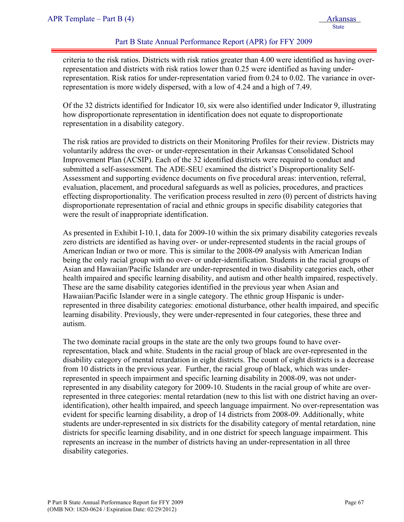criteria to the risk ratios. Districts with risk ratios greater than 4.00 were identified as having overrepresentation and districts with risk ratios lower than 0.25 were identified as having underrepresentation. Risk ratios for under-representation varied from 0.24 to 0.02. The variance in overrepresentation is more widely dispersed, with a low of 4.24 and a high of 7.49.

Of the 32 districts identified for Indicator 10, six were also identified under Indicator 9, illustrating how disproportionate representation in identification does not equate to disproportionate representation in a disability category.

The risk ratios are provided to districts on their Monitoring Profiles for their review. Districts may voluntarily address the over- or under-representation in their Arkansas Consolidated School Improvement Plan (ACSIP). Each of the 32 identified districts were required to conduct and submitted a self-assessment. The ADE-SEU examined the district's Disproportionality Self-Assessment and supporting evidence documents on five procedural areas: intervention, referral, evaluation, placement, and procedural safeguards as well as policies, procedures, and practices effecting disproportionality. The verification process resulted in zero (0) percent of districts having disproportionate representation of racial and ethnic groups in specific disability categories that were the result of inappropriate identification.

As presented in Exhibit I-10.1, data for 2009-10 within the six primary disability categories reveals zero districts are identified as having over- or under-represented students in the racial groups of American Indian or two or more. This is similar to the 2008-09 analysis with American Indian being the only racial group with no over- or under-identification. Students in the racial groups of Asian and Hawaiian/Pacific Islander are under-represented in two disability categories each, other health impaired and specific learning disability, and autism and other health impaired, respectively. These are the same disability categories identified in the previous year when Asian and Hawaiian/Pacific Islander were in a single category. The ethnic group Hispanic is underrepresented in three disability categories: emotional disturbance, other health impaired, and specific learning disability. Previously, they were under-represented in four categories, these three and autism.

The two dominate racial groups in the state are the only two groups found to have overrepresentation, black and white. Students in the racial group of black are over-represented in the disability category of mental retardation in eight districts. The count of eight districts is a decrease from 10 districts in the previous year. Further, the racial group of black, which was underrepresented in speech impairment and specific learning disability in 2008-09, was not underrepresented in any disability category for 2009-10. Students in the racial group of white are overrepresented in three categories: mental retardation (new to this list with one district having an overidentification), other health impaired, and speech language impairment. No over-representation was evident for specific learning disability, a drop of 14 districts from 2008-09. Additionally, white students are under-represented in six districts for the disability category of mental retardation, nine districts for specific learning disability, and in one district for speech language impairment. This represents an increase in the number of districts having an under-representation in all three disability categories.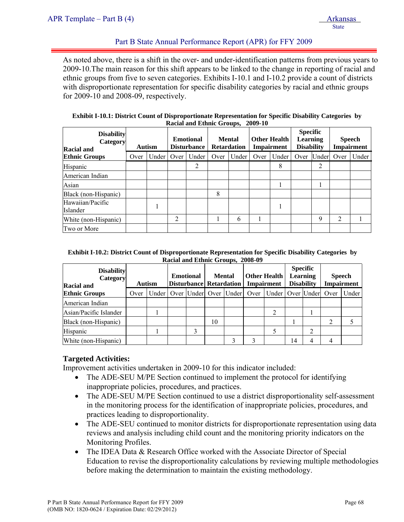As noted above, there is a shift in the over- and under-identification patterns from previous years to 2009-10.The main reason for this shift appears to be linked to the change in reporting of racial and ethnic groups from five to seven categories. Exhibits I-10.1 and I-10.2 provide a count of districts with disproportionate representation for specific disability categories by racial and ethnic groups for 2009-10 and 2008-09, respectively.

|                                                    |               |       |                                        | Kacial and Ethnic Groups, 2007-10 |                                     |       |                                   |       |                                                         |       |                                    |       |
|----------------------------------------------------|---------------|-------|----------------------------------------|-----------------------------------|-------------------------------------|-------|-----------------------------------|-------|---------------------------------------------------------|-------|------------------------------------|-------|
| <b>Disability</b><br>Category<br><b>Racial and</b> | <b>Autism</b> |       | <b>Emotional</b><br><b>Disturbance</b> |                                   | <b>Mental</b><br><b>Retardation</b> |       | <b>Other Health</b><br>Impairment |       | <b>Specific</b><br><b>Learning</b><br><b>Disability</b> |       | <b>Speech</b><br><b>Impairment</b> |       |
| <b>Ethnic Groups</b>                               | Over          | Under | Over                                   | Under                             | Over                                | Under | Over                              | Under | Over                                                    | Under | Over                               | Under |
| Hispanic                                           |               |       |                                        | 2                                 |                                     |       |                                   | 8     |                                                         | 2     |                                    |       |
| American Indian                                    |               |       |                                        |                                   |                                     |       |                                   |       |                                                         |       |                                    |       |
| Asian                                              |               |       |                                        |                                   |                                     |       |                                   |       |                                                         |       |                                    |       |
| Black (non-Hispanic)                               |               |       |                                        |                                   | 8                                   |       |                                   |       |                                                         |       |                                    |       |
| Hawaiian/Pacific<br>Islander                       |               |       |                                        |                                   |                                     |       |                                   |       |                                                         |       |                                    |       |
| White (non-Hispanic)                               |               |       | 2                                      |                                   |                                     | 6     |                                   |       |                                                         | 9     | 2                                  |       |
| Two or More                                        |               |       |                                        |                                   |                                     |       |                                   |       |                                                         |       |                                    |       |

#### **Exhibit I-10.1: District Count of Disproportionate Representation for Specific Disability Categories by Racial and Ethnic Groups, 2009-10**

#### **Exhibit I-10.2: District Count of Disproportionate Representation for Specific Disability Categories by Racial and Ethnic Groups, 2008-09**

| <b>Disability</b><br>Category<br><b>Racial and</b> | <b>Autism</b> |       | <b>Emotional</b> |  | <b>Mental</b><br><b>Disturbance Retardation</b> |  | Other Health<br>Impairment   |                      | <b>Specific</b><br>Learning<br><b>Disability</b> |   | <b>Speech</b><br><b>Impairment</b> |       |
|----------------------------------------------------|---------------|-------|------------------|--|-------------------------------------------------|--|------------------------------|----------------------|--------------------------------------------------|---|------------------------------------|-------|
| <b>Ethnic Groups</b>                               | Over          | Under |                  |  |                                                 |  | Over Under Over Under   Over | Under   Over   Under |                                                  |   | Over                               | Under |
| American Indian                                    |               |       |                  |  |                                                 |  |                              |                      |                                                  |   |                                    |       |
| Asian/Pacific Islander                             |               |       |                  |  |                                                 |  |                              |                      |                                                  |   |                                    |       |
| Black (non-Hispanic)                               |               |       |                  |  | 10                                              |  |                              |                      |                                                  |   |                                    |       |
| Hispanic                                           |               |       |                  |  |                                                 |  |                              |                      |                                                  |   |                                    |       |
| White (non-Hispanic)                               |               |       |                  |  |                                                 |  |                              |                      | 14                                               | 4 |                                    |       |

### **Targeted Activities:**

Improvement activities undertaken in 2009-10 for this indicator included:

- The ADE-SEU M/PE Section continued to implement the protocol for identifying inappropriate policies, procedures, and practices.
- The ADE-SEU M/PE Section continued to use a district disproportionality self-assessment in the monitoring process for the identification of inappropriate policies, procedures, and practices leading to disproportionality.
- The ADE-SEU continued to monitor districts for disproportionate representation using data reviews and analysis including child count and the monitoring priority indicators on the Monitoring Profiles.
- The IDEA Data & Research Office worked with the Associate Director of Special Education to revise the disproportionality calculations by reviewing multiple methodologies before making the determination to maintain the existing methodology.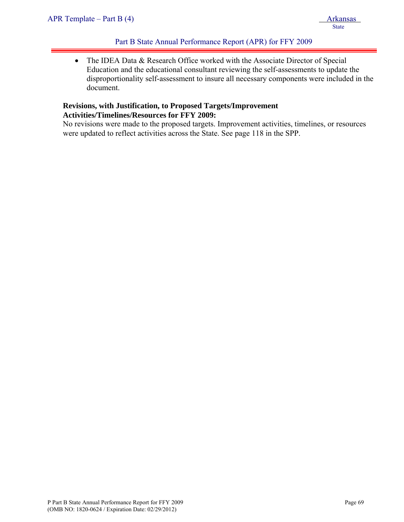• The IDEA Data & Research Office worked with the Associate Director of Special Education and the educational consultant reviewing the self-assessments to update the disproportionality self-assessment to insure all necessary components were included in the document.

# **Revisions, with Justification, to Proposed Targets/Improvement Activities/Timelines/Resources for FFY 2009:**

No revisions were made to the proposed targets. Improvement activities, timelines, or resources were updated to reflect activities across the State. See page 118 in the SPP.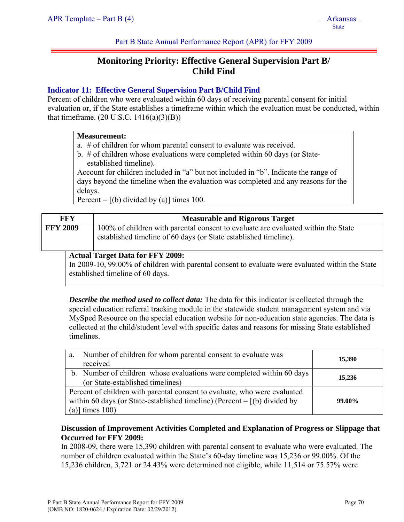# **Monitoring Priority: Effective General Supervision Part B/ Child Find**

# **Indicator 11: Effective General Supervision Part B/Child Find**

Percent of children who were evaluated within 60 days of receiving parental consent for initial evaluation or, if the State establishes a timeframe within which the evaluation must be conducted, within that timeframe.  $(20 \text{ U.S.C. } 1416(a)(3)(B))$ 

#### **Measurement:**

- a. # of children for whom parental consent to evaluate was received.
- b. # of children whose evaluations were completed within 60 days (or Stateestablished timeline).

Account for children included in "a" but not included in "b". Indicate the range of days beyond the timeline when the evaluation was completed and any reasons for the delays.

Percent =  $[(b)$  divided by (a)] times 100.

| FFY             | <b>Measurable and Rigorous Target</b>                                                                                                                 |
|-----------------|-------------------------------------------------------------------------------------------------------------------------------------------------------|
| <b>FFY 2009</b> | 100% of children with parental consent to evaluate are evaluated within the State<br>established timeline of 60 days (or State established timeline). |
|                 | <b>Actual Target Data for FFY 2009:</b>                                                                                                               |
|                 | In 2009-10, 99.00% of children with parental consent to evaluate were evaluated within the State                                                      |

established timeline of 60 days.

*Describe the method used to collect data:* The data for this indicator is collected through the special education referral tracking module in the statewide student management system and via MySped Resource on the special education website for non-education state agencies. The data is collected at the child/student level with specific dates and reasons for missing State established timelines.

| a.                 | Number of children for whom parental consent to evaluate was                          | 15,390 |  |  |  |  |  |  |
|--------------------|---------------------------------------------------------------------------------------|--------|--|--|--|--|--|--|
|                    | received                                                                              |        |  |  |  |  |  |  |
|                    | b. Number of children whose evaluations were completed within 60 days                 | 15,236 |  |  |  |  |  |  |
|                    | (or State-established timelines)                                                      |        |  |  |  |  |  |  |
|                    | Percent of children with parental consent to evaluate, who were evaluated             |        |  |  |  |  |  |  |
|                    | within 60 days (or State-established timeline) (Percent $=$ [(b) divided by<br>99.00% |        |  |  |  |  |  |  |
| (a)] times $100$ ) |                                                                                       |        |  |  |  |  |  |  |

# **Discussion of Improvement Activities Completed and Explanation of Progress or Slippage that Occurred for FFY 2009:**

In 2008-09, there were 15,390 children with parental consent to evaluate who were evaluated. The number of children evaluated within the State's 60-day timeline was 15,236 or 99.00%. Of the 15,236 children, 3,721 or 24.43% were determined not eligible, while 11,514 or 75.57% were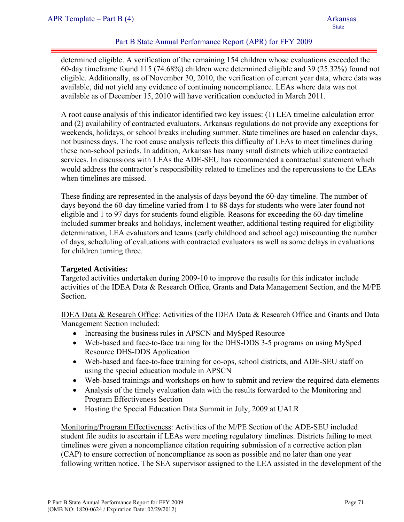determined eligible. A verification of the remaining 154 children whose evaluations exceeded the 60-day timeframe found 115 (74.68%) children were determined eligible and 39 (25.32%) found not eligible. Additionally, as of November 30, 2010, the verification of current year data, where data was available, did not yield any evidence of continuing noncompliance. LEAs where data was not available as of December 15, 2010 will have verification conducted in March 2011.

A root cause analysis of this indicator identified two key issues: (1) LEA timeline calculation error and (2) availability of contracted evaluators. Arkansas regulations do not provide any exceptions for weekends, holidays, or school breaks including summer. State timelines are based on calendar days, not business days. The root cause analysis reflects this difficulty of LEAs to meet timelines during these non-school periods. In addition, Arkansas has many small districts which utilize contracted services. In discussions with LEAs the ADE-SEU has recommended a contractual statement which would address the contractor's responsibility related to timelines and the repercussions to the LEAs when timelines are missed.

These finding are represented in the analysis of days beyond the 60-day timeline. The number of days beyond the 60-day timeline varied from 1 to 88 days for students who were later found not eligible and 1 to 97 days for students found eligible. Reasons for exceeding the 60-day timeline included summer breaks and holidays, inclement weather, additional testing required for eligibility determination, LEA evaluators and teams (early childhood and school age) miscounting the number of days, scheduling of evaluations with contracted evaluators as well as some delays in evaluations for children turning three.

### **Targeted Activities:**

Targeted activities undertaken during 2009-10 to improve the results for this indicator include activities of the IDEA Data & Research Office, Grants and Data Management Section, and the M/PE Section.

IDEA Data & Research Office: Activities of the IDEA Data & Research Office and Grants and Data Management Section included:

- Increasing the business rules in APSCN and MySped Resource
- Web-based and face-to-face training for the DHS-DDS 3-5 programs on using MySped Resource DHS-DDS Application
- Web-based and face-to-face training for co-ops, school districts, and ADE-SEU staff on using the special education module in APSCN
- Web-based trainings and workshops on how to submit and review the required data elements
- Analysis of the timely evaluation data with the results forwarded to the Monitoring and Program Effectiveness Section
- Hosting the Special Education Data Summit in July, 2009 at UALR

Monitoring/Program Effectiveness: Activities of the M/PE Section of the ADE-SEU included student file audits to ascertain if LEAs were meeting regulatory timelines. Districts failing to meet timelines were given a noncompliance citation requiring submission of a corrective action plan (CAP) to ensure correction of noncompliance as soon as possible and no later than one year following written notice. The SEA supervisor assigned to the LEA assisted in the development of the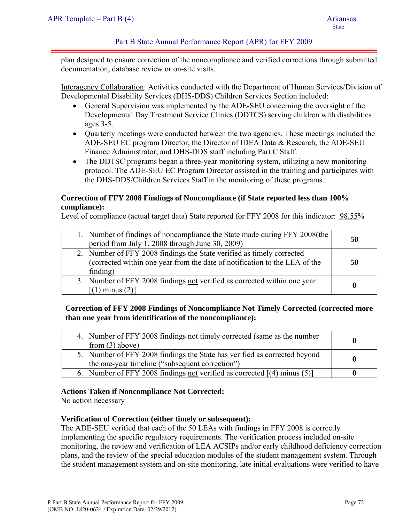plan designed to ensure correction of the noncompliance and verified corrections through submitted documentation, database review or on-site visits.

Interagency Collaboration: Activities conducted with the Department of Human Services/Division of Developmental Disability Services (DHS-DDS) Children Services Section included:

- General Supervision was implemented by the ADE-SEU concerning the oversight of the Developmental Day Treatment Service Clinics (DDTCS) serving children with disabilities ages 3-5.
- Quarterly meetings were conducted between the two agencies. These meetings included the ADE-SEU EC program Director, the Director of IDEA Data & Research, the ADE-SEU Finance Administrator, and DHS-DDS staff including Part C Staff.
- The DDTSC programs began a three-year monitoring system, utilizing a new monitoring protocol. The ADE-SEU EC Program Director assisted in the training and participates with the DHS-DDS/Children Services Staff in the monitoring of these programs.

## **Correction of FFY 2008 Findings of Noncompliance (if State reported less than 100% compliance):**

Level of compliance (actual target data) State reported for FFY 2008 for this indicator: 98.55%

| 1. Number of findings of noncompliance the State made during FFY 2008(the<br>period from July 1, 2008 through June 30, 2009)                                    | 50 |
|-----------------------------------------------------------------------------------------------------------------------------------------------------------------|----|
| 2. Number of FFY 2008 findings the State verified as timely corrected<br>(corrected within one year from the date of notification to the LEA of the<br>finding) | 50 |
| 3. Number of FFY 2008 findings not verified as corrected within one year<br>$[(1)$ minus $(2)]$                                                                 |    |

# **Correction of FFY 2008 Findings of Noncompliance Not Timely Corrected (corrected more than one year from identification of the noncompliance):**

| 4. Number of FFY 2008 findings not timely corrected (same as the number<br>from $(3)$ above)                                 |  |
|------------------------------------------------------------------------------------------------------------------------------|--|
| 5. Number of FFY 2008 findings the State has verified as corrected beyond<br>the one-year timeline ("subsequent correction") |  |
| 6. Number of FFY 2008 findings <u>not</u> verified as corrected $[(4)$ minus (5)                                             |  |

### **Actions Taken if Noncompliance Not Corrected:**

No action necessary

### **Verification of Correction (either timely or subsequent):**

The ADE-SEU verified that each of the 50 LEAs with findings in FFY 2008 is correctly implementing the specific regulatory requirements. The verification process included on-site monitoring, the review and verification of LEA ACSIPs and/or early childhood deficiency correction plans, and the review of the special education modules of the student management system. Through the student management system and on-site monitoring, late initial evaluations were verified to have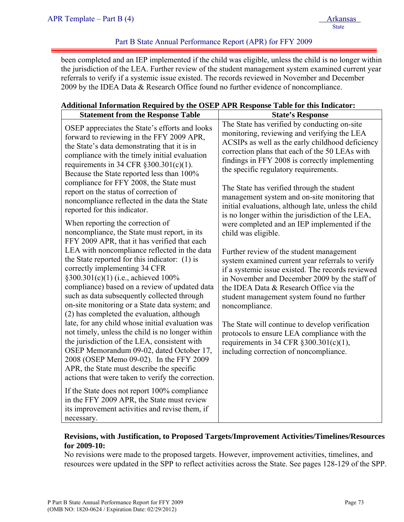been completed and an IEP implemented if the child was eligible, unless the child is no longer within the jurisdiction of the LEA. Further review of the student management system examined current year referrals to verify if a systemic issue existed. The records reviewed in November and December 2009 by the IDEA Data & Research Office found no further evidence of noncompliance.

## **Additional Information Required by the OSEP APR Response Table for this Indicator:**

| <b>Statement from the Response Table</b>                                                                                                                                                                                                                                                                                                                                                                                                                                                                                                                                                                                                                                                           | <b>State's Response</b>                                                                                                                                                                                                                                                                                                                                                                                                                                                                                                                                                                                                                                                        |
|----------------------------------------------------------------------------------------------------------------------------------------------------------------------------------------------------------------------------------------------------------------------------------------------------------------------------------------------------------------------------------------------------------------------------------------------------------------------------------------------------------------------------------------------------------------------------------------------------------------------------------------------------------------------------------------------------|--------------------------------------------------------------------------------------------------------------------------------------------------------------------------------------------------------------------------------------------------------------------------------------------------------------------------------------------------------------------------------------------------------------------------------------------------------------------------------------------------------------------------------------------------------------------------------------------------------------------------------------------------------------------------------|
| OSEP appreciates the State's efforts and looks<br>forward to reviewing in the FFY 2009 APR,<br>the State's data demonstrating that it is in<br>compliance with the timely initial evaluation<br>requirements in 34 CFR $\S 300.301(c)(1)$ .<br>Because the State reported less than 100%<br>compliance for FFY 2008, the State must<br>report on the status of correction of<br>noncompliance reflected in the data the State<br>reported for this indicator.<br>When reporting the correction of<br>noncompliance, the State must report, in its<br>FFY 2009 APR, that it has verified that each<br>LEA with noncompliance reflected in the data<br>the State reported for this indicator: (1) is | The State has verified by conducting on-site<br>monitoring, reviewing and verifying the LEA<br>ACSIPs as well as the early childhood deficiency<br>correction plans that each of the 50 LEAs with<br>findings in FFY 2008 is correctly implementing<br>the specific regulatory requirements.<br>The State has verified through the student<br>management system and on-site monitoring that<br>initial evaluations, although late, unless the child<br>is no longer within the jurisdiction of the LEA,<br>were completed and an IEP implemented if the<br>child was eligible.<br>Further review of the student management<br>system examined current year referrals to verify |
| correctly implementing 34 CFR<br>§300.301(c)(1) (i.e., achieved 100%<br>compliance) based on a review of updated data<br>such as data subsequently collected through<br>on-site monitoring or a State data system; and<br>(2) has completed the evaluation, although<br>late, for any child whose initial evaluation was<br>not timely, unless the child is no longer within<br>the jurisdiction of the LEA, consistent with<br>OSEP Memorandum 09-02, dated October 17,<br>2008 (OSEP Memo 09-02). In the FFY 2009<br>APR, the State must describe the specific                                                                                                                                   | if a systemic issue existed. The records reviewed<br>in November and December 2009 by the staff of<br>the IDEA Data & Research Office via the<br>student management system found no further<br>noncompliance.<br>The State will continue to develop verification<br>protocols to ensure LEA compliance with the<br>requirements in 34 CFR $\S 300.301(c)(1)$ ,<br>including correction of noncompliance.                                                                                                                                                                                                                                                                       |
| actions that were taken to verify the correction.<br>If the State does not report 100% compliance<br>in the FFY 2009 APR, the State must review<br>its improvement activities and revise them, if<br>necessary.                                                                                                                                                                                                                                                                                                                                                                                                                                                                                    |                                                                                                                                                                                                                                                                                                                                                                                                                                                                                                                                                                                                                                                                                |

# **Revisions, with Justification, to Proposed Targets/Improvement Activities/Timelines/Resources for 2009-10:**

No revisions were made to the proposed targets. However, improvement activities, timelines, and resources were updated in the SPP to reflect activities across the State. See pages 128-129 of the SPP.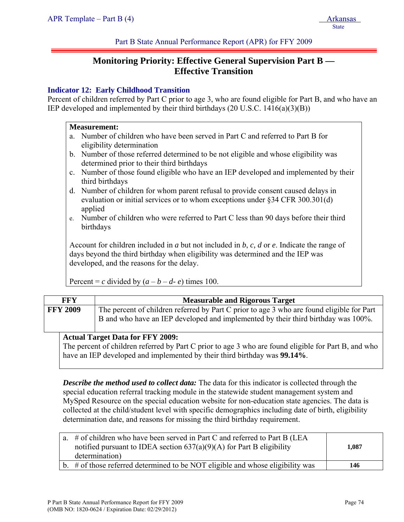# **Monitoring Priority: Effective General Supervision Part B — Effective Transition**

## **Indicator 12: Early Childhood Transition**

Percent of children referred by Part C prior to age 3, who are found eligible for Part B, and who have an IEP developed and implemented by their third birthdays (20 U.S.C. 1416(a)(3)(B))

#### **Measurement:**

- a. Number of children who have been served in Part C and referred to Part B for eligibility determination
- b. Number of those referred determined to be not eligible and whose eligibility was determined prior to their third birthdays
- c. Number of those found eligible who have an IEP developed and implemented by their third birthdays
- d. Number of children for whom parent refusal to provide consent caused delays in evaluation or initial services or to whom exceptions under §34 CFR 300.301(d) applied
- e. Number of children who were referred to Part C less than 90 days before their third birthdays

Account for children included in *a* but not included in *b*, *c, d* or *e*. Indicate the range of days beyond the third birthday when eligibility was determined and the IEP was developed, and the reasons for the delay.

Percent = *c* divided by  $(a - b - d - e)$  times 100.

| <b>FFY 2009</b><br>The percent of children referred by Part C prior to age 3 who are found eligible for Part<br>B and who have an IEP developed and implemented by their third birthday was 100%. | <b>FFY</b> | <b>Measurable and Rigorous Target</b> |  |  |
|---------------------------------------------------------------------------------------------------------------------------------------------------------------------------------------------------|------------|---------------------------------------|--|--|
|                                                                                                                                                                                                   |            |                                       |  |  |

### **Actual Target Data for FFY 2009:**

The percent of children referred by Part C prior to age 3 who are found eligible for Part B, and who have an IEP developed and implemented by their third birthday was **99.14%**.

*Describe the method used to collect data:* The data for this indicator is collected through the special education referral tracking module in the statewide student management system and MySped Resource on the special education website for non-education state agencies. The data is collected at the child/student level with specific demographics including date of birth, eligibility determination date, and reasons for missing the third birthday requirement.

| a. # of children who have been served in Part C and referred to Part B (LEA<br>notified pursuant to IDEA section $637(a)(9)(A)$ for Part B eligibility<br>determination) | 1.087 |
|--------------------------------------------------------------------------------------------------------------------------------------------------------------------------|-------|
| b. $\#$ of those referred determined to be NOT eligible and whose eligibility was                                                                                        | 146   |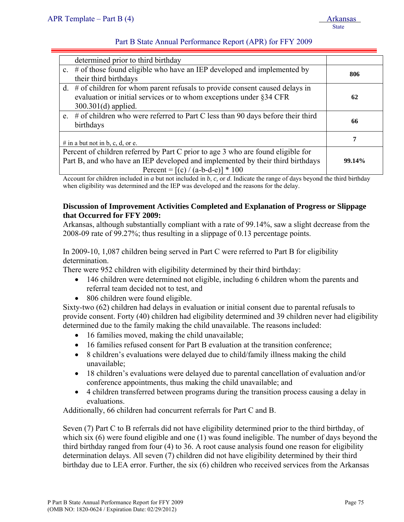|                                                                                  | determined prior to third birthday                                                  |     |  |
|----------------------------------------------------------------------------------|-------------------------------------------------------------------------------------|-----|--|
|                                                                                  | c. $\#$ of those found eligible who have an IEP developed and implemented by        |     |  |
|                                                                                  | their third birthdays                                                               | 806 |  |
|                                                                                  | d. $#$ of children for whom parent refusals to provide consent caused delays in     |     |  |
|                                                                                  | evaluation or initial services or to whom exceptions under §34 CFR                  | 62  |  |
|                                                                                  | $300.301(d)$ applied.                                                               |     |  |
|                                                                                  | e. $#$ of children who were referred to Part C less than 90 days before their third |     |  |
|                                                                                  | birthdays                                                                           | 66  |  |
|                                                                                  |                                                                                     | 7   |  |
|                                                                                  | # in a but not in b, c, d, or e.                                                    |     |  |
| Percent of children referred by Part C prior to age 3 who are found eligible for |                                                                                     |     |  |
|                                                                                  | Part B, and who have an IEP developed and implemented by their third birthdays      |     |  |
|                                                                                  | Percent = $[(c) / (a-b-d-e)] * 100$                                                 |     |  |

Account for children included in *a* but not included in *b*, *c,* or *d*. Indicate the range of days beyond the third birthday when eligibility was determined and the IEP was developed and the reasons for the delay.

### **Discussion of Improvement Activities Completed and Explanation of Progress or Slippage that Occurred for FFY 2009:**

Arkansas, although substantially compliant with a rate of 99.14%, saw a slight decrease from the 2008-09 rate of 99.27%; thus resulting in a slippage of 0.13 percentage points.

# In 2009-10, 1,087 children being served in Part C were referred to Part B for eligibility determination.

There were 952 children with eligibility determined by their third birthday:

- 146 children were determined not eligible, including 6 children whom the parents and referral team decided not to test, and
- 806 children were found eligible.

Sixty-two (62) children had delays in evaluation or initial consent due to parental refusals to provide consent. Forty (40) children had eligibility determined and 39 children never had eligibility determined due to the family making the child unavailable. The reasons included:

- 16 families moved, making the child unavailable;
- 16 families refused consent for Part B evaluation at the transition conference;
- 8 children's evaluations were delayed due to child/family illness making the child unavailable;
- 18 children's evaluations were delayed due to parental cancellation of evaluation and/or conference appointments, thus making the child unavailable; and
- 4 children transferred between programs during the transition process causing a delay in evaluations.

Additionally, 66 children had concurrent referrals for Part C and B.

Seven (7) Part C to B referrals did not have eligibility determined prior to the third birthday, of which six (6) were found eligible and one (1) was found ineligible. The number of days beyond the third birthday ranged from four (4) to 36. A root cause analysis found one reason for eligibility determination delays. All seven (7) children did not have eligibility determined by their third birthday due to LEA error. Further, the six (6) children who received services from the Arkansas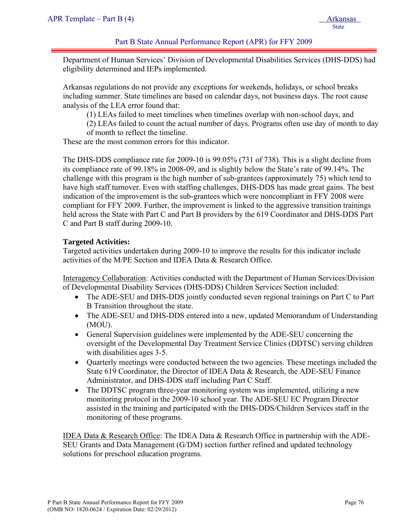Department of Human Services' Division of Developmental Disabilities Services (DHS-DDS) had eligibility determined and IEPs implemented.

Arkansas regulations do not provide any exceptions for weekends, holidays, or school breaks including summer. State timelines are based on calendar days, not business days. The root cause analysis of the LEA error found that:

(1) LEAs failed to meet timelines when timelines overlap with non-school days, and

(2) LEAs failed to count the actual number of days. Programs often use day of month to day of month to reflect the timeline.

These are the most common errors for this indicator.

The DHS-DDS compliance rate for 2009-10 is 99.05% (731 of 738). This is a slight decline from its compliance rate of 99.18% in 2008-09, and is slightly below the State's rate of 99.14%. The challenge with this program is the high number of sub-grantees (approximately 75) which tend to have high staff turnover. Even with staffing challenges, DHS-DDS has made great gains. The best indication of the improvement is the sub-grantees which were noncompliant in FFY 2008 were compliant for FFY 2009. Further, the improvement is linked to the aggressive transition trainings held across the State with Part C and Part B providers by the 619 Coordinator and DHS-DDS Part C and Part B staff during 2009-10.

### **Targeted Activities:**

Targeted activities undertaken during 2009-10 to improve the results for this indicator include activities of the M/PE Section and IDEA Data & Research Office.

Interagency Collaboration: Activities conducted with the Department of Human Services/Division of Developmental Disability Services (DHS-DDS) Children Services Section included:

- The ADE-SEU and DHS-DDS jointly conducted seven regional trainings on Part C to Part B Transition throughout the state.
- The ADE-SEU and DHS-DDS entered into a new, updated Memorandum of Understanding (MOU).
- General Supervision guidelines were implemented by the ADE-SEU concerning the oversight of the Developmental Day Treatment Service Clinics (DDTSC) serving children with disabilities ages 3-5.
- Quarterly meetings were conducted between the two agencies. These meetings included the State 619 Coordinator, the Director of IDEA Data & Research, the ADE-SEU Finance Administrator, and DHS-DDS staff including Part C Staff.
- The DDTSC program three-year monitoring system was implemented, utilizing a new monitoring protocol in the 2009-10 school year. The ADE-SEU EC Program Director assisted in the training and participated with the DHS-DDS/Children Services staff in the monitoring of these programs.

IDEA Data & Research Office: The IDEA Data & Research Office in partnership with the ADE-SEU Grants and Data Management (G/DM) section further refined and updated technology solutions for preschool education programs.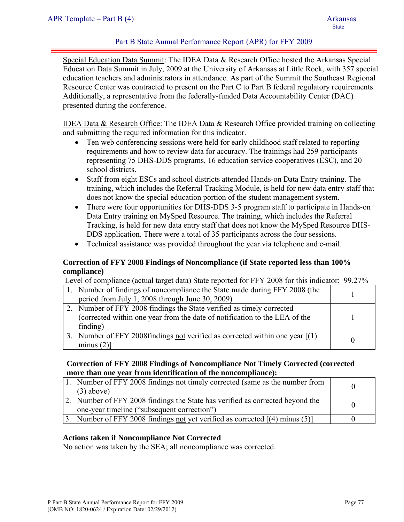Special Education Data Summit: The IDEA Data & Research Office hosted the Arkansas Special Education Data Summit in July, 2009 at the University of Arkansas at Little Rock, with 357 special education teachers and administrators in attendance. As part of the Summit the Southeast Regional Resource Center was contracted to present on the Part C to Part B federal regulatory requirements. Additionally, a representative from the federally-funded Data Accountability Center (DAC) presented during the conference.

IDEA Data & Research Office: The IDEA Data & Research Office provided training on collecting and submitting the required information for this indicator.

- Ten web conferencing sessions were held for early childhood staff related to reporting requirements and how to review data for accuracy. The trainings had 259 participants representing 75 DHS-DDS programs, 16 education service cooperatives (ESC), and 20 school districts.
- Staff from eight ESCs and school districts attended Hands-on Data Entry training. The training, which includes the Referral Tracking Module, is held for new data entry staff that does not know the special education portion of the student management system.
- There were four opportunities for DHS-DDS 3-5 program staff to participate in Hands-on Data Entry training on MySped Resource. The training, which includes the Referral Tracking, is held for new data entry staff that does not know the MySped Resource DHS-DDS application. There were a total of 35 participants across the four sessions.
- Technical assistance was provided throughout the year via telephone and e-mail.

## **Correction of FFY 2008 Findings of Noncompliance (if State reported less than 100% compliance)**

Level of compliance (actual target data) State reported for FFY 2008 for this indicator: 99.27%

| 1. Number of findings of noncompliance the State made during FFY 2008 (the     |  |
|--------------------------------------------------------------------------------|--|
| period from July 1, 2008 through June 30, 2009)                                |  |
| 2. Number of FFY 2008 findings the State verified as timely corrected          |  |
| (corrected within one year from the date of notification to the LEA of the     |  |
| finding)                                                                       |  |
| 3. Number of FFY 2008 findings not verified as corrected within one year $(1)$ |  |
| minus $(2)$ ]                                                                  |  |

### **Correction of FFY 2008 Findings of Noncompliance Not Timely Corrected (corrected more than one year from identification of the noncompliance):**

| Number of FFY 2008 findings not timely corrected (same as the number from        |  |
|----------------------------------------------------------------------------------|--|
| $(3)$ above)                                                                     |  |
| 2. Number of FFY 2008 findings the State has verified as corrected beyond the    |  |
| one-year timeline ("subsequent correction")                                      |  |
| 3. Number of FFY 2008 findings not yet verified as corrected $[(4)$ minus $(5)]$ |  |

### **Actions taken if Noncompliance Not Corrected**

No action was taken by the SEA; all noncompliance was corrected.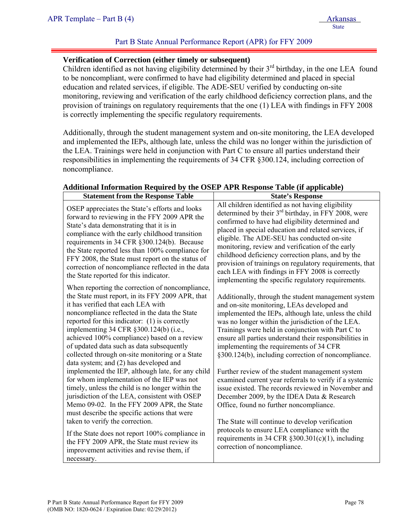### **Verification of Correction (either timely or subsequent)**

Children identified as not having eligibility determined by their  $3<sup>rd</sup>$  birthday, in the one LEA found to be noncompliant, were confirmed to have had eligibility determined and placed in special education and related services, if eligible. The ADE-SEU verified by conducting on-site monitoring, reviewing and verification of the early childhood deficiency correction plans, and the provision of trainings on regulatory requirements that the one (1) LEA with findings in FFY 2008 is correctly implementing the specific regulatory requirements.

Additionally, through the student management system and on-site monitoring, the LEA developed and implemented the IEPs, although late, unless the child was no longer within the jurisdiction of the LEA. Trainings were held in conjunction with Part C to ensure all parties understand their responsibilities in implementing the requirements of 34 CFR §300.124, including correction of noncompliance.

| <b>Statement from the Response Table</b>                                                                                                                                                                                                                                                                                                                                                                                                                                       | <b>State's Response</b>                                                                                                                                                                                                                                                                                                                                                                                                                                                                                                                            |
|--------------------------------------------------------------------------------------------------------------------------------------------------------------------------------------------------------------------------------------------------------------------------------------------------------------------------------------------------------------------------------------------------------------------------------------------------------------------------------|----------------------------------------------------------------------------------------------------------------------------------------------------------------------------------------------------------------------------------------------------------------------------------------------------------------------------------------------------------------------------------------------------------------------------------------------------------------------------------------------------------------------------------------------------|
| OSEP appreciates the State's efforts and looks<br>forward to reviewing in the FFY 2009 APR the<br>State's data demonstrating that it is in<br>compliance with the early childhood transition<br>requirements in 34 CFR §300.124(b). Because<br>the State reported less than 100% compliance for<br>FFY 2008, the State must report on the status of<br>correction of noncompliance reflected in the data<br>the State reported for this indicator.                             | All children identified as not having eligibility<br>determined by their $3rd$ birthday, in FFY 2008, were<br>confirmed to have had eligibility determined and<br>placed in special education and related services, if<br>eligible. The ADE-SEU has conducted on-site<br>monitoring, review and verification of the early<br>childhood deficiency correction plans, and by the<br>provision of trainings on regulatory requirements, that<br>each LEA with findings in FFY 2008 is correctly<br>implementing the specific regulatory requirements. |
| When reporting the correction of noncompliance,<br>the State must report, in its FFY 2009 APR, that<br>it has verified that each LEA with<br>noncompliance reflected in the data the State<br>reported for this indicator: (1) is correctly<br>implementing 34 CFR §300.124(b) (i.e.,<br>achieved 100% compliance) based on a review<br>of updated data such as data subsequently<br>collected through on-site monitoring or a State<br>data system; and (2) has developed and | Additionally, through the student management system<br>and on-site monitoring, LEAs developed and<br>implemented the IEPs, although late, unless the child<br>was no longer within the jurisdiction of the LEA.<br>Trainings were held in conjunction with Part C to<br>ensure all parties understand their responsibilities in<br>implementing the requirements of 34 CFR<br>§300.124(b), including correction of noncompliance.                                                                                                                  |
| implemented the IEP, although late, for any child<br>for whom implementation of the IEP was not<br>timely, unless the child is no longer within the<br>jurisdiction of the LEA, consistent with OSEP<br>Memo 09-02. In the FFY 2009 APR, the State<br>must describe the specific actions that were<br>taken to verify the correction.                                                                                                                                          | Further review of the student management system<br>examined current year referrals to verify if a systemic<br>issue existed. The records reviewed in November and<br>December 2009, by the IDEA Data & Research<br>Office, found no further noncompliance.<br>The State will continue to develop verification                                                                                                                                                                                                                                      |
| If the State does not report 100% compliance in<br>the FFY 2009 APR, the State must review its<br>improvement activities and revise them, if<br>necessary.                                                                                                                                                                                                                                                                                                                     | protocols to ensure LEA compliance with the<br>requirements in 34 CFR $\S 300.301(c)(1)$ , including<br>correction of noncompliance.                                                                                                                                                                                                                                                                                                                                                                                                               |

### **Additional Information Required by the OSEP APR Response Table (if applicable)**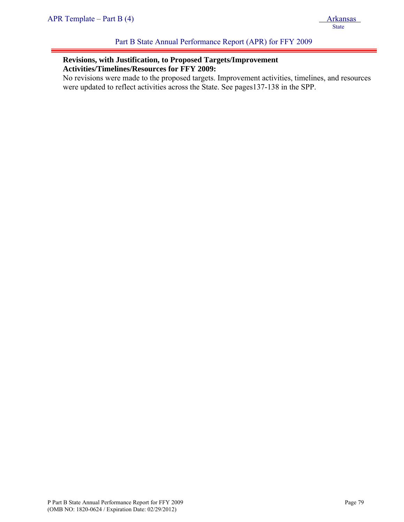# **Revisions, with Justification, to Proposed Targets/Improvement Activities/Timelines/Resources for FFY 2009:**

No revisions were made to the proposed targets. Improvement activities, timelines, and resources were updated to reflect activities across the State. See pages137-138 in the SPP.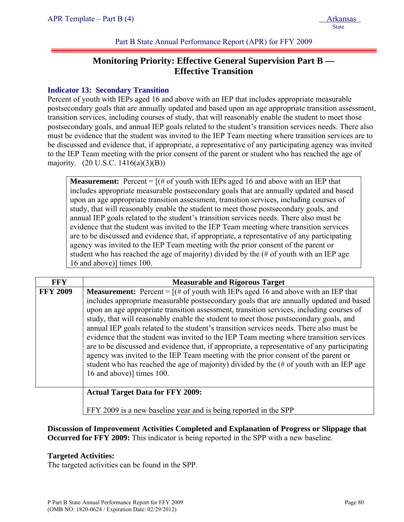# **Monitoring Priority: Effective General Supervision Part B — Effective Transition**

# **Indicator 13: Secondary Transition**

Percent of youth with IEPs aged 16 and above with an IEP that includes appropriate measurable postsecondary goals that are annually updated and based upon an age appropriate transition assessment, transition services, including courses of study, that will reasonably enable the student to meet those postsecondary goals, and annual IEP goals related to the student's transition services needs. There also must be evidence that the student was invited to the IEP Team meeting where transition services are to be discussed and evidence that, if appropriate, a representative of any participating agency was invited to the IEP Team meeting with the prior consent of the parent or student who has reached the age of majority. (20 U.S.C. 1416(a)(3)(B))

**Measurement:** Percent  $=$   $[(# of youth with IEPs aged 16 and above with an IEP that$ includes appropriate measurable postsecondary goals that are annually updated and based upon an age appropriate transition assessment, transition services, including courses of study, that will reasonably enable the student to meet those postsecondary goals, and annual IEP goals related to the student's transition services needs. There also must be evidence that the student was invited to the IEP Team meeting where transition services are to be discussed and evidence that, if appropriate, a representative of any participating agency was invited to the IEP Team meeting with the prior consent of the parent or student who has reached the age of majority) divided by the (# of youth with an IEP age 16 and above)] times 100.

| <b>FFY</b>      | <b>Measurable and Rigorous Target</b>                                                                                                                                                                                                                                                                                                                                                                                                                                                                                                                                                                                                                                                                                                                                                                                                                                         |  |  |
|-----------------|-------------------------------------------------------------------------------------------------------------------------------------------------------------------------------------------------------------------------------------------------------------------------------------------------------------------------------------------------------------------------------------------------------------------------------------------------------------------------------------------------------------------------------------------------------------------------------------------------------------------------------------------------------------------------------------------------------------------------------------------------------------------------------------------------------------------------------------------------------------------------------|--|--|
| <b>FFY 2009</b> | <b>Measurement:</b> Percent = $[(# of youth with IEPs aged 16 and above with an IEP that$<br>includes appropriate measurable postsecondary goals that are annually updated and based<br>upon an age appropriate transition assessment, transition services, including courses of<br>study, that will reasonably enable the student to meet those postsecondary goals, and<br>annual IEP goals related to the student's transition services needs. There also must be<br>evidence that the student was invited to the IEP Team meeting where transition services<br>are to be discussed and evidence that, if appropriate, a representative of any participating<br>agency was invited to the IEP Team meeting with the prior consent of the parent or<br>student who has reached the age of majority) divided by the (# of youth with an IEP age<br>16 and above)] times 100. |  |  |
|                 | <b>Actual Target Data for FFY 2009:</b>                                                                                                                                                                                                                                                                                                                                                                                                                                                                                                                                                                                                                                                                                                                                                                                                                                       |  |  |

FFY 2009 is a new baseline year and is being reported in the SPP

**Discussion of Improvement Activities Completed and Explanation of Progress or Slippage that Occurred for FFY 2009:** This indicator is being reported in the SPP with a new baseline.

### **Targeted Activities:**

The targeted activities can be found in the SPP.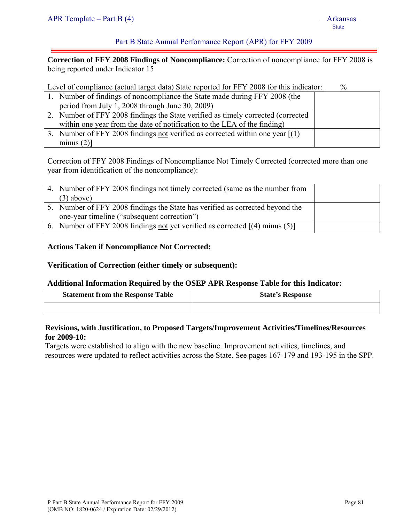**Correction of FFY 2008 Findings of Noncompliance:** Correction of noncompliance for FFY 2008 is being reported under Indicator 15

Level of compliance (actual target data) State reported for FFY 2008 for this indicator:  $\%$ 

| 1. Number of findings of noncompliance the State made during FFY 2008 (the        |  |
|-----------------------------------------------------------------------------------|--|
| period from July 1, 2008 through June $30, 2009$ )                                |  |
| 2. Number of FFY 2008 findings the State verified as timely corrected (corrected) |  |
| within one year from the date of notification to the LEA of the finding)          |  |
| 3. Number of FFY 2008 findings not verified as corrected within one year $[(1)$   |  |
| minus $(2)$ ]                                                                     |  |

Correction of FFY 2008 Findings of Noncompliance Not Timely Corrected (corrected more than one year from identification of the noncompliance):

| 4. Number of FFY 2008 findings not timely corrected (same as the number from  |  |
|-------------------------------------------------------------------------------|--|
| $(3)$ above)                                                                  |  |
| 5. Number of FFY 2008 findings the State has verified as corrected beyond the |  |
| one-year timeline ("subsequent correction")                                   |  |
| 6. Number of FFY 2008 findings not yet verified as corrected $[(4)$ minus (5) |  |

### **Actions Taken if Noncompliance Not Corrected:**

#### **Verification of Correction (either timely or subsequent):**

#### **Additional Information Required by the OSEP APR Response Table for this Indicator:**

| <b>Statement from the Response Table</b> | <b>State's Response</b> |
|------------------------------------------|-------------------------|
|                                          |                         |

#### **Revisions, with Justification, to Proposed Targets/Improvement Activities/Timelines/Resources for 2009-10:**

Targets were established to align with the new baseline. Improvement activities, timelines, and resources were updated to reflect activities across the State. See pages 167-179 and 193-195 in the SPP.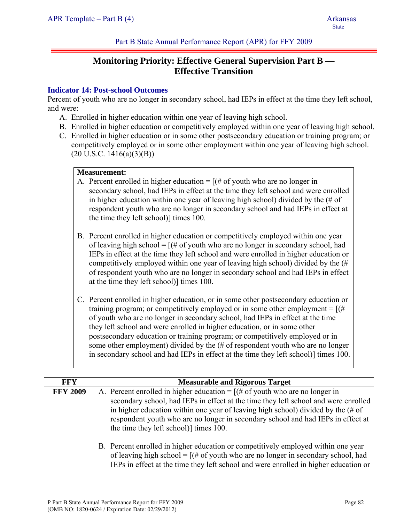# **Monitoring Priority: Effective General Supervision Part B — Effective Transition**

## **Indicator 14: Post-school Outcomes**

Percent of youth who are no longer in secondary school, had IEPs in effect at the time they left school, and were:

- A. Enrolled in higher education within one year of leaving high school.
- B. Enrolled in higher education or competitively employed within one year of leaving high school.
- C. Enrolled in higher education or in some other postsecondary education or training program; or competitively employed or in some other employment within one year of leaving high school.  $(20 \text{ U.S.C. } 1416(a)(3)(B))$

### **Measurement:**

- A. Percent enrolled in higher education  $=$  [ $#$  of youth who are no longer in secondary school, had IEPs in effect at the time they left school and were enrolled in higher education within one year of leaving high school) divided by the (# of respondent youth who are no longer in secondary school and had IEPs in effect at the time they left school)] times 100.
- B. Percent enrolled in higher education or competitively employed within one year of leaving high school =  $[(# of youth who are no longer in secondary school, had$ IEPs in effect at the time they left school and were enrolled in higher education or competitively employed within one year of leaving high school) divided by the (# of respondent youth who are no longer in secondary school and had IEPs in effect at the time they left school)] times 100.
- C. Percent enrolled in higher education, or in some other postsecondary education or training program; or competitively employed or in some other employment  $=$   $[(#$ of youth who are no longer in secondary school, had IEPs in effect at the time they left school and were enrolled in higher education, or in some other postsecondary education or training program; or competitively employed or in some other employment) divided by the (# of respondent youth who are no longer in secondary school and had IEPs in effect at the time they left school)] times 100.

| <b>FFY</b>      | <b>Measurable and Rigorous Target</b>                                                                                                                                                                                                                                                                                                                                                             |  |  |
|-----------------|---------------------------------------------------------------------------------------------------------------------------------------------------------------------------------------------------------------------------------------------------------------------------------------------------------------------------------------------------------------------------------------------------|--|--|
| <b>FFY 2009</b> | A. Percent enrolled in higher education = $[(# of$ youth who are no longer in<br>secondary school, had IEPs in effect at the time they left school and were enrolled<br>in higher education within one year of leaving high school) divided by the $(\# \text{ of }$<br>respondent youth who are no longer in secondary school and had IEPs in effect at<br>the time they left school) times 100. |  |  |
|                 | B. Percent enrolled in higher education or competitively employed within one year<br>of leaving high school = $[(# of youth who are no longer in secondary school, had$<br>IEPs in effect at the time they left school and were enrolled in higher education or                                                                                                                                   |  |  |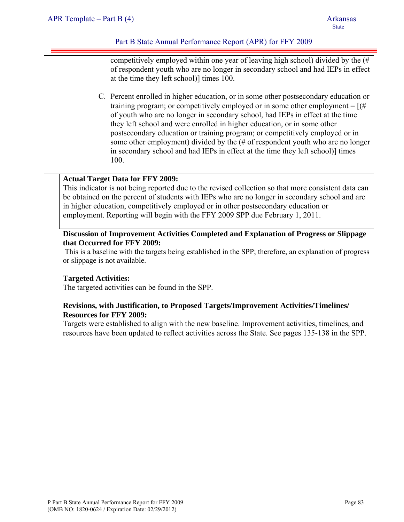competitively employed within one year of leaving high school) divided by the (# of respondent youth who are no longer in secondary school and had IEPs in effect at the time they left school)] times 100.

C. Percent enrolled in higher education, or in some other postsecondary education or training program; or competitively employed or in some other employment =  $[(#$ of youth who are no longer in secondary school, had IEPs in effect at the time they left school and were enrolled in higher education, or in some other postsecondary education or training program; or competitively employed or in some other employment) divided by the (# of respondent youth who are no longer in secondary school and had IEPs in effect at the time they left school)] times 100.

## **Actual Target Data for FFY 2009:**

This indicator is not being reported due to the revised collection so that more consistent data can be obtained on the percent of students with IEPs who are no longer in secondary school and are in higher education, competitively employed or in other postsecondary education or employment. Reporting will begin with the FFY 2009 SPP due February 1, 2011.

## **Discussion of Improvement Activities Completed and Explanation of Progress or Slippage that Occurred for FFY 2009:**

 This is a baseline with the targets being established in the SPP; therefore, an explanation of progress or slippage is not available.

### **Targeted Activities:**

The targeted activities can be found in the SPP.

### **Revisions, with Justification, to Proposed Targets/Improvement Activities/Timelines/ Resources for FFY 2009:**

Targets were established to align with the new baseline. Improvement activities, timelines, and resources have been updated to reflect activities across the State. See pages 135-138 in the SPP.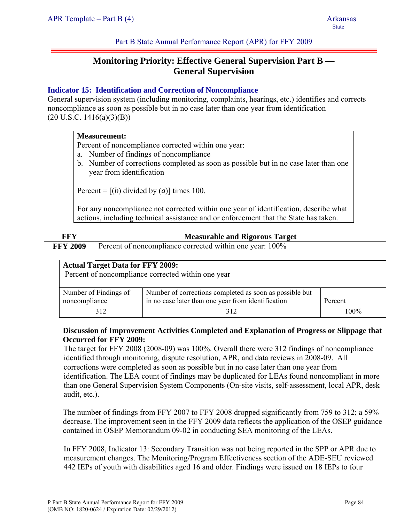# **Monitoring Priority: Effective General Supervision Part B — General Supervision**

## **Indicator 15: Identification and Correction of Noncompliance**

General supervision system (including monitoring, complaints, hearings, etc.) identifies and corrects noncompliance as soon as possible but in no case later than one year from identification  $(20 U.S.C. 1416(a)(3)(B))$ 

#### **Measurement:**

Percent of noncompliance corrected within one year:

- a. Number of findings of noncompliance
- b. Number of corrections completed as soon as possible but in no case later than one year from identification

Percent =  $[(b)$  divided by  $(a)$ ] times 100.

For any noncompliance not corrected within one year of identification, describe what actions, including technical assistance and or enforcement that the State has taken.

| <b>FFY</b>                                                                                                                                                         | <b>Measurable and Rigorous Target</b>                    |     |         |
|--------------------------------------------------------------------------------------------------------------------------------------------------------------------|----------------------------------------------------------|-----|---------|
| <b>FFY 2009</b>                                                                                                                                                    | Percent of noncompliance corrected within one year: 100% |     |         |
| <b>Actual Target Data for FFY 2009:</b><br>Percent of noncompliance corrected within one year                                                                      |                                                          |     |         |
| Number of corrections completed as soon as possible but<br>Number of Findings of<br>in no case later than one year from identification<br>noncompliance<br>Percent |                                                          |     |         |
|                                                                                                                                                                    | 312                                                      | 312 | $100\%$ |

## **Discussion of Improvement Activities Completed and Explanation of Progress or Slippage that Occurred for FFY 2009:**

The target for FFY 2008 (2008-09) was 100%. Overall there were 312 findings of noncompliance identified through monitoring, dispute resolution, APR, and data reviews in 2008-09. All corrections were completed as soon as possible but in no case later than one year from identification. The LEA count of findings may be duplicated for LEAs found noncompliant in more than one General Supervision System Components (On-site visits, self-assessment, local APR, desk audit, etc.).

The number of findings from FFY 2007 to FFY 2008 dropped significantly from 759 to 312; a 59% decrease. The improvement seen in the FFY 2009 data reflects the application of the OSEP guidance contained in OSEP Memorandum 09-02 in conducting SEA monitoring of the LEAs.

In FFY 2008, Indicator 13: Secondary Transition was not being reported in the SPP or APR due to measurement changes. The Monitoring/Program Effectiveness section of the ADE-SEU reviewed 442 IEPs of youth with disabilities aged 16 and older. Findings were issued on 18 IEPs to four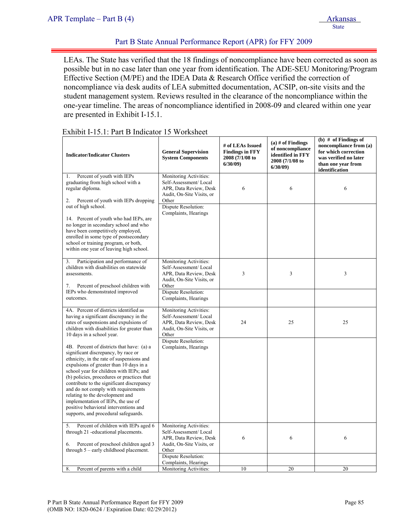LEAs. The State has verified that the 18 findings of noncompliance have been corrected as soon as possible but in no case later than one year from identification. The ADE-SEU Monitoring/Program Effective Section (M/PE) and the IDEA Data & Research Office verified the correction of noncompliance via desk audits of LEA submitted documentation, ACSIP, on-site visits and the student management system. Reviews resulted in the clearance of the noncompliance within the one-year timeline. The areas of noncompliance identified in 2008-09 and cleared within one year are presented in Exhibit I-15.1.

| <b>Indicator/Indicator Clusters</b>                                                                                                                                                                                                                                                                                                                                                                                                                                                                             | <b>General Supervision</b><br><b>System Components</b>                                                                                 | # of LEAs Issued<br><b>Findings in FFY</b><br>2008 (7/1/08 to<br>6/30/09 | $(a)$ # of Findings<br>of noncompliance<br>identified in FFY<br>2008 (7/1/08 to<br>6/30/09 | (b) $#$ of Findings of<br>noncompliance from (a)<br>for which correction<br>was verified no later<br>than one year from<br>identification |
|-----------------------------------------------------------------------------------------------------------------------------------------------------------------------------------------------------------------------------------------------------------------------------------------------------------------------------------------------------------------------------------------------------------------------------------------------------------------------------------------------------------------|----------------------------------------------------------------------------------------------------------------------------------------|--------------------------------------------------------------------------|--------------------------------------------------------------------------------------------|-------------------------------------------------------------------------------------------------------------------------------------------|
| Percent of youth with IEPs<br>1.<br>graduating from high school with a<br>regular diploma.<br>Percent of youth with IEPs dropping<br>2.<br>out of high school.                                                                                                                                                                                                                                                                                                                                                  | Monitoring Activities:<br>Self-Assessment/Local<br>APR, Data Review, Desk<br>Audit, On-Site Visits, or<br>Other<br>Dispute Resolution: | 6                                                                        | 6                                                                                          | 6                                                                                                                                         |
| 14. Percent of youth who had IEPs, are<br>no longer in secondary school and who<br>have been competitively employed,<br>enrolled in some type of postsecondary<br>school or training program, or both,<br>within one year of leaving high school.                                                                                                                                                                                                                                                               | Complaints, Hearings                                                                                                                   |                                                                          |                                                                                            |                                                                                                                                           |
| Participation and performance of<br>3.<br>children with disabilities on statewide<br>assessments.<br>Percent of preschool children with<br>7.                                                                                                                                                                                                                                                                                                                                                                   | Monitoring Activities:<br>Self-Assessment/Local<br>APR, Data Review, Desk<br>Audit, On-Site Visits, or<br>Other                        | 3                                                                        | 3                                                                                          | 3                                                                                                                                         |
| IEPs who demonstrated improved<br>outcomes.                                                                                                                                                                                                                                                                                                                                                                                                                                                                     | Dispute Resolution:<br>Complaints, Hearings                                                                                            |                                                                          |                                                                                            |                                                                                                                                           |
| 4A. Percent of districts identified as<br>having a significant discrepancy in the<br>rates of suspensions and expulsions of<br>children with disabilities for greater than<br>10 days in a school year.                                                                                                                                                                                                                                                                                                         | Monitoring Activities:<br>Self-Assessment/Local<br>APR, Data Review, Desk<br>Audit, On-Site Visits, or<br>Other                        | 24                                                                       | 25                                                                                         | 25                                                                                                                                        |
| 4B. Percent of districts that have: (a) a<br>significant discrepancy, by race or<br>ethnicity, in the rate of suspensions and<br>expulsions of greater than 10 days in a<br>school year for children with IEPs; and<br>(b) policies, procedures or practices that<br>contribute to the significant discrepancy<br>and do not comply with requirements<br>relating to the development and<br>implementation of IEPs, the use of<br>positive behavioral interventions and<br>supports, and procedural safeguards. | Dispute Resolution:<br>Complaints, Hearings                                                                                            |                                                                          |                                                                                            |                                                                                                                                           |
| Percent of children with IEPs aged 6<br>5.<br>through 21 -educational placements.<br>Percent of preschool children aged 3<br>6.<br>through 5 - early childhood placement.                                                                                                                                                                                                                                                                                                                                       | Monitoring Activities:<br>Self-Assessment/Local<br>APR, Data Review, Desk<br>Audit, On-Site Visits, or<br>Other                        | 6                                                                        | 6                                                                                          | 6                                                                                                                                         |
|                                                                                                                                                                                                                                                                                                                                                                                                                                                                                                                 | Dispute Resolution:<br>Complaints, Hearings                                                                                            |                                                                          |                                                                                            |                                                                                                                                           |
| Percent of parents with a child<br>8.                                                                                                                                                                                                                                                                                                                                                                                                                                                                           | Monitoring Activities:                                                                                                                 | 10                                                                       | 20                                                                                         | 20                                                                                                                                        |

#### Exhibit I-15.1: Part B Indicator 15 Worksheet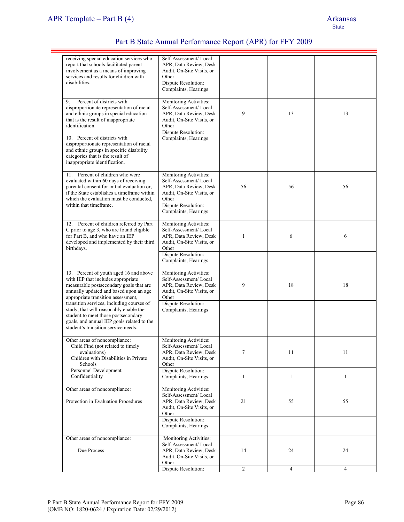| receiving special education services who<br>report that schools facilitated parent<br>involvement as a means of improving<br>services and results for children with<br>disabilities.                               | Self-Assessment/Local<br>APR, Data Review, Desk<br>Audit, On-Site Visits, or<br>Other<br>Dispute Resolution:    |                |                |                |
|--------------------------------------------------------------------------------------------------------------------------------------------------------------------------------------------------------------------|-----------------------------------------------------------------------------------------------------------------|----------------|----------------|----------------|
|                                                                                                                                                                                                                    | Complaints, Hearings                                                                                            |                |                |                |
| Percent of districts with<br>9.<br>disproportionate representation of racial<br>and ethnic groups in special education<br>that is the result of inappropriate<br>identification.                                   | Monitoring Activities:<br>Self-Assessment/Local<br>APR, Data Review, Desk<br>Audit, On-Site Visits, or<br>Other | 9              | 13             | 13             |
| 10. Percent of districts with<br>disproportionate representation of racial<br>and ethnic groups in specific disability<br>categories that is the result of<br>inappropriate identification.                        | Dispute Resolution:<br>Complaints, Hearings                                                                     |                |                |                |
| 11. Percent of children who were<br>evaluated within 60 days of receiving<br>parental consent for initial evaluation or,<br>if the State establishes a timeframe within<br>which the evaluation must be conducted, | Monitoring Activities:<br>Self-Assessment/Local<br>APR, Data Review, Desk<br>Audit, On-Site Visits, or<br>Other | 56             | 56             | 56             |
| within that timeframe.                                                                                                                                                                                             | Dispute Resolution:<br>Complaints, Hearings                                                                     |                |                |                |
| 12. Percent of children referred by Part<br>C prior to age 3, who are found eligible<br>for Part B, and who have an IEP<br>developed and implemented by their third<br>birthdays.                                  | Monitoring Activities:<br>Self-Assessment/Local<br>APR, Data Review, Desk<br>Audit, On-Site Visits, or<br>Other | 1              | 6              | 6              |
|                                                                                                                                                                                                                    | Dispute Resolution:<br>Complaints, Hearings                                                                     |                |                |                |
| 13. Percent of youth aged 16 and above<br>with IEP that includes appropriate<br>measurable postsecondary goals that are<br>annually updated and based upon an age<br>appropriate transition assessment,            | Monitoring Activities:<br>Self-Assessment/Local<br>APR, Data Review, Desk<br>Audit, On-Site Visits, or<br>Other | 9              | 18             | 18             |
| transition services, including courses of<br>study, that will reasonably enable the<br>student to meet those postsecondary<br>goals, and annual IEP goals related to the<br>student's transition service needs.    | Dispute Resolution:<br>Complaints, Hearings                                                                     |                |                |                |
| Other areas of noncompliance:<br>Child Find (not related to timely<br>evaluations)<br>Children with Disabilities in Private<br>Schools                                                                             | Monitoring Activities:<br>Self-Assessment/Local<br>APR, Data Review, Desk<br>Audit, On-Site Visits, or<br>Other | 7              | 11             | 11             |
| Personnel Development<br>Confidentiality                                                                                                                                                                           | Dispute Resolution:<br>Complaints, Hearings                                                                     | $\mathbf{1}$   | $\mathbf{1}$   | $\mathbf{1}$   |
| Other areas of noncompliance:<br>Protection in Evaluation Procedures                                                                                                                                               | Monitoring Activities:<br>Self-Assessment/Local<br>APR, Data Review, Desk<br>Audit, On-Site Visits, or<br>Other | 21             | 55             | 55             |
|                                                                                                                                                                                                                    | Dispute Resolution:<br>Complaints, Hearings                                                                     |                |                |                |
| Other areas of noncompliance:<br>Due Process                                                                                                                                                                       | Monitoring Activities:<br>Self-Assessment/Local<br>APR, Data Review, Desk<br>Audit, On-Site Visits, or<br>Other | 14             | 24             | 24             |
|                                                                                                                                                                                                                    | Dispute Resolution:                                                                                             | $\overline{c}$ | $\overline{4}$ | $\overline{4}$ |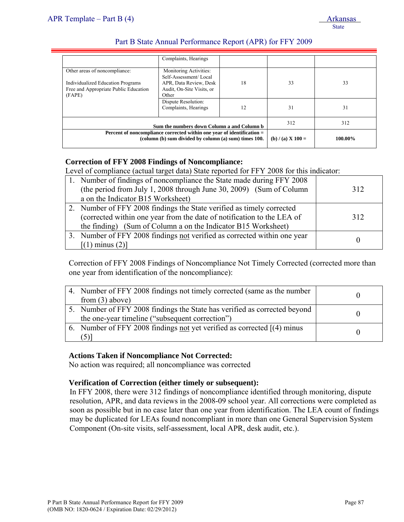|                                                                                                                       | Sum the numbers down Column a and Column b<br>Percent of noncompliance corrected within one year of identification =<br>(column (b) sum divided by column (a) sum) times 100. |    | 312<br>(b) $/(a)$ X 100 = | 312<br>100.00% |
|-----------------------------------------------------------------------------------------------------------------------|-------------------------------------------------------------------------------------------------------------------------------------------------------------------------------|----|---------------------------|----------------|
|                                                                                                                       | Dispute Resolution:<br>Complaints, Hearings                                                                                                                                   | 12 | 31                        | 31             |
| Other areas of noncompliance:<br>Individualized Education Programs<br>Free and Appropriate Public Education<br>(FAPE) | Monitoring Activities:<br>Self-Assessment/Local<br>APR, Data Review, Desk<br>Audit, On-Site Visits, or<br>Other                                                               | 18 | 33                        | 33             |
|                                                                                                                       | Complaints, Hearings                                                                                                                                                          |    |                           |                |

### **Correction of FFY 2008 Findings of Noncompliance:**

Level of compliance (actual target data) State reported for FFY 2008 for this indicator:

| 1. Number of findings of noncompliance the State made during FFY 2008<br>(the period from July 1, 2008 through June 30, 2009) (Sum of Column<br>a on the Indicator B15 Worksheet)                                | 312 |
|------------------------------------------------------------------------------------------------------------------------------------------------------------------------------------------------------------------|-----|
| 2. Number of FFY 2008 findings the State verified as timely corrected<br>(corrected within one year from the date of notification to the LEA of<br>the finding) (Sum of Column a on the Indicator B15 Worksheet) | 312 |
| 3. Number of FFY 2008 findings not verified as corrected within one year<br>$[(1)$ minus $(2)]$                                                                                                                  |     |

Correction of FFY 2008 Findings of Noncompliance Not Timely Corrected (corrected more than one year from identification of the noncompliance):

| 4. Number of FFY 2008 findings not timely corrected (same as the number<br>from $(3)$ above)                                 |  |
|------------------------------------------------------------------------------------------------------------------------------|--|
| 5. Number of FFY 2008 findings the State has verified as corrected beyond<br>the one-year timeline ("subsequent correction") |  |
| 6. Number of FFY 2008 findings not yet verified as corrected $(4)$ minus<br>(5)                                              |  |

### **Actions Taken if Noncompliance Not Corrected:**

No action was required; all noncompliance was corrected

### **Verification of Correction (either timely or subsequent):**

In FFY 2008, there were 312 findings of noncompliance identified through monitoring, dispute resolution, APR, and data reviews in the 2008-09 school year. All corrections were completed as soon as possible but in no case later than one year from identification. The LEA count of findings may be duplicated for LEAs found noncompliant in more than one General Supervision System Component (On-site visits, self-assessment, local APR, desk audit, etc.).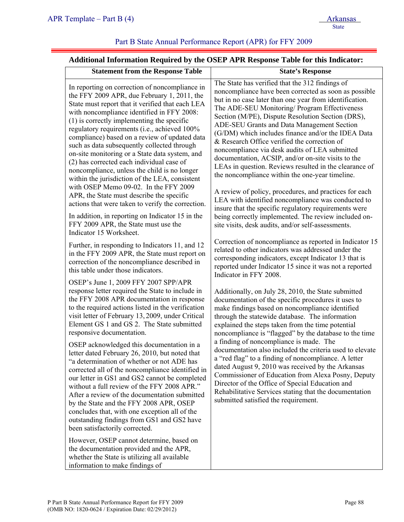## **Additional Information Required by the OSEP APR Response Table for this Indicator:**

| <b>Statement from the Response Table</b>                                                                                                                                                                                                                                                                                                                                                                                                                                                                                                                                                                                                                                                                                                                                                                                                                  |                                                                                                                                                                                                                                                                                                                                                                                                                                                                                                                                                                                                                                                                                                                                                                                                                             |
|-----------------------------------------------------------------------------------------------------------------------------------------------------------------------------------------------------------------------------------------------------------------------------------------------------------------------------------------------------------------------------------------------------------------------------------------------------------------------------------------------------------------------------------------------------------------------------------------------------------------------------------------------------------------------------------------------------------------------------------------------------------------------------------------------------------------------------------------------------------|-----------------------------------------------------------------------------------------------------------------------------------------------------------------------------------------------------------------------------------------------------------------------------------------------------------------------------------------------------------------------------------------------------------------------------------------------------------------------------------------------------------------------------------------------------------------------------------------------------------------------------------------------------------------------------------------------------------------------------------------------------------------------------------------------------------------------------|
|                                                                                                                                                                                                                                                                                                                                                                                                                                                                                                                                                                                                                                                                                                                                                                                                                                                           | <b>State's Response</b>                                                                                                                                                                                                                                                                                                                                                                                                                                                                                                                                                                                                                                                                                                                                                                                                     |
| In reporting on correction of noncompliance in<br>the FFY 2009 APR, due February 1, 2011, the<br>State must report that it verified that each LEA<br>with noncompliance identified in FFY 2008:<br>$(1)$ is correctly implementing the specific<br>regulatory requirements (i.e., achieved 100%<br>compliance) based on a review of updated data<br>such as data subsequently collected through<br>on-site monitoring or a State data system, and<br>(2) has corrected each individual case of<br>noncompliance, unless the child is no longer<br>within the jurisdiction of the LEA, consistent<br>with OSEP Memo 09-02. In the FFY 2009<br>APR, the State must describe the specific<br>actions that were taken to verify the correction.                                                                                                               | The State has verified that the 312 findings of<br>noncompliance have been corrected as soon as possible<br>but in no case later than one year from identification.<br>The ADE-SEU Monitoring/ Program Effectiveness<br>Section (M/PE), Dispute Resolution Section (DRS),<br>ADE-SEU Grants and Data Management Section<br>(G/DM) which includes finance and/or the IDEA Data<br>& Research Office verified the correction of<br>noncompliance via desk audits of LEA submitted<br>documentation, ACSIP, and/or on-site visits to the<br>LEAs in question. Reviews resulted in the clearance of<br>the noncompliance within the one-year timeline.<br>A review of policy, procedures, and practices for each<br>LEA with identified noncompliance was conducted to<br>insure that the specific regulatory requirements were |
| In addition, in reporting on Indicator 15 in the<br>FFY 2009 APR, the State must use the<br>Indicator 15 Worksheet.                                                                                                                                                                                                                                                                                                                                                                                                                                                                                                                                                                                                                                                                                                                                       | being correctly implemented. The review included on-<br>site visits, desk audits, and/or self-assessments.                                                                                                                                                                                                                                                                                                                                                                                                                                                                                                                                                                                                                                                                                                                  |
| Further, in responding to Indicators 11, and 12<br>in the FFY 2009 APR, the State must report on<br>correction of the noncompliance described in<br>this table under those indicators.                                                                                                                                                                                                                                                                                                                                                                                                                                                                                                                                                                                                                                                                    | Correction of noncompliance as reported in Indicator 15<br>related to other indicators was addressed under the<br>corresponding indicators, except Indicator 13 that is<br>reported under Indicator 15 since it was not a reported<br>Indicator in FFY 2008.                                                                                                                                                                                                                                                                                                                                                                                                                                                                                                                                                                |
| OSEP's June 1, 2009 FFY 2007 SPP/APR<br>response letter required the State to include in<br>the FFY 2008 APR documentation in response<br>to the required actions listed in the verification<br>visit letter of February 13, 2009, under Critical<br>Element GS 1 and GS 2. The State submitted<br>responsive documentation.<br>OSEP acknowledged this documentation in a<br>letter dated February 26, 2010, but noted that<br>a determination of whether or not ADE has<br>corrected all of the noncompliance identified in<br>our letter in GS1 and GS2 cannot be completed<br>without a full review of the FFY 2008 APR."<br>After a review of the documentation submitted<br>by the State and the FFY 2008 APR, OSEP<br>concludes that, with one exception all of the<br>outstanding findings from GS1 and GS2 have<br>been satisfactorily corrected. | Additionally, on July 28, 2010, the State submitted<br>documentation of the specific procedures it uses to<br>make findings based on noncompliance identified<br>through the statewide database. The information<br>explained the steps taken from the time potential<br>noncompliance is "flagged" by the database to the time<br>a finding of noncompliance is made. The<br>documentation also included the criteria used to elevate<br>a "red flag" to a finding of noncompliance. A letter<br>dated August 9, 2010 was received by the Arkansas<br>Commissioner of Education from Alexa Posny, Deputy<br>Director of the Office of Special Education and<br>Rehabilitative Services stating that the documentation<br>submitted satisfied the requirement.                                                              |
| However, OSEP cannot determine, based on<br>the documentation provided and the APR,<br>whether the State is utilizing all available<br>information to make findings of                                                                                                                                                                                                                                                                                                                                                                                                                                                                                                                                                                                                                                                                                    |                                                                                                                                                                                                                                                                                                                                                                                                                                                                                                                                                                                                                                                                                                                                                                                                                             |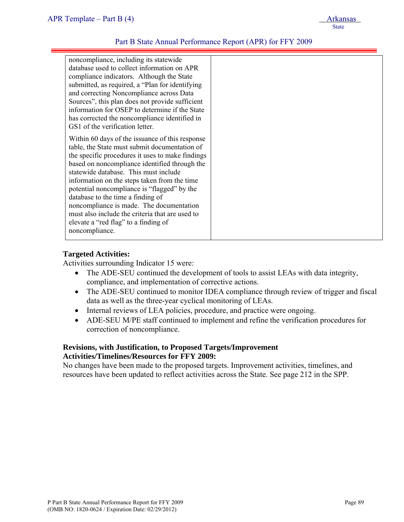noncompliance, including its statewide database used to collect information on APR compliance indicators. Although the State submitted, as required, a "Plan for identifying and correcting Noncompliance across Data Sources", this plan does not provide sufficient information for OSEP to determine if the State has corrected the noncompliance identified in GS1 of the verification letter.

Within 60 days of the issuance of this response table, the State must submit documentation of the specific procedures it uses to make findings based on noncompliance identified through the statewide database. This must include information on the steps taken from the time potential noncompliance is "flagged" by the database to the time a finding of noncompliance is made. The documentation must also include the criteria that are used to elevate a "red flag" to a finding of noncompliance.

#### **Targeted Activities:**

Activities surrounding Indicator 15 were:

- The ADE-SEU continued the development of tools to assist LEAs with data integrity, compliance, and implementation of corrective actions.
- The ADE-SEU continued to monitor IDEA compliance through review of trigger and fiscal data as well as the three-year cyclical monitoring of LEAs.
- Internal reviews of LEA policies, procedure, and practice were ongoing.
- ADE-SEU M/PE staff continued to implement and refine the verification procedures for correction of noncompliance.

#### **Revisions, with Justification, to Proposed Targets/Improvement Activities/Timelines/Resources for FFY 2009:**

No changes have been made to the proposed targets. Improvement activities, timelines, and resources have been updated to reflect activities across the State. See page 212 in the SPP.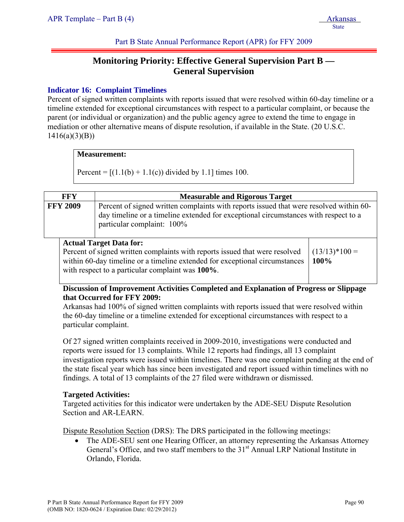# **Monitoring Priority: Effective General Supervision Part B — General Supervision**

## **Indicator 16: Complaint Timelines**

Percent of signed written complaints with reports issued that were resolved within 60-day timeline or a timeline extended for exceptional circumstances with respect to a particular complaint, or because the parent (or individual or organization) and the public agency agree to extend the time to engage in mediation or other alternative means of dispute resolution, if available in the State. (20 U.S.C.  $1416(a)(3)(B)$ 

#### **Measurement:**

Percent =  $[(1.1(b) + 1.1(c))$  divided by 1.1] times 100.

| <b>FFY</b>      | <b>Measurable and Rigorous Target</b>                                                                                                                                                                       |
|-----------------|-------------------------------------------------------------------------------------------------------------------------------------------------------------------------------------------------------------|
| <b>FFY 2009</b> | Percent of signed written complaints with reports issued that were resolved within 60-<br>day timeline or a timeline extended for exceptional circumstances with respect to a<br>particular complaint: 100% |

### **Actual Target Data for:**

Percent of signed written complaints with reports issued that were resolved within 60-day timeline or a timeline extended for exceptional circumstances with respect to a particular complaint was **100%**.

 $(13/13)*100 =$ **100%**

# **Discussion of Improvement Activities Completed and Explanation of Progress or Slippage that Occurred for FFY 2009:**

Arkansas had 100% of signed written complaints with reports issued that were resolved within the 60-day timeline or a timeline extended for exceptional circumstances with respect to a particular complaint.

Of 27 signed written complaints received in 2009-2010, investigations were conducted and reports were issued for 13 complaints. While 12 reports had findings, all 13 complaint investigation reports were issued within timelines. There was one complaint pending at the end of the state fiscal year which has since been investigated and report issued within timelines with no findings. A total of 13 complaints of the 27 filed were withdrawn or dismissed.

### **Targeted Activities:**

Targeted activities for this indicator were undertaken by the ADE-SEU Dispute Resolution Section and AR-LEARN

Dispute Resolution Section (DRS): The DRS participated in the following meetings:

The ADE-SEU sent one Hearing Officer, an attorney representing the Arkansas Attorney General's Office, and two staff members to the  $31<sup>st</sup>$  Annual LRP National Institute in Orlando, Florida.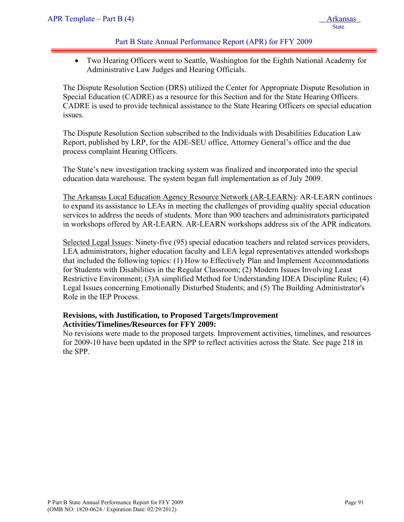• Two Hearing Officers went to Seattle, Washington for the Eighth National Academy for Administrative Law Judges and Hearing Officials.

The Dispute Resolution Section (DRS) utilized the Center for Appropriate Dispute Resolution in Special Education (CADRE) as a resource for this Section and for the State Hearing Officers. CADRE is used to provide technical assistance to the State Hearing Officers on special education issues.

The Dispute Resolution Section subscribed to the Individuals with Disabilities Education Law Report, published by LRP, for the ADE-SEU office, Attorney General's office and the due process complaint Hearing Officers.

The State's new investigation tracking system was finalized and incorporated into the special education data warehouse. The system began full implementation as of July 2009.

The Arkansas Local Education Agency Resource Network (AR-LEARN): AR-LEARN continues to expand its assistance to LEAs in meeting the challenges of providing quality special education services to address the needs of students. More than 900 teachers and administrators participated in workshops offered by AR-LEARN. AR-LEARN workshops address six of the APR indicators.

Selected Legal Issues: Ninety-five (95) special education teachers and related services providers, LEA administrators, higher education faculty and LEA legal representatives attended workshops that included the following topics: (1) How to Effectively Plan and Implement Accommodations for Students with Disabilities in the Regular Classroom; (2) Modern Issues Involving Least Restrictive Environment; (3)A simplified Method for Understanding IDEA Discipline Rules; (4) Legal Issues concerning Emotionally Disturbed Students; and (5) The Building Administrator's Role in the IEP Process.

## **Revisions, with Justification, to Proposed Targets/Improvement Activities/Timelines/Resources for FFY 2009:**

No revisions were made to the proposed targets. Improvement activities, timelines, and resources for 2009-10 have been updated in the SPP to reflect activities across the State. See page 218 in the SPP.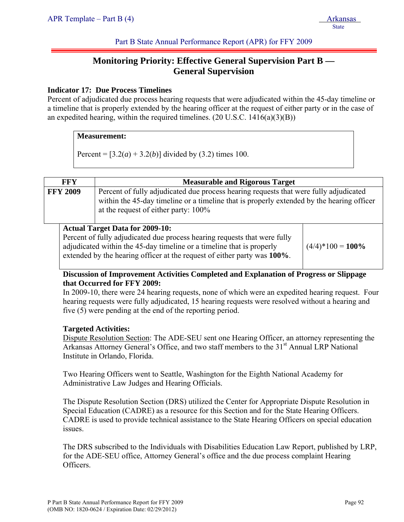# **Monitoring Priority: Effective General Supervision Part B — General Supervision**

## **Indicator 17: Due Process Timelines**

Percent of adjudicated due process hearing requests that were adjudicated within the 45-day timeline or a timeline that is properly extended by the hearing officer at the request of either party or in the case of an expedited hearing, within the required timelines.  $(20 \text{ U.S.C. } 1416(a)(3)(B))$ 

### **Measurement:**

Percent =  $[3.2(a) + 3.2(b)]$  divided by (3.2) times 100.

| <b>FFY</b>                                                                                                                                                                                                                                       | <b>Measurable and Rigorous Target</b>  |                     |  |  |
|--------------------------------------------------------------------------------------------------------------------------------------------------------------------------------------------------------------------------------------------------|----------------------------------------|---------------------|--|--|
| Percent of fully adjudicated due process hearing requests that were fully adjudicated<br><b>FFY 2009</b><br>within the 45-day timeline or a timeline that is properly extended by the hearing officer<br>at the request of either party: $100\%$ |                                        |                     |  |  |
|                                                                                                                                                                                                                                                  | <b>Actual Target Data for 2009-10:</b> |                     |  |  |
| Percent of fully adjudicated due process hearing requests that were fully                                                                                                                                                                        |                                        |                     |  |  |
| adjudicated within the 45-day timeline or a timeline that is properly                                                                                                                                                                            |                                        | $(4/4)*100 = 100\%$ |  |  |
| extended by the hearing officer at the request of either party was 100%.                                                                                                                                                                         |                                        |                     |  |  |

## **Discussion of Improvement Activities Completed and Explanation of Progress or Slippage that Occurred for FFY 2009:**

In 2009-10, there were 24 hearing requests, none of which were an expedited hearing request. Four hearing requests were fully adjudicated, 15 hearing requests were resolved without a hearing and five (5) were pending at the end of the reporting period.

### **Targeted Activities:**

Dispute Resolution Section: The ADE-SEU sent one Hearing Officer, an attorney representing the Arkansas Attorney General's Office, and two staff members to the  $31<sup>st</sup>$  Annual LRP National Institute in Orlando, Florida.

Two Hearing Officers went to Seattle, Washington for the Eighth National Academy for Administrative Law Judges and Hearing Officials.

The Dispute Resolution Section (DRS) utilized the Center for Appropriate Dispute Resolution in Special Education (CADRE) as a resource for this Section and for the State Hearing Officers. CADRE is used to provide technical assistance to the State Hearing Officers on special education issues.

The DRS subscribed to the Individuals with Disabilities Education Law Report, published by LRP, for the ADE-SEU office, Attorney General's office and the due process complaint Hearing Officers.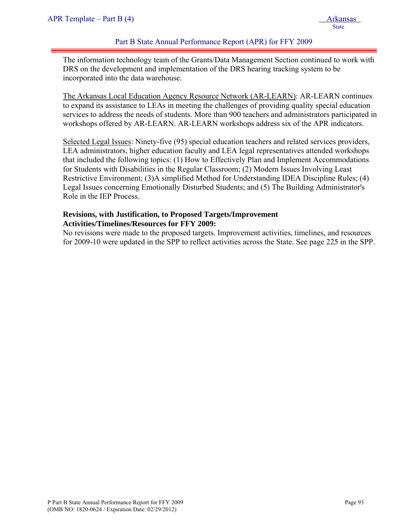The information technology team of the Grants/Data Management Section continued to work with DRS on the development and implementation of the DRS hearing tracking system to be incorporated into the data warehouse.

The Arkansas Local Education Agency Resource Network (AR-LEARN): AR-LEARN continues to expand its assistance to LEAs in meeting the challenges of providing quality special education services to address the needs of students. More than 900 teachers and administrators participated in workshops offered by AR-LEARN. AR-LEARN workshops address six of the APR indicators.

Selected Legal Issues: Ninety-five (95) special education teachers and related services providers, LEA administrators, higher education faculty and LEA legal representatives attended workshops that included the following topics: (1) How to Effectively Plan and Implement Accommodations for Students with Disabilities in the Regular Classroom; (2) Modern Issues Involving Least Restrictive Environment; (3)A simplified Method for Understanding IDEA Discipline Rules; (4) Legal Issues concerning Emotionally Disturbed Students; and (5) The Building Administrator's Role in the IEP Process.

# **Revisions, with Justification, to Proposed Targets/Improvement Activities/Timelines/Resources for FFY 2009:**

No revisions were made to the proposed targets. Improvement activities, timelines, and resources for 2009-10 were updated in the SPP to reflect activities across the State. See page 225 in the SPP.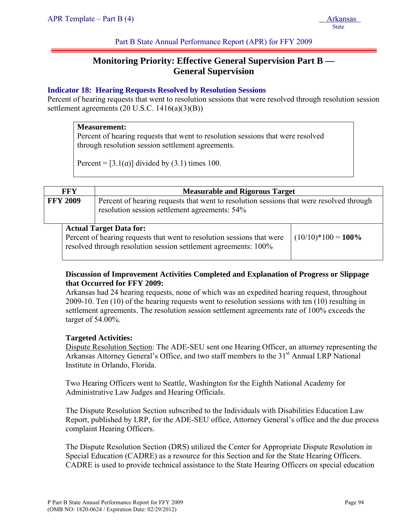# **Monitoring Priority: Effective General Supervision Part B — General Supervision**

## **Indicator 18: Hearing Requests Resolved by Resolution Sessions**

Percent of hearing requests that went to resolution sessions that were resolved through resolution session settlement agreements (20 U.S.C. 1416(a)(3)(B))

#### **Measurement:**

Percent of hearing requests that went to resolution sessions that were resolved through resolution session settlement agreements.

Percent =  $[3.1(a)]$  divided by  $(3.1)$  times 100.

|                 | <b>FFY</b> | <b>Measurable and Rigorous Target</b>                                                                                                                                       |                       |  |  |
|-----------------|------------|-----------------------------------------------------------------------------------------------------------------------------------------------------------------------------|-----------------------|--|--|
| <b>FFY 2009</b> |            | Percent of hearing requests that went to resolution sessions that were resolved through<br>resolution session settlement agreements: 54%                                    |                       |  |  |
|                 |            | <b>Actual Target Data for:</b><br>Percent of hearing requests that went to resolution sessions that were<br>resolved through resolution session settlement agreements: 100% | $(10/10)*100 = 100\%$ |  |  |

### **Discussion of Improvement Activities Completed and Explanation of Progress or Slippage that Occurred for FFY 2009:**

Arkansas had 24 hearing requests, none of which was an expedited hearing request, throughout 2009-10. Ten (10) of the hearing requests went to resolution sessions with ten (10) resulting in settlement agreements. The resolution session settlement agreements rate of 100% exceeds the target of 54.00%.

### **Targeted Activities:**

Dispute Resolution Section: The ADE-SEU sent one Hearing Officer, an attorney representing the Arkansas Attorney General's Office, and two staff members to the 31<sup>st</sup> Annual LRP National Institute in Orlando, Florida.

Two Hearing Officers went to Seattle, Washington for the Eighth National Academy for Administrative Law Judges and Hearing Officials.

The Dispute Resolution Section subscribed to the Individuals with Disabilities Education Law Report, published by LRP, for the ADE-SEU office, Attorney General's office and the due process complaint Hearing Officers.

The Dispute Resolution Section (DRS) utilized the Center for Appropriate Dispute Resolution in Special Education (CADRE) as a resource for this Section and for the State Hearing Officers. CADRE is used to provide technical assistance to the State Hearing Officers on special education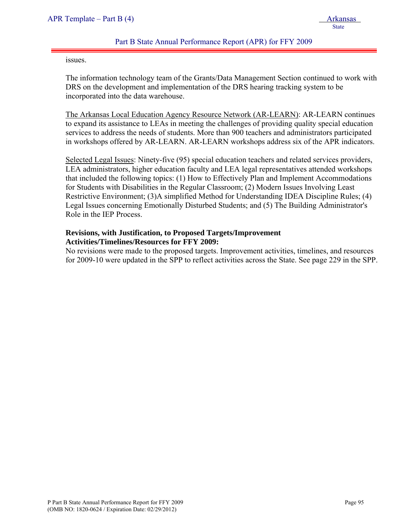issues.

The information technology team of the Grants/Data Management Section continued to work with DRS on the development and implementation of the DRS hearing tracking system to be incorporated into the data warehouse.

The Arkansas Local Education Agency Resource Network (AR-LEARN): AR-LEARN continues to expand its assistance to LEAs in meeting the challenges of providing quality special education services to address the needs of students. More than 900 teachers and administrators participated in workshops offered by AR-LEARN. AR-LEARN workshops address six of the APR indicators.

Selected Legal Issues: Ninety-five (95) special education teachers and related services providers, LEA administrators, higher education faculty and LEA legal representatives attended workshops that included the following topics: (1) How to Effectively Plan and Implement Accommodations for Students with Disabilities in the Regular Classroom; (2) Modern Issues Involving Least Restrictive Environment; (3)A simplified Method for Understanding IDEA Discipline Rules; (4) Legal Issues concerning Emotionally Disturbed Students; and (5) The Building Administrator's Role in the IEP Process.

#### **Revisions, with Justification, to Proposed Targets/Improvement Activities/Timelines/Resources for FFY 2009:**

No revisions were made to the proposed targets. Improvement activities, timelines, and resources for 2009-10 were updated in the SPP to reflect activities across the State. See page 229 in the SPP.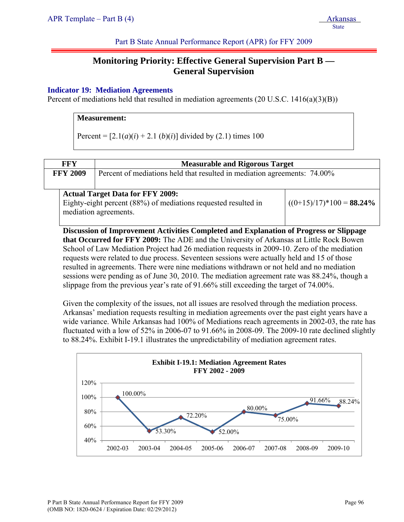# **Monitoring Priority: Effective General Supervision Part B — General Supervision**

## **Indicator 19: Mediation Agreements**

Percent of mediations held that resulted in mediation agreements (20 U.S.C. 1416(a)(3)(B))

## **Measurement:**

Percent =  $[2.1(a)(i) + 2.1(b)(i)]$  divided by (2.1) times 100

| FFY             | <b>Measurable and Rigorous Target</b>                                    |  |  |  |  |
|-----------------|--------------------------------------------------------------------------|--|--|--|--|
| <b>FFY 2009</b> | Percent of mediations held that resulted in mediation agreements: 74.00% |  |  |  |  |
|                 | <b>Actual Target Data for FFY 2009:</b>                                  |  |  |  |  |

Eighty-eight percent (88%) of mediations requested resulted in mediation agreements.  $((0+15)/17)*100 = 88.24%$ 

 **Discussion of Improvement Activities Completed and Explanation of Progress or Slippage that Occurred for FFY 2009:** The ADE and the University of Arkansas at Little Rock Bowen School of Law Mediation Project had 26 mediation requests in 2009-10. Zero of the mediation requests were related to due process. Seventeen sessions were actually held and 15 of those resulted in agreements. There were nine mediations withdrawn or not held and no mediation sessions were pending as of June 30, 2010. The mediation agreement rate was 88.24%, though a slippage from the previous year's rate of 91.66% still exceeding the target of 74.00%.

Given the complexity of the issues, not all issues are resolved through the mediation process. Arkansas' mediation requests resulting in mediation agreements over the past eight years have a wide variance. While Arkansas had 100% of Mediations reach agreements in 2002-03, the rate has fluctuated with a low of 52% in 2006-07 to 91.66% in 2008-09. The 2009-10 rate declined slightly to 88.24%. Exhibit I-19.1 illustrates the unpredictability of mediation agreement rates.

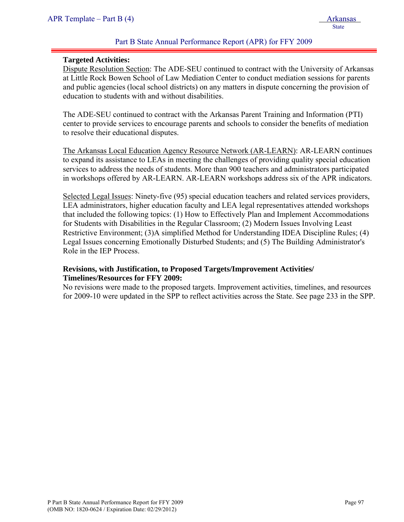#### **Targeted Activities:**

Dispute Resolution Section: The ADE-SEU continued to contract with the University of Arkansas at Little Rock Bowen School of Law Mediation Center to conduct mediation sessions for parents and public agencies (local school districts) on any matters in dispute concerning the provision of education to students with and without disabilities.

The ADE-SEU continued to contract with the Arkansas Parent Training and Information (PTI) center to provide services to encourage parents and schools to consider the benefits of mediation to resolve their educational disputes.

The Arkansas Local Education Agency Resource Network (AR-LEARN): AR-LEARN continues to expand its assistance to LEAs in meeting the challenges of providing quality special education services to address the needs of students. More than 900 teachers and administrators participated in workshops offered by AR-LEARN. AR-LEARN workshops address six of the APR indicators.

Selected Legal Issues: Ninety-five (95) special education teachers and related services providers, LEA administrators, higher education faculty and LEA legal representatives attended workshops that included the following topics: (1) How to Effectively Plan and Implement Accommodations for Students with Disabilities in the Regular Classroom; (2) Modern Issues Involving Least Restrictive Environment; (3)A simplified Method for Understanding IDEA Discipline Rules; (4) Legal Issues concerning Emotionally Disturbed Students; and (5) The Building Administrator's Role in the IEP Process.

### **Revisions, with Justification, to Proposed Targets/Improvement Activities/ Timelines/Resources for FFY 2009:**

No revisions were made to the proposed targets. Improvement activities, timelines, and resources for 2009-10 were updated in the SPP to reflect activities across the State. See page 233 in the SPP.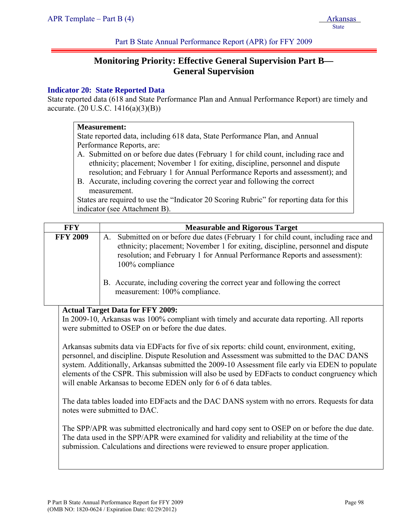# **Monitoring Priority: Effective General Supervision Part B— General Supervision**

## **Indicator 20: State Reported Data**

State reported data (618 and State Performance Plan and Annual Performance Report) are timely and accurate. (20 U.S.C. 1416(a)(3)(B))

#### **Measurement:**

State reported data, including 618 data, State Performance Plan, and Annual Performance Reports, are:

- A. Submitted on or before due dates (February 1 for child count, including race and ethnicity; placement; November 1 for exiting, discipline, personnel and dispute resolution; and February 1 for Annual Performance Reports and assessment); and
- B. Accurate, including covering the correct year and following the correct measurement.

States are required to use the "Indicator 20 Scoring Rubric" for reporting data for this indicator (see Attachment B).

| <b>FFY</b>      | <b>Measurable and Rigorous Target</b>                                                                                                                                                                                                                                   |
|-----------------|-------------------------------------------------------------------------------------------------------------------------------------------------------------------------------------------------------------------------------------------------------------------------|
| <b>FFY 2009</b> | A. Submitted on or before due dates (February 1 for child count, including race and<br>ethnicity; placement; November 1 for exiting, discipline, personnel and dispute<br>resolution; and February 1 for Annual Performance Reports and assessment):<br>100% compliance |
|                 | B. Accurate, including covering the correct year and following the correct<br>measurement: 100% compliance.                                                                                                                                                             |

### **Actual Target Data for FFY 2009:**

In 2009-10, Arkansas was 100% compliant with timely and accurate data reporting. All reports were submitted to OSEP on or before the due dates.

Arkansas submits data via EDFacts for five of six reports: child count, environment, exiting, personnel, and discipline. Dispute Resolution and Assessment was submitted to the DAC DANS system. Additionally, Arkansas submitted the 2009-10 Assessment file early via EDEN to populate elements of the CSPR. This submission will also be used by EDFacts to conduct congruency which will enable Arkansas to become EDEN only for 6 of 6 data tables.

The data tables loaded into EDFacts and the DAC DANS system with no errors. Requests for data notes were submitted to DAC.

The SPP/APR was submitted electronically and hard copy sent to OSEP on or before the due date. The data used in the SPP/APR were examined for validity and reliability at the time of the submission. Calculations and directions were reviewed to ensure proper application.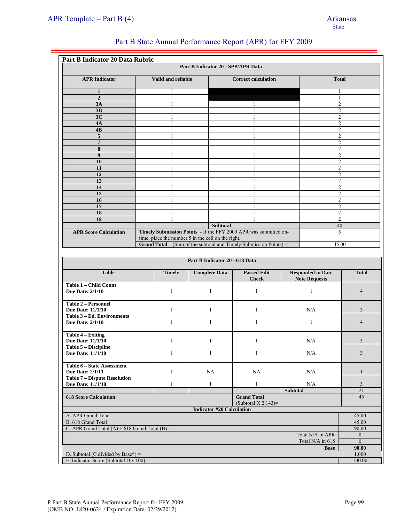|                                                       |                                                    |                                    | Part B State Annual Performance Report (APR) for FFY 2009                 |                          |                                  |  |
|-------------------------------------------------------|----------------------------------------------------|------------------------------------|---------------------------------------------------------------------------|--------------------------|----------------------------------|--|
| Part B Indicator 20 Data Rubric                       |                                                    |                                    |                                                                           |                          |                                  |  |
|                                                       |                                                    | Part B Indicator 20 - SPP/APR Data |                                                                           |                          |                                  |  |
| <b>APR</b> Indicator                                  | Valid and reliable<br><b>Correct calculation</b>   |                                    | <b>Total</b>                                                              |                          |                                  |  |
| 1                                                     |                                                    |                                    |                                                                           |                          |                                  |  |
| $\overline{2}$                                        |                                                    |                                    |                                                                           |                          |                                  |  |
| 3A                                                    |                                                    |                                    | 1                                                                         |                          | $\overline{2}$                   |  |
| 3B                                                    |                                                    |                                    | 1                                                                         | 2                        |                                  |  |
| 3C                                                    |                                                    |                                    | 1                                                                         |                          | $\overline{2}$                   |  |
| 4A<br>4B                                              |                                                    |                                    | 1<br>1                                                                    |                          | $\overline{c}$<br>$\overline{2}$ |  |
| 5                                                     |                                                    |                                    | 1                                                                         |                          | $\overline{2}$                   |  |
| $\overline{7}$                                        |                                                    |                                    | 1                                                                         |                          | $\overline{c}$                   |  |
| 8                                                     | $\mathbf{1}$                                       |                                    | 1                                                                         |                          | $\overline{2}$                   |  |
| $\boldsymbol{9}$                                      |                                                    |                                    | $\mathbf{1}$                                                              |                          | $\overline{c}$                   |  |
| 10                                                    |                                                    |                                    | 1                                                                         |                          | $\overline{c}$                   |  |
| 11                                                    |                                                    |                                    | 1                                                                         |                          | $\overline{c}$                   |  |
| 12                                                    | 1                                                  |                                    | $\mathbf{1}$                                                              |                          | $\overline{2}$                   |  |
| 13<br>14                                              |                                                    |                                    | 1<br>1                                                                    |                          | $\overline{c}$                   |  |
| 15                                                    |                                                    |                                    | 1                                                                         |                          | $\overline{c}$<br>2              |  |
| 16                                                    |                                                    |                                    | 1                                                                         |                          | $\overline{c}$                   |  |
| 17                                                    |                                                    |                                    | 1                                                                         |                          | $\overline{c}$                   |  |
| 18                                                    |                                                    |                                    | 1                                                                         |                          | 2                                |  |
| 19                                                    |                                                    |                                    | 1                                                                         |                          | $\overline{2}$                   |  |
|                                                       |                                                    | <b>Subtotal</b>                    |                                                                           |                          | 40                               |  |
| <b>APR Score Calculation</b>                          |                                                    |                                    | Timely Submission Points - If the FFY 2009 APR was submitted on-          | 5                        |                                  |  |
|                                                       | time, place the number 5 in the cell on the right. |                                    | <b>Grand Total</b> – (Sum of the subtotal and Timely Submission Points) = | 45.00                    |                                  |  |
|                                                       |                                                    |                                    |                                                                           |                          |                                  |  |
|                                                       |                                                    | Part B Indicator 20 - 618 Data     |                                                                           |                          |                                  |  |
| <b>Table</b>                                          | <b>Timely</b>                                      | <b>Complete Data</b>               | <b>Passed Edit</b>                                                        | <b>Responded to Date</b> | <b>Total</b>                     |  |
|                                                       |                                                    |                                    | <b>Check</b>                                                              | <b>Note Requests</b>     |                                  |  |
| Table 1 - Child Count<br><b>Due Date: 2/1/10</b>      | $\mathbf{1}$                                       | $\mathbf{1}$                       | $\mathbf{1}$                                                              | $\mathbf{1}$             | $\overline{4}$                   |  |
| <b>Table 2 - Personnel</b>                            |                                                    |                                    |                                                                           |                          |                                  |  |
| Due Date: 11/1/10<br>Table 3 - Ed. Environments       | $\mathbf{1}$                                       | 1                                  | 1                                                                         | N/A                      | 3                                |  |
| <b>Due Date: 2/1/10</b>                               | $\mathbf{1}$                                       | $\mathbf{1}$                       | $\mathbf{1}$                                                              | $\mathbf{1}$             | $\overline{4}$                   |  |
| Table 4 – Exiting<br><b>Due Date: 11/1/10</b>         | $\mathbf{1}$                                       | 1                                  | $\mathbf{1}$                                                              | N/A                      | 3                                |  |
| <b>Table 5 - Discipline</b><br>Due Date: 11/1/10      | $\mathbf{1}$                                       | $\mathbf{1}$                       | $\mathbf{1}$                                                              | N/A                      | $\mathfrak{Z}$                   |  |
| Table 6 - State Assessment<br><b>Due Date: 2/1/11</b> | $\mathbf{1}$                                       | <b>NA</b>                          | NA                                                                        | N/A                      | $\mathbf{1}$                     |  |
| <b>Table 7 - Dispute Resolution</b>                   |                                                    |                                    |                                                                           |                          |                                  |  |
| Due Date: 11/1/10                                     | $\mathbf{1}$                                       | $\mathbf{1}$                       | $\mathbf{1}$                                                              | N/A                      | $\mathfrak{Z}$                   |  |
| <b>618 Score Calculation</b>                          |                                                    |                                    | <b>Grand Total</b>                                                        | <b>Subtotal</b>          | 21<br>45                         |  |
|                                                       |                                                    |                                    | (Subtotal $X$ 2.143)=                                                     |                          |                                  |  |
| A. APR Grand Total                                    |                                                    | <b>Indicator #20 Calculation</b>   |                                                                           |                          | 45.00                            |  |
| B. 618 Grand Total                                    |                                                    |                                    |                                                                           |                          |                                  |  |
| C. APR Grand Total $(A)$ + 618 Grand Total $(B)$ =    |                                                    |                                    |                                                                           |                          |                                  |  |
|                                                       |                                                    |                                    |                                                                           | Total N/A in APR         | 90.00<br>$\mathbf{0}$            |  |
|                                                       |                                                    |                                    |                                                                           | Total N/A in 618         | $\overline{0}$                   |  |
|                                                       |                                                    |                                    |                                                                           | <b>Base</b>              | 90.00                            |  |

D. Subtotal (C divided by Base\*) = 1.000 E. Indicator Score (Subtotal D x 100) = 100.00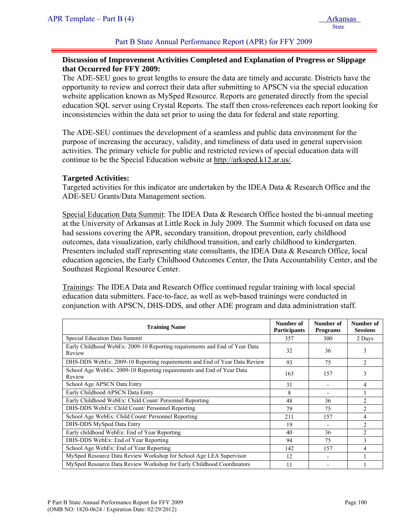### **Discussion of Improvement Activities Completed and Explanation of Progress or Slippage that Occurred for FFY 2009:**

The ADE-SEU goes to great lengths to ensure the data are timely and accurate. Districts have the opportunity to review and correct their data after submitting to APSCN via the special education website application known as MySped Resource. Reports are generated directly from the special education SQL server using Crystal Reports. The staff then cross-references each report looking for inconsistencies within the data set prior to using the data for federal and state reporting.

The ADE-SEU continues the development of a seamless and public data environment for the purpose of increasing the accuracy, validity, and timeliness of data used in general supervision activities. The primary vehicle for public and restricted reviews of special education data will continue to be the Special Education website at http://arksped.k12.ar.us/.

#### **Targeted Activities:**

Targeted activities for this indicator are undertaken by the IDEA Data & Research Office and the ADE-SEU Grants/Data Management section.

Special Education Data Summit: The IDEA Data & Research Office hosted the bi-annual meeting at the University of Arkansas at Little Rock in July 2009. The Summit which focused on data use had sessions covering the APR, secondary transition, dropout prevention, early childhood outcomes, data visualization, early childhood transition, and early childhood to kindergarten. Presenters included staff representing state consultants, the IDEA Data & Research Office, local education agencies, the Early Childhood Outcomes Center, the Data Accountability Center, and the Southeast Regional Resource Center.

Trainings: The IDEA Data and Research Office continued regular training with local special education data submitters. Face-to-face, as well as web-based trainings were conducted in conjunction with APSCN, DHS-DDS, and other ADE program and data administration staff.

| <b>Training Name</b>                                                                 | Number of<br><b>Participants</b> | Number of<br><b>Programs</b> | Number of<br><b>Sessions</b> |
|--------------------------------------------------------------------------------------|----------------------------------|------------------------------|------------------------------|
| Special Education Data Summit                                                        | 357                              | 300                          | 2 Days                       |
| Early Childhood WebEx: 2009-10 Reporting requirements and End of Year Data<br>Review | 32                               | 36                           | 3                            |
| DHS-DDS WebEx: 2009-10 Reporting requirements and End of Year Data Review            | 93                               | 75                           | $\mathfrak{D}$               |
| School Age WebEx: 2009-10 Reporting requirements and End of Year Data<br>Review      | 163                              | 157                          | 3                            |
| School Age APSCN Data Entry                                                          | 31                               |                              | 4                            |
| Early Childhood APSCN Data Entry                                                     | 8                                |                              |                              |
| Early Childhood WebEx: Child Count/ Personnel Reporting                              | 48                               | 36                           | $\overline{2}$               |
| DHS-DDS WebEx: Child Count/ Personnel Reporting                                      | 79                               | 75                           | $\overline{2}$               |
| School Age WebEx: Child Count/ Personnel Reporting                                   | 211                              | 157                          | 4                            |
| DHS-DDS MySped Data Entry                                                            | 19                               |                              | $\overline{c}$               |
| Early childhood WebEx: End of Year Reporting                                         | 40                               | 36                           | $\overline{2}$               |
| DHS-DDS WebEx: End of Year Reporting                                                 | 94                               | 75                           | 3                            |
| School Age WebEx: End of Year Reporting                                              | 142                              | 157                          | 4                            |
| MySped Resource Data Review Workshop for School Age LEA Supervisor                   | 12                               |                              |                              |
| MySped Resource Data Review Workshop for Early Childhood Coordinators                | 11                               |                              |                              |